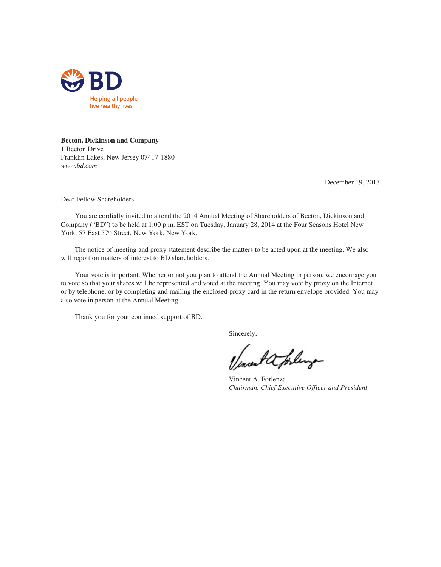

# **Becton, Dickinson and Company**

1 Becton Drive Franklin Lakes, New Jersey 07417-1880 *www.bd.com*

December 19, 2013

Dear Fellow Shareholders:

You are cordially invited to attend the 2014 Annual Meeting of Shareholders of Becton, Dickinson and Company ("BD") to be held at 1:00 p.m. EST on Tuesday, January 28, 2014 at the Four Seasons Hotel New York, 57 East 57<sup>th</sup> Street, New York, New York.

The notice of meeting and proxy statement describe the matters to be acted upon at the meeting. We also will report on matters of interest to BD shareholders.

Your vote is important. Whether or not you plan to attend the Annual Meeting in person, we encourage you to vote so that your shares will be represented and voted at the meeting. You may vote by proxy on the Internet or by telephone, or by completing and mailing the enclosed proxy card in the return envelope provided. You may also vote in person at the Annual Meeting.

Thank you for your continued support of BD.

Sincerely,

neart a forling

Vincent A. Forlenza *Chairman, Chief Executive Officer and President*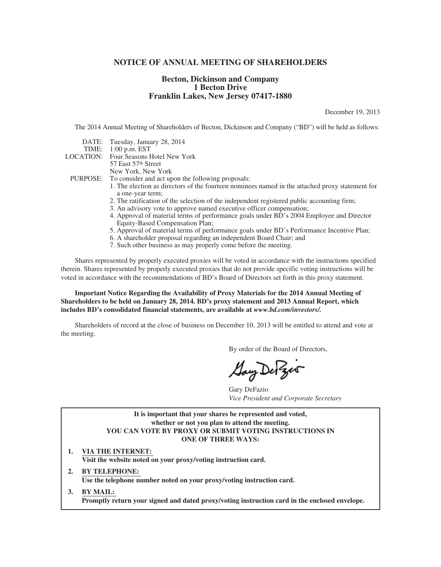# **NOTICE OF ANNUAL MEETING OF SHAREHOLDERS**

# **Becton, Dickinson and Company 1 Becton Drive Franklin Lakes, New Jersey 07417-1880**

December 19, 2013

The 2014 Annual Meeting of Shareholders of Becton, Dickinson and Company ("BD") will be held as follows:

- TIME: 1:00 p.m. EST LOCATION: Four Seasons Hotel New York 57 East 57th Street New York, New York PURPOSE: To consider and act upon the following proposals: 1. The election as directors of the fourteen nominees named in the attached proxy statement for a one-year term; 2. The ratification of the selection of the independent registered public accounting firm; 3. An advisory vote to approve named executive officer compensation; 4. Approval of material terms of performance goals under BD's 2004 Employee and Director Equity-Based Compensation Plan; 5. Approval of material terms of performance goals under BD's Performance Incentive Plan;
	- 6. A shareholder proposal regarding an independent Board Chair; and 7. Such other business as may properly come before the meeting.

DATE: Tuesday, January 28, 2014

Shares represented by properly executed proxies will be voted in accordance with the instructions specified therein. Shares represented by properly executed proxies that do not provide specific voting instructions will be voted in accordance with the recommendations of BD's Board of Directors set forth in this proxy statement.

**Important Notice Regarding the Availability of Proxy Materials for the 2014 Annual Meeting of Shareholders to be held on January 28, 2014. BD's proxy statement and 2013 Annual Report, which includes BD's consolidated financial statements, are available at** *www.bd.com/investors/.*

Shareholders of record at the close of business on December 10, 2013 will be entitled to attend and vote at the meeting.

By order of the Board of Directors,

Gay Delzer

Gary DeFazio *Vice President and Corporate Secretary*

# **It is important that your shares be represented and voted, whether or not you plan to attend the meeting. YOU CAN VOTE BY PROXY OR SUBMIT VOTING INSTRUCTIONS IN ONE OF THREE WAYS:**

- **1. VIA THE INTERNET: Visit the website noted on your proxy/voting instruction card.**
- **2. BY TELEPHONE: Use the telephone number noted on your proxy/voting instruction card.**
- **3. BY MAIL: Promptly return your signed and dated proxy/voting instruction card in the enclosed envelope.**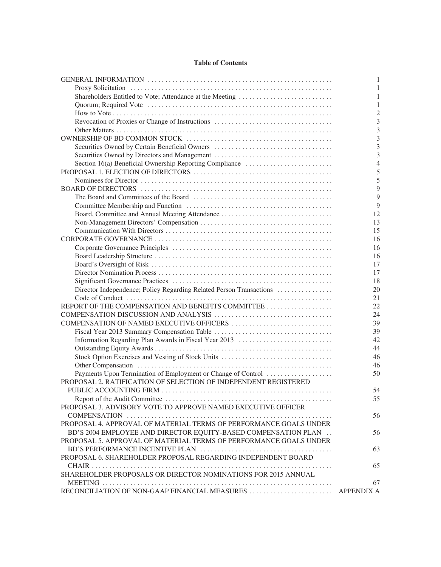# **Table of Contents**

|                                                                     | 1                 |
|---------------------------------------------------------------------|-------------------|
|                                                                     | L                 |
| Shareholders Entitled to Vote; Attendance at the Meeting            | 1                 |
|                                                                     | 1                 |
|                                                                     | $\overline{2}$    |
|                                                                     | 3                 |
|                                                                     | 3                 |
|                                                                     | 3                 |
| Securities Owned by Certain Beneficial Owners                       | 3                 |
|                                                                     | 3                 |
| Section 16(a) Beneficial Ownership Reporting Compliance             | $\overline{4}$    |
|                                                                     | 5                 |
|                                                                     | 5                 |
|                                                                     | 9                 |
|                                                                     | 9                 |
|                                                                     | 9                 |
|                                                                     | 12                |
|                                                                     | 13                |
|                                                                     | 15                |
|                                                                     | 16                |
|                                                                     | 16                |
|                                                                     | 16                |
|                                                                     | 17                |
|                                                                     | 17                |
|                                                                     | 18                |
|                                                                     |                   |
| Director Independence; Policy Regarding Related Person Transactions | 20                |
|                                                                     | 21                |
| REPORT OF THE COMPENSATION AND BENEFITS COMMITTEE                   | 22                |
|                                                                     | 24                |
|                                                                     | 39                |
|                                                                     | 39                |
| Information Regarding Plan Awards in Fiscal Year 2013               | 42                |
|                                                                     | 44                |
|                                                                     | 46                |
|                                                                     | 46                |
| Payments Upon Termination of Employment or Change of Control        | 50                |
| PROPOSAL 2. RATIFICATION OF SELECTION OF INDEPENDENT REGISTERED     |                   |
|                                                                     | 54                |
|                                                                     | 55                |
| PROPOSAL 3. ADVISORY VOTE TO APPROVE NAMED EXECUTIVE OFFICER        |                   |
|                                                                     | 56                |
| PROPOSAL 4. APPROVAL OF MATERIAL TERMS OF PERFORMANCE GOALS UNDER   |                   |
| BD'S 2004 EMPLOYEE AND DIRECTOR EQUITY-BASED COMPENSATION PLAN      | 56                |
| PROPOSAL 5. APPROVAL OF MATERIAL TERMS OF PERFORMANCE GOALS UNDER   |                   |
|                                                                     | 63                |
| PROPOSAL 6. SHAREHOLDER PROPOSAL REGARDING INDEPENDENT BOARD        |                   |
|                                                                     | 65                |
| SHAREHOLDER PROPOSALS OR DIRECTOR NOMINATIONS FOR 2015 ANNUAL       |                   |
|                                                                     | 67                |
|                                                                     | <b>APPENDIX A</b> |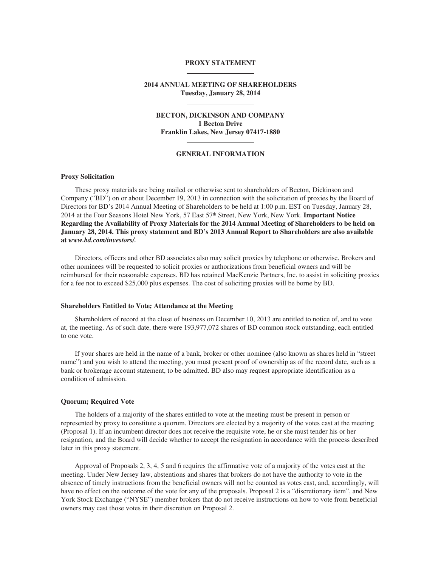#### **PROXY STATEMENT**

# **2014 ANNUAL MEETING OF SHAREHOLDERS Tuesday, January 28, 2014**

# **BECTON, DICKINSON AND COMPANY 1 Becton Drive Franklin Lakes, New Jersey 07417-1880**

### **GENERAL INFORMATION**

### **Proxy Solicitation**

These proxy materials are being mailed or otherwise sent to shareholders of Becton, Dickinson and Company ("BD") on or about December 19, 2013 in connection with the solicitation of proxies by the Board of Directors for BD's 2014 Annual Meeting of Shareholders to be held at 1:00 p.m. EST on Tuesday, January 28, 2014 at the Four Seasons Hotel New York, 57 East 57th Street, New York, New York. **Important Notice Regarding the Availability of Proxy Materials for the 2014 Annual Meeting of Shareholders to be held on January 28, 2014. This proxy statement and BD's 2013 Annual Report to Shareholders are also available at** *www.bd.com/investors/.*

Directors, officers and other BD associates also may solicit proxies by telephone or otherwise. Brokers and other nominees will be requested to solicit proxies or authorizations from beneficial owners and will be reimbursed for their reasonable expenses. BD has retained MacKenzie Partners, Inc. to assist in soliciting proxies for a fee not to exceed \$25,000 plus expenses. The cost of soliciting proxies will be borne by BD.

## **Shareholders Entitled to Vote; Attendance at the Meeting**

Shareholders of record at the close of business on December 10, 2013 are entitled to notice of, and to vote at, the meeting. As of such date, there were 193,977,072 shares of BD common stock outstanding, each entitled to one vote.

If your shares are held in the name of a bank, broker or other nominee (also known as shares held in "street name") and you wish to attend the meeting, you must present proof of ownership as of the record date, such as a bank or brokerage account statement, to be admitted. BD also may request appropriate identification as a condition of admission.

#### **Quorum; Required Vote**

The holders of a majority of the shares entitled to vote at the meeting must be present in person or represented by proxy to constitute a quorum. Directors are elected by a majority of the votes cast at the meeting (Proposal 1). If an incumbent director does not receive the requisite vote, he or she must tender his or her resignation, and the Board will decide whether to accept the resignation in accordance with the process described later in this proxy statement.

Approval of Proposals 2, 3, 4, 5 and 6 requires the affirmative vote of a majority of the votes cast at the meeting. Under New Jersey law, abstentions and shares that brokers do not have the authority to vote in the absence of timely instructions from the beneficial owners will not be counted as votes cast, and, accordingly, will have no effect on the outcome of the vote for any of the proposals. Proposal 2 is a "discretionary item", and New York Stock Exchange ("NYSE") member brokers that do not receive instructions on how to vote from beneficial owners may cast those votes in their discretion on Proposal 2.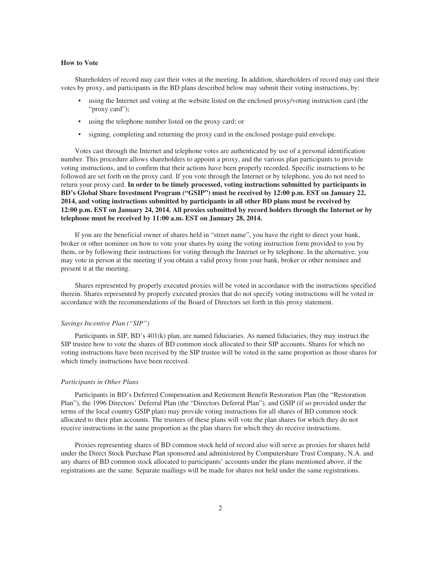#### **How to Vote**

Shareholders of record may cast their votes at the meeting. In addition, shareholders of record may cast their votes by proxy, and participants in the BD plans described below may submit their voting instructions, by:

- using the Internet and voting at the website listed on the enclosed proxy/voting instruction card (the "proxy card");
- using the telephone number listed on the proxy card; or
- signing, completing and returning the proxy card in the enclosed postage-paid envelope.

Votes cast through the Internet and telephone votes are authenticated by use of a personal identification number. This procedure allows shareholders to appoint a proxy, and the various plan participants to provide voting instructions, and to confirm that their actions have been properly recorded. Specific instructions to be followed are set forth on the proxy card. If you vote through the Internet or by telephone, you do not need to return your proxy card. **In order to be timely processed, voting instructions submitted by participants in BD's Global Share Investment Program ("GSIP") must be received by 12:00 p.m. EST on January 22, 2014, and voting instructions submitted by participants in all other BD plans must be received by 12:00 p.m. EST on January 24, 2014. All proxies submitted by record holders through the Internet or by telephone must be received by 11:00 a.m. EST on January 28, 2014.**

If you are the beneficial owner of shares held in "street name", you have the right to direct your bank, broker or other nominee on how to vote your shares by using the voting instruction form provided to you by them, or by following their instructions for voting through the Internet or by telephone. In the alternative, you may vote in person at the meeting if you obtain a valid proxy from your bank, broker or other nominee and present it at the meeting.

Shares represented by properly executed proxies will be voted in accordance with the instructions specified therein. Shares represented by properly executed proxies that do not specify voting instructions will be voted in accordance with the recommendations of the Board of Directors set forth in this proxy statement.

#### *Savings Incentive Plan ("SIP")*

Participants in SIP, BD's 401(k) plan, are named fiduciaries. As named fiduciaries, they may instruct the SIP trustee how to vote the shares of BD common stock allocated to their SIP accounts. Shares for which no voting instructions have been received by the SIP trustee will be voted in the same proportion as those shares for which timely instructions have been received.

#### *Participants in Other Plans*

Participants in BD's Deferred Compensation and Retirement Benefit Restoration Plan (the "Restoration Plan"), the 1996 Directors' Deferral Plan (the "Directors Deferral Plan"), and GSIP (if so provided under the terms of the local country GSIP plan) may provide voting instructions for all shares of BD common stock allocated to their plan accounts. The trustees of these plans will vote the plan shares for which they do not receive instructions in the same proportion as the plan shares for which they do receive instructions.

Proxies representing shares of BD common stock held of record also will serve as proxies for shares held under the Direct Stock Purchase Plan sponsored and administered by Computershare Trust Company, N.A. and any shares of BD common stock allocated to participants' accounts under the plans mentioned above, if the registrations are the same. Separate mailings will be made for shares not held under the same registrations.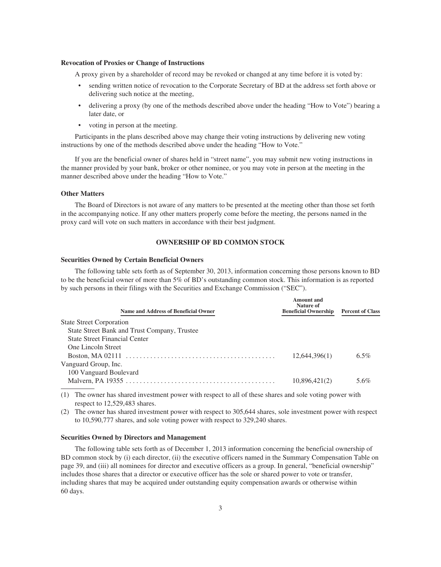### **Revocation of Proxies or Change of Instructions**

A proxy given by a shareholder of record may be revoked or changed at any time before it is voted by:

- sending written notice of revocation to the Corporate Secretary of BD at the address set forth above or delivering such notice at the meeting,
- delivering a proxy (by one of the methods described above under the heading "How to Vote") bearing a later date, or
- voting in person at the meeting.

Participants in the plans described above may change their voting instructions by delivering new voting instructions by one of the methods described above under the heading "How to Vote."

If you are the beneficial owner of shares held in "street name", you may submit new voting instructions in the manner provided by your bank, broker or other nominee, or you may vote in person at the meeting in the manner described above under the heading "How to Vote."

### **Other Matters**

The Board of Directors is not aware of any matters to be presented at the meeting other than those set forth in the accompanying notice. If any other matters properly come before the meeting, the persons named in the proxy card will vote on such matters in accordance with their best judgment.

# **OWNERSHIP OF BD COMMON STOCK**

### **Securities Owned by Certain Beneficial Owners**

The following table sets forth as of September 30, 2013, information concerning those persons known to BD to be the beneficial owner of more than 5% of BD's outstanding common stock. This information is as reported by such persons in their filings with the Securities and Exchange Commission ("SEC").

| <b>Name and Address of Beneficial Owner</b>  | <b>Amount</b> and<br>Nature of<br><b>Beneficial Ownership</b> | <b>Percent of Class</b> |
|----------------------------------------------|---------------------------------------------------------------|-------------------------|
| <b>State Street Corporation</b>              |                                                               |                         |
| State Street Bank and Trust Company, Trustee |                                                               |                         |
| <b>State Street Financial Center</b>         |                                                               |                         |
| <b>One Lincoln Street</b>                    |                                                               |                         |
|                                              | 12,644,396(1)                                                 | $6.5\%$                 |
| Vanguard Group, Inc.                         |                                                               |                         |
| 100 Vanguard Boulevard                       |                                                               |                         |
|                                              | 10,896,421(2)                                                 | 5.6%                    |

(1) The owner has shared investment power with respect to all of these shares and sole voting power with respect to 12,529,483 shares.

(2) The owner has shared investment power with respect to 305,644 shares, sole investment power with respect to 10,590,777 shares, and sole voting power with respect to 329,240 shares.

#### **Securities Owned by Directors and Management**

The following table sets forth as of December 1, 2013 information concerning the beneficial ownership of BD common stock by (i) each director, (ii) the executive officers named in the Summary Compensation Table on page 39, and (iii) all nominees for director and executive officers as a group. In general, "beneficial ownership" includes those shares that a director or executive officer has the sole or shared power to vote or transfer, including shares that may be acquired under outstanding equity compensation awards or otherwise within 60 days.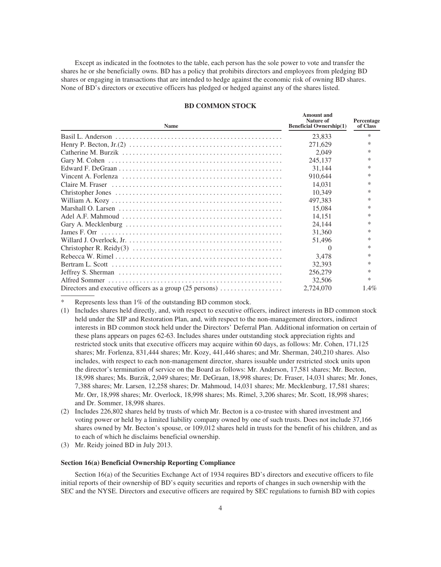Except as indicated in the footnotes to the table, each person has the sole power to vote and transfer the shares he or she beneficially owns. BD has a policy that prohibits directors and employees from pledging BD shares or engaging in transactions that are intended to hedge against the economic risk of owning BD shares. None of BD's directors or executive officers has pledged or hedged against any of the shares listed.

#### **BD COMMON STOCK**

| <b>Name</b>                                                                                      | Amount and<br>Nature of<br><b>Beneficial Ownership(1)</b> | Percentage<br>of Class |
|--------------------------------------------------------------------------------------------------|-----------------------------------------------------------|------------------------|
|                                                                                                  | 23.833                                                    | *                      |
|                                                                                                  | 271,629                                                   | $\ast$                 |
|                                                                                                  | 2,049                                                     | *                      |
|                                                                                                  | 245,137                                                   | *                      |
|                                                                                                  | 31,144                                                    | *                      |
|                                                                                                  | 910.644                                                   | *                      |
|                                                                                                  | 14,031                                                    | *                      |
|                                                                                                  | 10.349                                                    | $\ast$                 |
|                                                                                                  | 497,383                                                   | ∗                      |
|                                                                                                  | 15,084                                                    | *                      |
|                                                                                                  | 14,151                                                    | *                      |
|                                                                                                  | 24,144                                                    | ∗                      |
|                                                                                                  | 31,360                                                    | ∗                      |
|                                                                                                  | 51,496                                                    | *                      |
|                                                                                                  | $\Omega$                                                  | *                      |
|                                                                                                  | 3.478                                                     | ∗                      |
|                                                                                                  | 32,393                                                    | $\ast$                 |
|                                                                                                  | 256,279                                                   | $\ast$                 |
|                                                                                                  | 32,506                                                    | *                      |
| Directors and executive officers as a group $(25 \text{ persons}) \dots \dots \dots \dots \dots$ | 2,724,070                                                 | $1.4\%$                |

Represents less than 1% of the outstanding BD common stock.

- (1) Includes shares held directly, and, with respect to executive officers, indirect interests in BD common stock held under the SIP and Restoration Plan, and, with respect to the non-management directors, indirect interests in BD common stock held under the Directors' Deferral Plan. Additional information on certain of these plans appears on pages 62-63. Includes shares under outstanding stock appreciation rights and restricted stock units that executive officers may acquire within 60 days, as follows: Mr. Cohen, 171,125 shares; Mr. Forlenza, 831,444 shares; Mr. Kozy, 441,446 shares; and Mr. Sherman, 240,210 shares. Also includes, with respect to each non-management director, shares issuable under restricted stock units upon the director's termination of service on the Board as follows: Mr. Anderson, 17,581 shares; Mr. Becton, 18,998 shares; Ms. Burzik, 2,049 shares; Mr. DeGraan, 18,998 shares; Dr. Fraser, 14,031 shares; Mr. Jones, 7,388 shares; Mr. Larsen, 12,258 shares; Dr. Mahmoud, 14,031 shares; Mr. Mecklenburg, 17,581 shares; Mr. Orr, 18,998 shares; Mr. Overlock, 18,998 shares; Ms. Rimel, 3,206 shares; Mr. Scott, 18,998 shares; and Dr. Sommer, 18,998 shares.
- (2) Includes 226,802 shares held by trusts of which Mr. Becton is a co-trustee with shared investment and voting power or held by a limited liability company owned by one of such trusts. Does not include 37,166 shares owned by Mr. Becton's spouse, or 109,012 shares held in trusts for the benefit of his children, and as to each of which he disclaims beneficial ownership.

(3) Mr. Reidy joined BD in July 2013.

### **Section 16(a) Beneficial Ownership Reporting Compliance**

Section 16(a) of the Securities Exchange Act of 1934 requires BD's directors and executive officers to file initial reports of their ownership of BD's equity securities and reports of changes in such ownership with the SEC and the NYSE. Directors and executive officers are required by SEC regulations to furnish BD with copies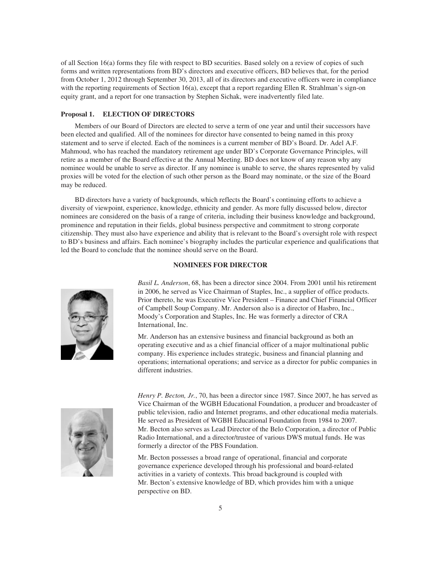of all Section 16(a) forms they file with respect to BD securities. Based solely on a review of copies of such forms and written representations from BD's directors and executive officers, BD believes that, for the period from October 1, 2012 through September 30, 2013, all of its directors and executive officers were in compliance with the reporting requirements of Section 16(a), except that a report regarding Ellen R. Strahlman's sign-on equity grant, and a report for one transaction by Stephen Sichak, were inadvertently filed late.

# **Proposal 1. ELECTION OF DIRECTORS**

Members of our Board of Directors are elected to serve a term of one year and until their successors have been elected and qualified. All of the nominees for director have consented to being named in this proxy statement and to serve if elected. Each of the nominees is a current member of BD's Board. Dr. Adel A.F. Mahmoud, who has reached the mandatory retirement age under BD's Corporate Governance Principles, will retire as a member of the Board effective at the Annual Meeting. BD does not know of any reason why any nominee would be unable to serve as director. If any nominee is unable to serve, the shares represented by valid proxies will be voted for the election of such other person as the Board may nominate, or the size of the Board may be reduced.

BD directors have a variety of backgrounds, which reflects the Board's continuing efforts to achieve a diversity of viewpoint, experience, knowledge, ethnicity and gender. As more fully discussed below, director nominees are considered on the basis of a range of criteria, including their business knowledge and background, prominence and reputation in their fields, global business perspective and commitment to strong corporate citizenship. They must also have experience and ability that is relevant to the Board's oversight role with respect to BD's business and affairs. Each nominee's biography includes the particular experience and qualifications that led the Board to conclude that the nominee should serve on the Board.

# **NOMINEES FOR DIRECTOR**



*Basil L. Anderson*, 68, has been a director since 2004. From 2001 until his retirement in 2006, he served as Vice Chairman of Staples, Inc., a supplier of office products. Prior thereto, he was Executive Vice President – Finance and Chief Financial Officer of Campbell Soup Company. Mr. Anderson also is a director of Hasbro, Inc., Moody's Corporation and Staples, Inc. He was formerly a director of CRA International, Inc.

Mr. Anderson has an extensive business and financial background as both an operating executive and as a chief financial officer of a major multinational public company. His experience includes strategic, business and financial planning and operations; international operations; and service as a director for public companies in different industries.



*Henry P. Becton, Jr., 70, has been a director since 1987. Since 2007, he has served as* Vice Chairman of the WGBH Educational Foundation, a producer and broadcaster of public television, radio and Internet programs, and other educational media materials. He served as President of WGBH Educational Foundation from 1984 to 2007. Mr. Becton also serves as Lead Director of the Belo Corporation, a director of Public Radio International, and a director/trustee of various DWS mutual funds. He was formerly a director of the PBS Foundation.

Mr. Becton possesses a broad range of operational, financial and corporate governance experience developed through his professional and board-related activities in a variety of contexts. This broad background is coupled with Mr. Becton's extensive knowledge of BD, which provides him with a unique perspective on BD.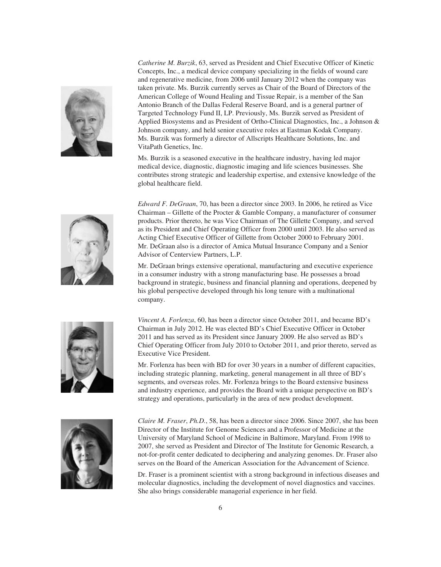

*Catherine M. Burzik*, 63, served as President and Chief Executive Officer of Kinetic Concepts, Inc., a medical device company specializing in the fields of wound care and regenerative medicine, from 2006 until January 2012 when the company was taken private. Ms. Burzik currently serves as Chair of the Board of Directors of the American College of Wound Healing and Tissue Repair, is a member of the San Antonio Branch of the Dallas Federal Reserve Board, and is a general partner of Targeted Technology Fund II, LP. Previously, Ms. Burzik served as President of Applied Biosystems and as President of Ortho-Clinical Diagnostics, Inc., a Johnson & Johnson company, and held senior executive roles at Eastman Kodak Company. Ms. Burzik was formerly a director of Allscripts Healthcare Solutions, Inc. and VitaPath Genetics, Inc.

Ms. Burzik is a seasoned executive in the healthcare industry, having led major medical device, diagnostic, diagnostic imaging and life sciences businesses. She contributes strong strategic and leadership expertise, and extensive knowledge of the global healthcare field.

*Edward F. DeGraan*, 70, has been a director since 2003. In 2006, he retired as Vice Chairman – Gillette of the Procter & Gamble Company, a manufacturer of consumer products. Prior thereto, he was Vice Chairman of The Gillette Company, and served as its President and Chief Operating Officer from 2000 until 2003. He also served as Acting Chief Executive Officer of Gillette from October 2000 to February 2001. Mr. DeGraan also is a director of Amica Mutual Insurance Company and a Senior Advisor of Centerview Partners, L.P.

Mr. DeGraan brings extensive operational, manufacturing and executive experience in a consumer industry with a strong manufacturing base. He possesses a broad background in strategic, business and financial planning and operations, deepened by his global perspective developed through his long tenure with a multinational company.



*Vincent A. Forlenza*, 60, has been a director since October 2011, and became BD's Chairman in July 2012. He was elected BD's Chief Executive Officer in October 2011 and has served as its President since January 2009. He also served as BD's Chief Operating Officer from July 2010 to October 2011, and prior thereto, served as Executive Vice President.

Mr. Forlenza has been with BD for over 30 years in a number of different capacities, including strategic planning, marketing, general management in all three of BD's segments, and overseas roles. Mr. Forlenza brings to the Board extensive business and industry experience, and provides the Board with a unique perspective on BD's strategy and operations, particularly in the area of new product development.



*Claire M. Fraser*, *Ph.D.*, 58, has been a director since 2006. Since 2007, she has been Director of the Institute for Genome Sciences and a Professor of Medicine at the University of Maryland School of Medicine in Baltimore, Maryland. From 1998 to 2007, she served as President and Director of The Institute for Genomic Research, a not-for-profit center dedicated to deciphering and analyzing genomes. Dr. Fraser also serves on the Board of the American Association for the Advancement of Science.

Dr. Fraser is a prominent scientist with a strong background in infectious diseases and molecular diagnostics, including the development of novel diagnostics and vaccines. She also brings considerable managerial experience in her field.

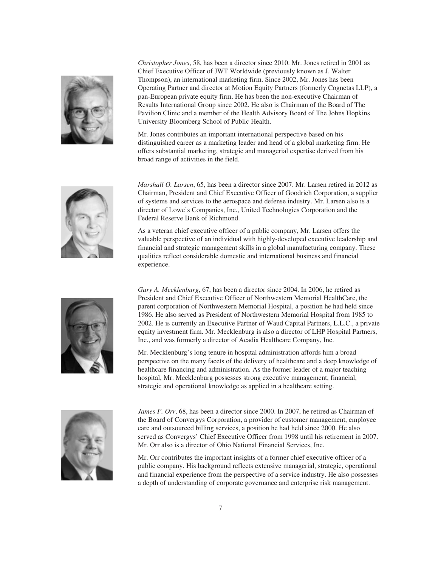

*Christopher Jones*, 58, has been a director since 2010. Mr. Jones retired in 2001 as Chief Executive Officer of JWT Worldwide (previously known as J. Walter Thompson), an international marketing firm. Since 2002, Mr. Jones has been Operating Partner and director at Motion Equity Partners (formerly Cognetas LLP), a pan-European private equity firm. He has been the non-executive Chairman of Results International Group since 2002. He also is Chairman of the Board of The Pavilion Clinic and a member of the Health Advisory Board of The Johns Hopkins University Bloomberg School of Public Health.

Mr. Jones contributes an important international perspective based on his distinguished career as a marketing leader and head of a global marketing firm. He offers substantial marketing, strategic and managerial expertise derived from his broad range of activities in the field.



*Marshall O. Larsen*, 65, has been a director since 2007. Mr. Larsen retired in 2012 as Chairman, President and Chief Executive Officer of Goodrich Corporation, a supplier of systems and services to the aerospace and defense industry. Mr. Larsen also is a director of Lowe's Companies, Inc., United Technologies Corporation and the Federal Reserve Bank of Richmond.

As a veteran chief executive officer of a public company, Mr. Larsen offers the valuable perspective of an individual with highly-developed executive leadership and financial and strategic management skills in a global manufacturing company. These qualities reflect considerable domestic and international business and financial experience.



*Gary A. Mecklenburg*, 67, has been a director since 2004. In 2006, he retired as President and Chief Executive Officer of Northwestern Memorial HealthCare, the parent corporation of Northwestern Memorial Hospital, a position he had held since 1986. He also served as President of Northwestern Memorial Hospital from 1985 to 2002. He is currently an Executive Partner of Waud Capital Partners, L.L.C., a private equity investment firm. Mr. Mecklenburg is also a director of LHP Hospital Partners, Inc., and was formerly a director of Acadia Healthcare Company, Inc.

Mr. Mecklenburg's long tenure in hospital administration affords him a broad perspective on the many facets of the delivery of healthcare and a deep knowledge of healthcare financing and administration. As the former leader of a major teaching hospital, Mr. Mecklenburg possesses strong executive management, financial, strategic and operational knowledge as applied in a healthcare setting.



*James F. Orr*, 68, has been a director since 2000. In 2007, he retired as Chairman of the Board of Convergys Corporation, a provider of customer management, employee care and outsourced billing services, a position he had held since 2000. He also served as Convergys' Chief Executive Officer from 1998 until his retirement in 2007. Mr. Orr also is a director of Ohio National Financial Services, Inc.

Mr. Orr contributes the important insights of a former chief executive officer of a public company. His background reflects extensive managerial, strategic, operational and financial experience from the perspective of a service industry. He also possesses a depth of understanding of corporate governance and enterprise risk management.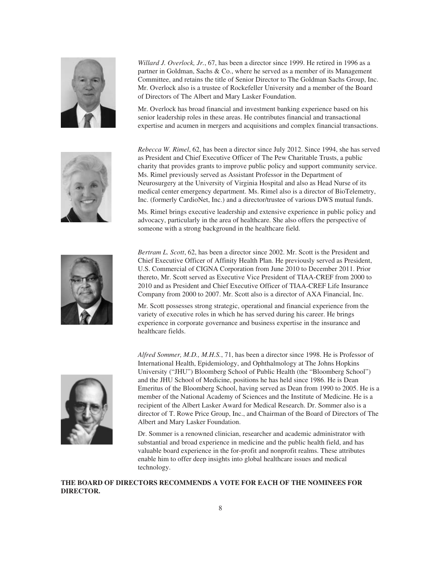



Mr. Overlock has broad financial and investment banking experience based on his senior leadership roles in these areas. He contributes financial and transactional expertise and acumen in mergers and acquisitions and complex financial transactions.



*Rebecca W. Rimel*, 62, has been a director since July 2012. Since 1994, she has served as President and Chief Executive Officer of The Pew Charitable Trusts, a public charity that provides grants to improve public policy and support community service. Ms. Rimel previously served as Assistant Professor in the Department of Neurosurgery at the University of Virginia Hospital and also as Head Nurse of its medical center emergency department. Ms. Rimel also is a director of BioTelemetry, Inc. (formerly CardioNet, Inc.) and a director/trustee of various DWS mutual funds.

Ms. Rimel brings executive leadership and extensive experience in public policy and advocacy, particularly in the area of healthcare. She also offers the perspective of someone with a strong background in the healthcare field.



*Bertram L. Scott*, 62, has been a director since 2002. Mr. Scott is the President and Chief Executive Officer of Affinity Health Plan. He previously served as President, U.S. Commercial of CIGNA Corporation from June 2010 to December 2011. Prior thereto, Mr. Scott served as Executive Vice President of TIAA-CREF from 2000 to 2010 and as President and Chief Executive Officer of TIAA-CREF Life Insurance Company from 2000 to 2007. Mr. Scott also is a director of AXA Financial, Inc.

Mr. Scott possesses strong strategic, operational and financial experience from the variety of executive roles in which he has served during his career. He brings experience in corporate governance and business expertise in the insurance and healthcare fields.



*Alfred Sommer, M.D., M.H.S.*, 71, has been a director since 1998. He is Professor of International Health, Epidemiology, and Ophthalmology at The Johns Hopkins University ("JHU") Bloomberg School of Public Health (the "Bloomberg School") and the JHU School of Medicine, positions he has held since 1986. He is Dean Emeritus of the Bloomberg School, having served as Dean from 1990 to 2005. He is a member of the National Academy of Sciences and the Institute of Medicine. He is a recipient of the Albert Lasker Award for Medical Research. Dr. Sommer also is a director of T. Rowe Price Group, Inc., and Chairman of the Board of Directors of The Albert and Mary Lasker Foundation.

Dr. Sommer is a renowned clinician, researcher and academic administrator with substantial and broad experience in medicine and the public health field, and has valuable board experience in the for-profit and nonprofit realms. These attributes enable him to offer deep insights into global healthcare issues and medical technology.

**THE BOARD OF DIRECTORS RECOMMENDS A VOTE FOR EACH OF THE NOMINEES FOR DIRECTOR.**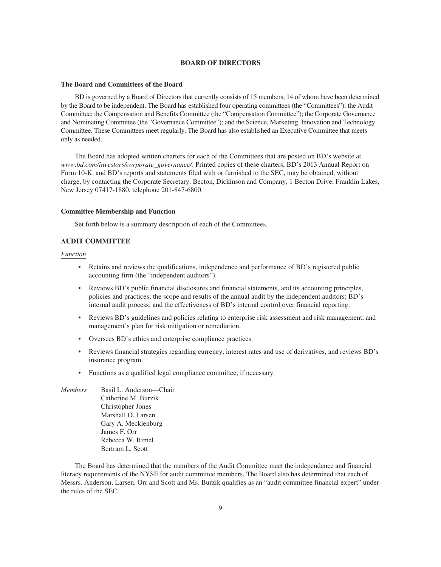### **BOARD OF DIRECTORS**

#### **The Board and Committees of the Board**

BD is governed by a Board of Directors that currently consists of 15 members, 14 of whom have been determined by the Board to be independent. The Board has established four operating committees (the "Committees"): the Audit Committee; the Compensation and Benefits Committee (the "Compensation Committee"); the Corporate Governance and Nominating Committee (the "Governance Committee"); and the Science, Marketing, Innovation and Technology Committee. These Committees meet regularly. The Board has also established an Executive Committee that meets only as needed.

The Board has adopted written charters for each of the Committees that are posted on BD's website at *www.bd.com/investors/corporate\_governance/*. Printed copies of these charters, BD's 2013 Annual Report on Form 10-K, and BD's reports and statements filed with or furnished to the SEC, may be obtained, without charge, by contacting the Corporate Secretary, Becton, Dickinson and Company, 1 Becton Drive, Franklin Lakes, New Jersey 07417-1880, telephone 201-847-6800.

#### **Committee Membership and Function**

Set forth below is a summary description of each of the Committees.

### **AUDIT COMMITTEE**

## *Function*

- Retains and reviews the qualifications, independence and performance of BD's registered public accounting firm (the "independent auditors").
- Reviews BD's public financial disclosures and financial statements, and its accounting principles, policies and practices; the scope and results of the annual audit by the independent auditors; BD's internal audit process; and the effectiveness of BD's internal control over financial reporting.
- Reviews BD's guidelines and policies relating to enterprise risk assessment and risk management, and management's plan for risk mitigation or remediation.
- Oversees BD's ethics and enterprise compliance practices.
- Reviews financial strategies regarding currency, interest rates and use of derivatives, and reviews BD's insurance program.
- Functions as a qualified legal compliance committee, if necessary.
- *Members* Basil L. Anderson—Chair Catherine M. Burzik Christopher Jones Marshall O. Larsen Gary A. Mecklenburg James F. Orr Rebecca W. Rimel Bertram L. Scott

The Board has determined that the members of the Audit Committee meet the independence and financial literacy requirements of the NYSE for audit committee members. The Board also has determined that each of Messrs. Anderson, Larsen, Orr and Scott and Ms. Burzik qualifies as an "audit committee financial expert" under the rules of the SEC.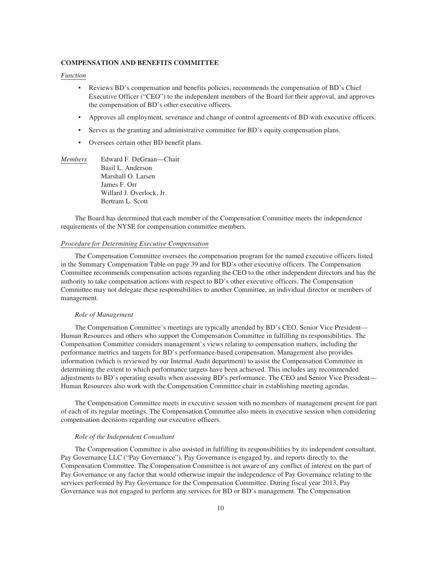### **COMPENSATION AND BENEFITS COMMITTEE**

#### *Function*

- Reviews BD's compensation and benefits policies, recommends the compensation of BD's Chief Executive Officer ("CEO") to the independent members of the Board for their approval, and approves the compensation of BD's other executive officers.
- Approves all employment, severance and change of control agreements of BD with executive officers.
- Serves as the granting and administrative committee for BD's equity compensation plans.
- Oversees certain other BD benefit plans.
- *Members* Edward F. DeGraan—Chair Basil L. Anderson Marshall O. Larsen James F. Orr Willard J. Overlock, Jr. Bertram L. Scott

The Board has determined that each member of the Compensation Committee meets the independence requirements of the NYSE for compensation committee members.

#### *Procedure for Determining Executive Compensation*

The Compensation Committee oversees the compensation program for the named executive officers listed in the Summary Compensation Table on page 39 and for BD's other executive officers. The Compensation Committee recommends compensation actions regarding the CEO to the other independent directors and has the authority to take compensation actions with respect to BD's other executive officers. The Compensation Committee may not delegate these responsibilities to another Committee, an individual director or members of management.

#### *Role of Management*

The Compensation Committee's meetings are typically attended by BD's CEO, Senior Vice President— Human Resources and others who support the Compensation Committee in fulfilling its responsibilities. The Compensation Committee considers management's views relating to compensation matters, including the performance metrics and targets for BD's performance-based compensation. Management also provides information (which is reviewed by our Internal Audit department) to assist the Compensation Committee in determining the extent to which performance targets have been achieved. This includes any recommended adjustments to BD's operating results when assessing BD's performance. The CEO and Senior Vice President— Human Resources also work with the Compensation Committee chair in establishing meeting agendas.

The Compensation Committee meets in executive session with no members of management present for part of each of its regular meetings. The Compensation Committee also meets in executive session when considering compensation decisions regarding our executive officers.

#### *Role of the Independent Consultant*

The Compensation Committee is also assisted in fulfilling its responsibilities by its independent consultant, Pay Governance LLC ("Pay Governance"). Pay Governance is engaged by, and reports directly to, the Compensation Committee. The Compensation Committee is not aware of any conflict of interest on the part of Pay Governance or any factor that would otherwise impair the independence of Pay Governance relating to the services performed by Pay Governance for the Compensation Committee. During fiscal year 2013, Pay Governance was not engaged to perform any services for BD or BD's management. The Compensation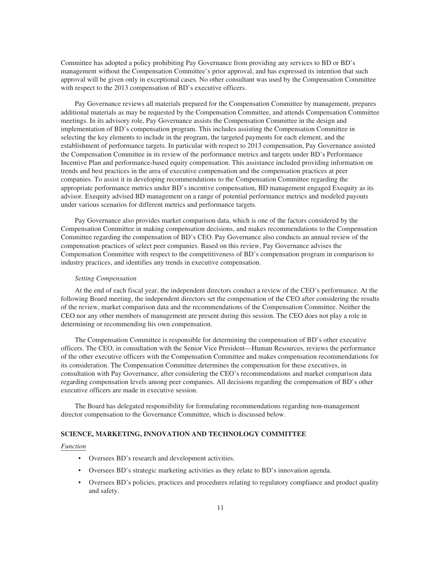Committee has adopted a policy prohibiting Pay Governance from providing any services to BD or BD's management without the Compensation Committee's prior approval, and has expressed its intention that such approval will be given only in exceptional cases. No other consultant was used by the Compensation Committee with respect to the 2013 compensation of BD's executive officers.

Pay Governance reviews all materials prepared for the Compensation Committee by management, prepares additional materials as may be requested by the Compensation Committee, and attends Compensation Committee meetings. In its advisory role, Pay Governance assists the Compensation Committee in the design and implementation of BD's compensation program. This includes assisting the Compensation Committee in selecting the key elements to include in the program, the targeted payments for each element, and the establishment of performance targets. In particular with respect to 2013 compensation, Pay Governance assisted the Compensation Committee in its review of the performance metrics and targets under BD's Performance Incentive Plan and performance-based equity compensation. This assistance included providing information on trends and best practices in the area of executive compensation and the compensation practices at peer companies. To assist it in developing recommendations to the Compensation Committee regarding the appropriate performance metrics under BD's incentive compensation, BD management engaged Exequity as its advisor. Exequity advised BD management on a range of potential performance metrics and modeled payouts under various scenarios for different metrics and performance targets.

Pay Governance also provides market comparison data, which is one of the factors considered by the Compensation Committee in making compensation decisions, and makes recommendations to the Compensation Committee regarding the compensation of BD's CEO. Pay Governance also conducts an annual review of the compensation practices of select peer companies. Based on this review, Pay Governance advises the Compensation Committee with respect to the competitiveness of BD's compensation program in comparison to industry practices, and identifies any trends in executive compensation.

### *Setting Compensation*

At the end of each fiscal year, the independent directors conduct a review of the CEO's performance. At the following Board meeting, the independent directors set the compensation of the CEO after considering the results of the review, market comparison data and the recommendations of the Compensation Committee. Neither the CEO nor any other members of management are present during this session. The CEO does not play a role in determining or recommending his own compensation.

The Compensation Committee is responsible for determining the compensation of BD's other executive officers. The CEO, in consultation with the Senior Vice President—Human Resources, reviews the performance of the other executive officers with the Compensation Committee and makes compensation recommendations for its consideration. The Compensation Committee determines the compensation for these executives, in consultation with Pay Governance, after considering the CEO's recommendations and market comparison data regarding compensation levels among peer companies. All decisions regarding the compensation of BD's other executive officers are made in executive session.

The Board has delegated responsibility for formulating recommendations regarding non-management director compensation to the Governance Committee, which is discussed below.

### **SCIENCE, MARKETING, INNOVATION AND TECHNOLOGY COMMITTEE**

### *Function*

- Oversees BD's research and development activities.
- Oversees BD's strategic marketing activities as they relate to BD's innovation agenda.
- Oversees BD's policies, practices and procedures relating to regulatory compliance and product quality and safety.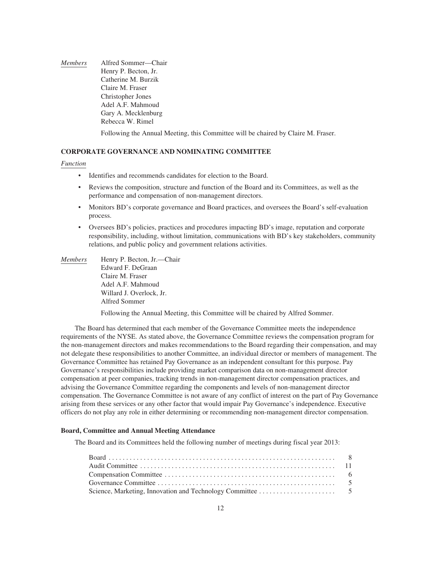*Members* Alfred Sommer—Chair Henry P. Becton, Jr. Catherine M. Burzik Claire M. Fraser Christopher Jones Adel A.F. Mahmoud Gary A. Mecklenburg Rebecca W. Rimel Following the Annual Meeting, this Committee will be chaired by Claire M. Fraser.

# **CORPORATE GOVERNANCE AND NOMINATING COMMITTEE**

# *Function*

- Identifies and recommends candidates for election to the Board.
- Reviews the composition, structure and function of the Board and its Committees, as well as the performance and compensation of non-management directors.
- Monitors BD's corporate governance and Board practices, and oversees the Board's self-evaluation process.
- Oversees BD's policies, practices and procedures impacting BD's image, reputation and corporate responsibility, including, without limitation, communications with BD's key stakeholders, community relations, and public policy and government relations activities.

| <i>Members</i> | Henry P. Becton, Jr.-Chair                                     |
|----------------|----------------------------------------------------------------|
|                | Edward F. DeGraan                                              |
|                | Claire M. Fraser                                               |
|                | Adel A.F. Mahmoud                                              |
|                | Willard J. Overlock, Jr.                                       |
|                | Alfred Sommer                                                  |
|                | $\Gamma$ . 11. $\Gamma$ . 11. A., 11. M., 1., 1., 1., $\Gamma$ |

Following the Annual Meeting, this Committee will be chaired by Alfred Sommer.

The Board has determined that each member of the Governance Committee meets the independence requirements of the NYSE. As stated above, the Governance Committee reviews the compensation program for the non-management directors and makes recommendations to the Board regarding their compensation, and may not delegate these responsibilities to another Committee, an individual director or members of management. The Governance Committee has retained Pay Governance as an independent consultant for this purpose. Pay Governance's responsibilities include providing market comparison data on non-management director compensation at peer companies, tracking trends in non-management director compensation practices, and advising the Governance Committee regarding the components and levels of non-management director compensation. The Governance Committee is not aware of any conflict of interest on the part of Pay Governance arising from these services or any other factor that would impair Pay Governance's independence. Executive officers do not play any role in either determining or recommending non-management director compensation.

### **Board, Committee and Annual Meeting Attendance**

The Board and its Committees held the following number of meetings during fiscal year 2013: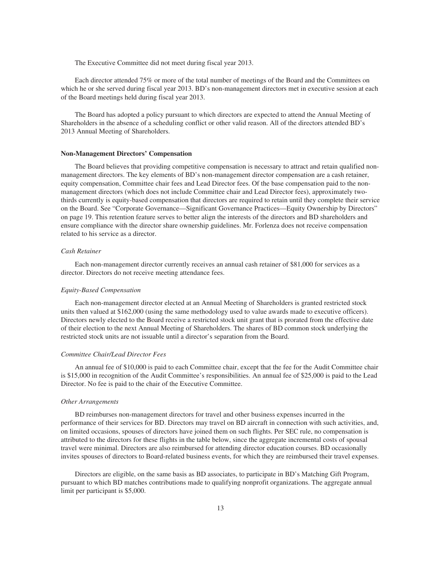The Executive Committee did not meet during fiscal year 2013.

Each director attended 75% or more of the total number of meetings of the Board and the Committees on which he or she served during fiscal year 2013. BD's non-management directors met in executive session at each of the Board meetings held during fiscal year 2013.

The Board has adopted a policy pursuant to which directors are expected to attend the Annual Meeting of Shareholders in the absence of a scheduling conflict or other valid reason. All of the directors attended BD's 2013 Annual Meeting of Shareholders.

#### **Non-Management Directors' Compensation**

The Board believes that providing competitive compensation is necessary to attract and retain qualified nonmanagement directors. The key elements of BD's non-management director compensation are a cash retainer, equity compensation, Committee chair fees and Lead Director fees. Of the base compensation paid to the nonmanagement directors (which does not include Committee chair and Lead Director fees), approximately twothirds currently is equity-based compensation that directors are required to retain until they complete their service on the Board. See "Corporate Governance—Significant Governance Practices—Equity Ownership by Directors" on page 19. This retention feature serves to better align the interests of the directors and BD shareholders and ensure compliance with the director share ownership guidelines. Mr. Forlenza does not receive compensation related to his service as a director.

# *Cash Retainer*

Each non-management director currently receives an annual cash retainer of \$81,000 for services as a director. Directors do not receive meeting attendance fees.

#### *Equity-Based Compensation*

Each non-management director elected at an Annual Meeting of Shareholders is granted restricted stock units then valued at \$162,000 (using the same methodology used to value awards made to executive officers). Directors newly elected to the Board receive a restricted stock unit grant that is prorated from the effective date of their election to the next Annual Meeting of Shareholders. The shares of BD common stock underlying the restricted stock units are not issuable until a director's separation from the Board.

# *Committee Chair/Lead Director Fees*

An annual fee of \$10,000 is paid to each Committee chair, except that the fee for the Audit Committee chair is \$15,000 in recognition of the Audit Committee's responsibilities. An annual fee of \$25,000 is paid to the Lead Director. No fee is paid to the chair of the Executive Committee.

#### *Other Arrangements*

BD reimburses non-management directors for travel and other business expenses incurred in the performance of their services for BD. Directors may travel on BD aircraft in connection with such activities, and, on limited occasions, spouses of directors have joined them on such flights. Per SEC rule, no compensation is attributed to the directors for these flights in the table below, since the aggregate incremental costs of spousal travel were minimal. Directors are also reimbursed for attending director education courses. BD occasionally invites spouses of directors to Board-related business events, for which they are reimbursed their travel expenses.

Directors are eligible, on the same basis as BD associates, to participate in BD's Matching Gift Program, pursuant to which BD matches contributions made to qualifying nonprofit organizations. The aggregate annual limit per participant is \$5,000.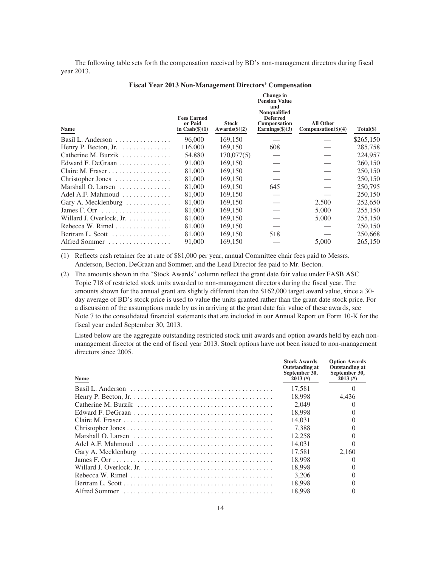The following table sets forth the compensation received by BD's non-management directors during fiscal year 2013.

|                                                    | <b>Fees Earned</b><br>or Paid | <b>Stock</b> | Change in<br><b>Pension Value</b><br>and<br><b>Nonqualified</b><br><b>Deferred</b><br><b>Compensation</b> | <b>All Other</b> |           |
|----------------------------------------------------|-------------------------------|--------------|-----------------------------------------------------------------------------------------------------------|------------------|-----------|
| Name                                               | in $Cash(\$)(1)$              | Awards(3)(2) | Earnings $(\frac{6}{3})$                                                                                  | Comparison(3)(4) | Total(\$) |
| Basil L. Anderson $\dots \dots \dots \dots$        | 96,000                        | 169,150      |                                                                                                           |                  | \$265,150 |
| Henry P. Becton, Jr.                               | 116,000                       | 169,150      | 608                                                                                                       |                  | 285,758   |
| Catherine M. Burzik                                | 54,880                        | 170,077(5)   |                                                                                                           |                  | 224,957   |
| Edward F. DeGraan                                  | 91,000                        | 169,150      |                                                                                                           |                  | 260,150   |
| Claire M. Fraser                                   | 81,000                        | 169,150      |                                                                                                           |                  | 250,150   |
| Christopher Jones                                  | 81,000                        | 169,150      |                                                                                                           |                  | 250,150   |
| Marshall O. Larsen                                 | 81,000                        | 169,150      | 645                                                                                                       |                  | 250,795   |
| Adel A.F. Mahmoud                                  | 81,000                        | 169,150      |                                                                                                           |                  | 250,150   |
| Gary A. Mecklenburg                                | 81,000                        | 169,150      |                                                                                                           | 2,500            | 252,650   |
| James F. Orr $\dots\dots\dots\dots\dots\dots\dots$ | 81,000                        | 169,150      |                                                                                                           | 5,000            | 255,150   |
| Willard J. Overlock, Jr.                           | 81,000                        | 169,150      |                                                                                                           | 5,000            | 255,150   |
| Rebecca W. Rimel                                   | 81,000                        | 169,150      |                                                                                                           |                  | 250,150   |
| Bertram L. Scott                                   | 81,000                        | 169,150      | 518                                                                                                       |                  | 250,668   |
| Alfred Sommer                                      | 91,000                        | 169,150      |                                                                                                           | 5,000            | 265,150   |

#### **Fiscal Year 2013 Non-Management Directors' Compensation**

(1) Reflects cash retainer fee at rate of \$81,000 per year, annual Committee chair fees paid to Messrs. Anderson, Becton, DeGraan and Sommer, and the Lead Director fee paid to Mr. Becton.

(2) The amounts shown in the "Stock Awards" column reflect the grant date fair value under FASB ASC Topic 718 of restricted stock units awarded to non-management directors during the fiscal year. The amounts shown for the annual grant are slightly different than the \$162,000 target award value, since a 30 day average of BD's stock price is used to value the units granted rather than the grant date stock price. For a discussion of the assumptions made by us in arriving at the grant date fair value of these awards, see Note 7 to the consolidated financial statements that are included in our Annual Report on Form 10-K for the fiscal year ended September 30, 2013.

Listed below are the aggregate outstanding restricted stock unit awards and option awards held by each nonmanagement director at the end of fiscal year 2013. Stock options have not been issued to non-management directors since 2005.

| <b>Name</b> | <b>Stock Awards</b><br>Outstanding at<br>September 30,<br>2013(f) | <b>Option Awards</b><br><b>Outstanding at</b><br>September 30,<br>2013(f) |
|-------------|-------------------------------------------------------------------|---------------------------------------------------------------------------|
|             | 17.581                                                            |                                                                           |
|             | 18.998                                                            | 4.436                                                                     |
|             | 2.049                                                             |                                                                           |
|             | 18.998                                                            |                                                                           |
|             | 14.031                                                            |                                                                           |
|             | 7.388                                                             |                                                                           |
|             | 12.258                                                            |                                                                           |
|             | 14.031                                                            |                                                                           |
|             | 17.581                                                            | 2.160                                                                     |
|             | 18.998                                                            |                                                                           |
|             | 18.998                                                            |                                                                           |
|             | 3.206                                                             |                                                                           |
|             | 18.998                                                            |                                                                           |
|             | 18.998                                                            |                                                                           |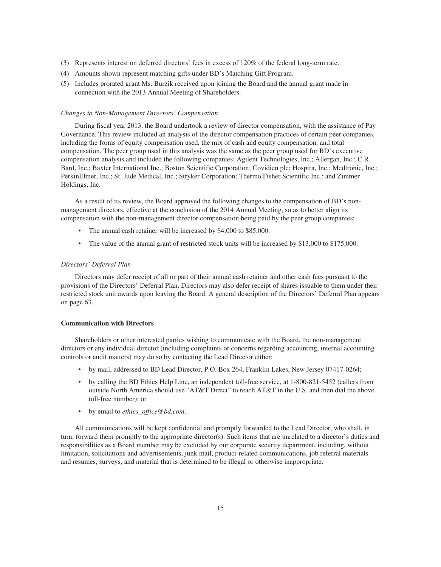- (3) Represents interest on deferred directors' fees in excess of 120% of the federal long-term rate.
- (4) Amounts shown represent matching gifts under BD's Matching Gift Program.
- (5) Includes prorated grant Ms. Burzik received upon joining the Board and the annual grant made in connection with the 2013 Annual Meeting of Shareholders.

#### *Changes to Non-Management Directors' Compensation*

During fiscal year 2013, the Board undertook a review of director compensation, with the assistance of Pay Governance. This review included an analysis of the director compensation practices of certain peer companies, including the forms of equity compensation used, the mix of cash and equity compensation, and total compensation. The peer group used in this analysis was the same as the peer group used for BD's executive compensation analysis and included the following companies: Agilent Technologies, Inc.; Allergan, Inc.; C.R. Bard, Inc.; Baxter International Inc.; Boston Scientific Corporation; Covidien plc; Hospira, Inc.; Medtronic, Inc.; PerkinElmer, Inc.; St. Jude Medical, Inc.; Stryker Corporation; Thermo Fisher Scientific Inc.; and Zimmer Holdings, Inc.

As a result of its review, the Board approved the following changes to the compensation of BD's nonmanagement directors, effective at the conclusion of the 2014 Annual Meeting, so as to better align its compensation with the non-management director compensation being paid by the peer group companies:

- The annual cash retainer will be increased by \$4,000 to \$85,000.
- The value of the annual grant of restricted stock units will be increased by \$13,000 to \$175,000.

# *Directors' Deferral Plan*

Directors may defer receipt of all or part of their annual cash retainer and other cash fees pursuant to the provisions of the Directors' Deferral Plan. Directors may also defer receipt of shares issuable to them under their restricted stock unit awards upon leaving the Board. A general description of the Directors' Deferral Plan appears on page 63.

### **Communication with Directors**

Shareholders or other interested parties wishing to communicate with the Board, the non-management directors or any individual director (including complaints or concerns regarding accounting, internal accounting controls or audit matters) may do so by contacting the Lead Director either:

- by mail, addressed to BD Lead Director, P.O. Box 264, Franklin Lakes, New Jersey 07417-0264;
- by calling the BD Ethics Help Line, an independent toll-free service, at 1-800-821-5452 (callers from outside North America should use "AT&T Direct" to reach AT&T in the U.S. and then dial the above toll-free number); or
- by email to *ethics\_office@bd.com*.

All communications will be kept confidential and promptly forwarded to the Lead Director, who shall, in turn, forward them promptly to the appropriate director(s). Such items that are unrelated to a director's duties and responsibilities as a Board member may be excluded by our corporate security department, including, without limitation, solicitations and advertisements, junk mail, product-related communications, job referral materials and resumes, surveys, and material that is determined to be illegal or otherwise inappropriate.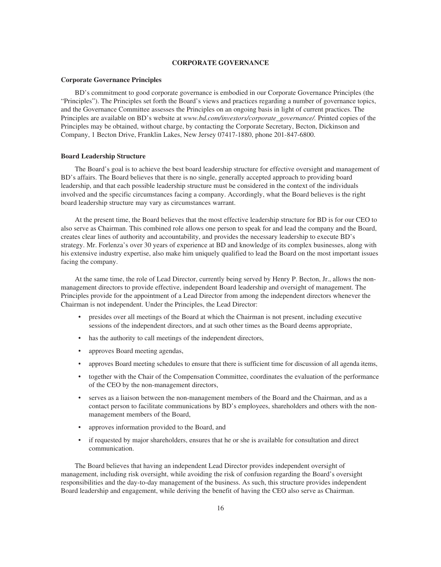### **CORPORATE GOVERNANCE**

## **Corporate Governance Principles**

BD's commitment to good corporate governance is embodied in our Corporate Governance Principles (the "Principles"). The Principles set forth the Board's views and practices regarding a number of governance topics, and the Governance Committee assesses the Principles on an ongoing basis in light of current practices. The Principles are available on BD's website at *www.bd.com/investors/corporate\_governance/.* Printed copies of the Principles may be obtained, without charge, by contacting the Corporate Secretary, Becton, Dickinson and Company, 1 Becton Drive, Franklin Lakes, New Jersey 07417-1880, phone 201-847-6800.

#### **Board Leadership Structure**

The Board's goal is to achieve the best board leadership structure for effective oversight and management of BD's affairs. The Board believes that there is no single, generally accepted approach to providing board leadership, and that each possible leadership structure must be considered in the context of the individuals involved and the specific circumstances facing a company. Accordingly, what the Board believes is the right board leadership structure may vary as circumstances warrant.

At the present time, the Board believes that the most effective leadership structure for BD is for our CEO to also serve as Chairman. This combined role allows one person to speak for and lead the company and the Board, creates clear lines of authority and accountability, and provides the necessary leadership to execute BD's strategy. Mr. Forlenza's over 30 years of experience at BD and knowledge of its complex businesses, along with his extensive industry expertise, also make him uniquely qualified to lead the Board on the most important issues facing the company.

At the same time, the role of Lead Director, currently being served by Henry P. Becton, Jr., allows the nonmanagement directors to provide effective, independent Board leadership and oversight of management. The Principles provide for the appointment of a Lead Director from among the independent directors whenever the Chairman is not independent. Under the Principles, the Lead Director:

- presides over all meetings of the Board at which the Chairman is not present, including executive sessions of the independent directors, and at such other times as the Board deems appropriate,
- has the authority to call meetings of the independent directors,
- approves Board meeting agendas,
- approves Board meeting schedules to ensure that there is sufficient time for discussion of all agenda items,
- together with the Chair of the Compensation Committee, coordinates the evaluation of the performance of the CEO by the non-management directors,
- serves as a liaison between the non-management members of the Board and the Chairman, and as a contact person to facilitate communications by BD's employees, shareholders and others with the nonmanagement members of the Board,
- approves information provided to the Board, and
- if requested by major shareholders, ensures that he or she is available for consultation and direct communication.

The Board believes that having an independent Lead Director provides independent oversight of management, including risk oversight, while avoiding the risk of confusion regarding the Board's oversight responsibilities and the day-to-day management of the business. As such, this structure provides independent Board leadership and engagement, while deriving the benefit of having the CEO also serve as Chairman.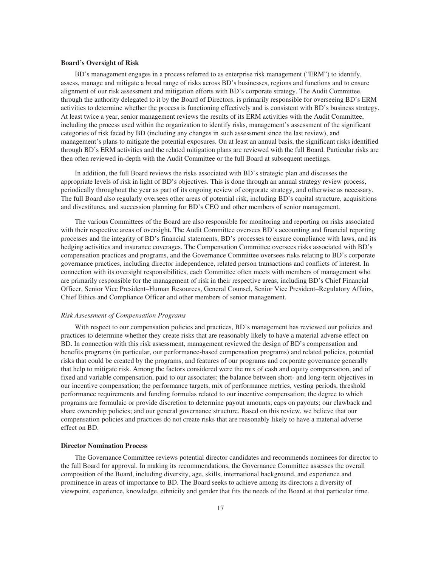### **Board's Oversight of Risk**

BD's management engages in a process referred to as enterprise risk management ("ERM") to identify, assess, manage and mitigate a broad range of risks across BD's businesses, regions and functions and to ensure alignment of our risk assessment and mitigation efforts with BD's corporate strategy. The Audit Committee, through the authority delegated to it by the Board of Directors, is primarily responsible for overseeing BD's ERM activities to determine whether the process is functioning effectively and is consistent with BD's business strategy. At least twice a year, senior management reviews the results of its ERM activities with the Audit Committee, including the process used within the organization to identify risks, management's assessment of the significant categories of risk faced by BD (including any changes in such assessment since the last review), and management's plans to mitigate the potential exposures. On at least an annual basis, the significant risks identified through BD's ERM activities and the related mitigation plans are reviewed with the full Board. Particular risks are then often reviewed in-depth with the Audit Committee or the full Board at subsequent meetings.

In addition, the full Board reviews the risks associated with BD's strategic plan and discusses the appropriate levels of risk in light of BD's objectives. This is done through an annual strategy review process, periodically throughout the year as part of its ongoing review of corporate strategy, and otherwise as necessary. The full Board also regularly oversees other areas of potential risk, including BD's capital structure, acquisitions and divestitures, and succession planning for BD's CEO and other members of senior management.

The various Committees of the Board are also responsible for monitoring and reporting on risks associated with their respective areas of oversight. The Audit Committee oversees BD's accounting and financial reporting processes and the integrity of BD's financial statements, BD's processes to ensure compliance with laws, and its hedging activities and insurance coverages. The Compensation Committee oversees risks associated with BD's compensation practices and programs, and the Governance Committee oversees risks relating to BD's corporate governance practices, including director independence, related person transactions and conflicts of interest. In connection with its oversight responsibilities, each Committee often meets with members of management who are primarily responsible for the management of risk in their respective areas, including BD's Chief Financial Officer, Senior Vice President–Human Resources, General Counsel, Senior Vice President–Regulatory Affairs, Chief Ethics and Compliance Officer and other members of senior management.

#### *Risk Assessment of Compensation Programs*

With respect to our compensation policies and practices, BD's management has reviewed our policies and practices to determine whether they create risks that are reasonably likely to have a material adverse effect on BD. In connection with this risk assessment, management reviewed the design of BD's compensation and benefits programs (in particular, our performance-based compensation programs) and related policies, potential risks that could be created by the programs, and features of our programs and corporate governance generally that help to mitigate risk. Among the factors considered were the mix of cash and equity compensation, and of fixed and variable compensation, paid to our associates; the balance between short- and long-term objectives in our incentive compensation; the performance targets, mix of performance metrics, vesting periods, threshold performance requirements and funding formulas related to our incentive compensation; the degree to which programs are formulaic or provide discretion to determine payout amounts; caps on payouts; our clawback and share ownership policies; and our general governance structure. Based on this review, we believe that our compensation policies and practices do not create risks that are reasonably likely to have a material adverse effect on BD.

### **Director Nomination Process**

The Governance Committee reviews potential director candidates and recommends nominees for director to the full Board for approval. In making its recommendations, the Governance Committee assesses the overall composition of the Board, including diversity, age, skills, international background, and experience and prominence in areas of importance to BD. The Board seeks to achieve among its directors a diversity of viewpoint, experience, knowledge, ethnicity and gender that fits the needs of the Board at that particular time.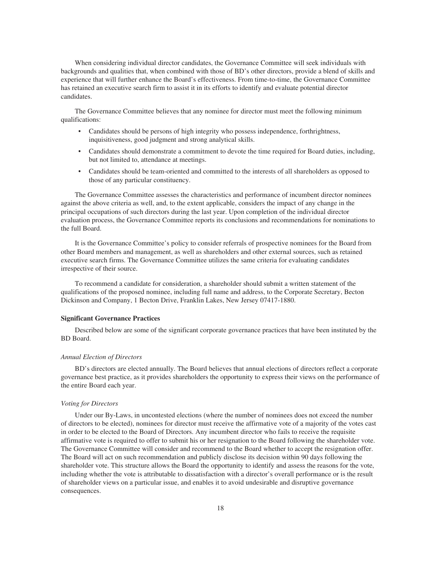When considering individual director candidates, the Governance Committee will seek individuals with backgrounds and qualities that, when combined with those of BD's other directors, provide a blend of skills and experience that will further enhance the Board's effectiveness. From time-to-time, the Governance Committee has retained an executive search firm to assist it in its efforts to identify and evaluate potential director candidates.

The Governance Committee believes that any nominee for director must meet the following minimum qualifications:

- Candidates should be persons of high integrity who possess independence, forthrightness, inquisitiveness, good judgment and strong analytical skills.
- Candidates should demonstrate a commitment to devote the time required for Board duties, including, but not limited to, attendance at meetings.
- Candidates should be team-oriented and committed to the interests of all shareholders as opposed to those of any particular constituency.

The Governance Committee assesses the characteristics and performance of incumbent director nominees against the above criteria as well, and, to the extent applicable, considers the impact of any change in the principal occupations of such directors during the last year. Upon completion of the individual director evaluation process, the Governance Committee reports its conclusions and recommendations for nominations to the full Board.

It is the Governance Committee's policy to consider referrals of prospective nominees for the Board from other Board members and management, as well as shareholders and other external sources, such as retained executive search firms. The Governance Committee utilizes the same criteria for evaluating candidates irrespective of their source.

To recommend a candidate for consideration, a shareholder should submit a written statement of the qualifications of the proposed nominee, including full name and address, to the Corporate Secretary, Becton Dickinson and Company, 1 Becton Drive, Franklin Lakes, New Jersey 07417-1880.

### **Significant Governance Practices**

Described below are some of the significant corporate governance practices that have been instituted by the BD Board.

#### *Annual Election of Directors*

BD's directors are elected annually. The Board believes that annual elections of directors reflect a corporate governance best practice, as it provides shareholders the opportunity to express their views on the performance of the entire Board each year.

#### *Voting for Directors*

Under our By-Laws, in uncontested elections (where the number of nominees does not exceed the number of directors to be elected), nominees for director must receive the affirmative vote of a majority of the votes cast in order to be elected to the Board of Directors. Any incumbent director who fails to receive the requisite affirmative vote is required to offer to submit his or her resignation to the Board following the shareholder vote. The Governance Committee will consider and recommend to the Board whether to accept the resignation offer. The Board will act on such recommendation and publicly disclose its decision within 90 days following the shareholder vote. This structure allows the Board the opportunity to identify and assess the reasons for the vote, including whether the vote is attributable to dissatisfaction with a director's overall performance or is the result of shareholder views on a particular issue, and enables it to avoid undesirable and disruptive governance consequences.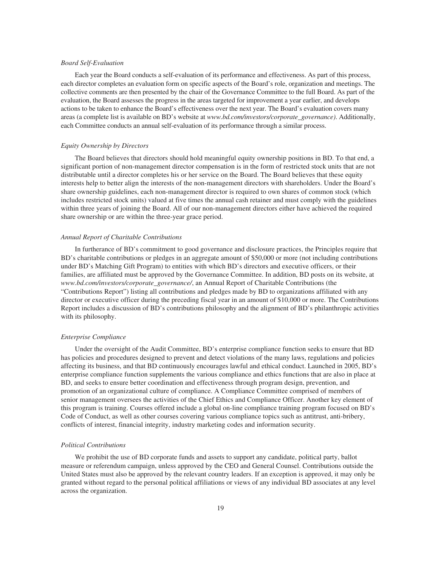#### *Board Self-Evaluation*

Each year the Board conducts a self-evaluation of its performance and effectiveness. As part of this process, each director completes an evaluation form on specific aspects of the Board's role, organization and meetings. The collective comments are then presented by the chair of the Governance Committee to the full Board. As part of the evaluation, the Board assesses the progress in the areas targeted for improvement a year earlier, and develops actions to be taken to enhance the Board's effectiveness over the next year. The Board's evaluation covers many areas (a complete list is available on BD's website at *www.bd.com/investors/corporate\_governance)*. Additionally, each Committee conducts an annual self-evaluation of its performance through a similar process.

### *Equity Ownership by Directors*

The Board believes that directors should hold meaningful equity ownership positions in BD. To that end, a significant portion of non-management director compensation is in the form of restricted stock units that are not distributable until a director completes his or her service on the Board. The Board believes that these equity interests help to better align the interests of the non-management directors with shareholders. Under the Board's share ownership guidelines, each non-management director is required to own shares of common stock (which includes restricted stock units) valued at five times the annual cash retainer and must comply with the guidelines within three years of joining the Board. All of our non-management directors either have achieved the required share ownership or are within the three-year grace period.

#### *Annual Report of Charitable Contributions*

In furtherance of BD's commitment to good governance and disclosure practices, the Principles require that BD's charitable contributions or pledges in an aggregate amount of \$50,000 or more (not including contributions under BD's Matching Gift Program) to entities with which BD's directors and executive officers, or their families, are affiliated must be approved by the Governance Committee. In addition, BD posts on its website, at *www.bd.com/investors/corporate\_governance/*, an Annual Report of Charitable Contributions (the "Contributions Report") listing all contributions and pledges made by BD to organizations affiliated with any director or executive officer during the preceding fiscal year in an amount of \$10,000 or more. The Contributions Report includes a discussion of BD's contributions philosophy and the alignment of BD's philanthropic activities with its philosophy.

#### *Enterprise Compliance*

Under the oversight of the Audit Committee, BD's enterprise compliance function seeks to ensure that BD has policies and procedures designed to prevent and detect violations of the many laws, regulations and policies affecting its business, and that BD continuously encourages lawful and ethical conduct. Launched in 2005, BD's enterprise compliance function supplements the various compliance and ethics functions that are also in place at BD, and seeks to ensure better coordination and effectiveness through program design, prevention, and promotion of an organizational culture of compliance. A Compliance Committee comprised of members of senior management oversees the activities of the Chief Ethics and Compliance Officer. Another key element of this program is training. Courses offered include a global on-line compliance training program focused on BD's Code of Conduct, as well as other courses covering various compliance topics such as antitrust, anti-bribery, conflicts of interest, financial integrity, industry marketing codes and information security.

#### *Political Contributions*

We prohibit the use of BD corporate funds and assets to support any candidate, political party, ballot measure or referendum campaign, unless approved by the CEO and General Counsel. Contributions outside the United States must also be approved by the relevant country leaders. If an exception is approved, it may only be granted without regard to the personal political affiliations or views of any individual BD associates at any level across the organization.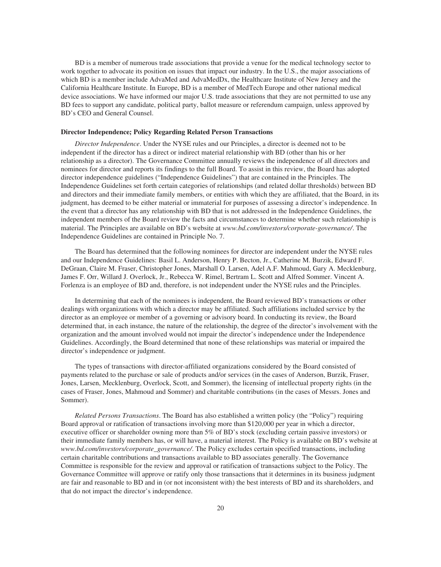BD is a member of numerous trade associations that provide a venue for the medical technology sector to work together to advocate its position on issues that impact our industry. In the U.S., the major associations of which BD is a member include AdvaMed and AdvaMedDx, the Healthcare Institute of New Jersey and the California Healthcare Institute. In Europe, BD is a member of MedTech Europe and other national medical device associations. We have informed our major U.S. trade associations that they are not permitted to use any BD fees to support any candidate, political party, ballot measure or referendum campaign, unless approved by BD's CEO and General Counsel.

#### **Director Independence; Policy Regarding Related Person Transactions**

*Director Independence*. Under the NYSE rules and our Principles, a director is deemed not to be independent if the director has a direct or indirect material relationship with BD (other than his or her relationship as a director). The Governance Committee annually reviews the independence of all directors and nominees for director and reports its findings to the full Board. To assist in this review, the Board has adopted director independence guidelines ("Independence Guidelines") that are contained in the Principles. The Independence Guidelines set forth certain categories of relationships (and related dollar thresholds) between BD and directors and their immediate family members, or entities with which they are affiliated, that the Board, in its judgment, has deemed to be either material or immaterial for purposes of assessing a director's independence. In the event that a director has any relationship with BD that is not addressed in the Independence Guidelines, the independent members of the Board review the facts and circumstances to determine whether such relationship is material. The Principles are available on BD's website at *www.bd.com/investors/corporate-governance/*. The Independence Guidelines are contained in Principle No. 7.

The Board has determined that the following nominees for director are independent under the NYSE rules and our Independence Guidelines: Basil L. Anderson, Henry P. Becton, Jr., Catherine M. Burzik, Edward F. DeGraan, Claire M. Fraser, Christopher Jones, Marshall O. Larsen, Adel A.F. Mahmoud, Gary A. Mecklenburg, James F. Orr, Willard J. Overlock, Jr., Rebecca W. Rimel, Bertram L. Scott and Alfred Sommer. Vincent A. Forlenza is an employee of BD and, therefore, is not independent under the NYSE rules and the Principles.

In determining that each of the nominees is independent, the Board reviewed BD's transactions or other dealings with organizations with which a director may be affiliated. Such affiliations included service by the director as an employee or member of a governing or advisory board. In conducting its review, the Board determined that, in each instance, the nature of the relationship, the degree of the director's involvement with the organization and the amount involved would not impair the director's independence under the Independence Guidelines. Accordingly, the Board determined that none of these relationships was material or impaired the director's independence or judgment.

The types of transactions with director-affiliated organizations considered by the Board consisted of payments related to the purchase or sale of products and/or services (in the cases of Anderson, Burzik, Fraser, Jones, Larsen, Mecklenburg, Overlock, Scott, and Sommer), the licensing of intellectual property rights (in the cases of Fraser, Jones, Mahmoud and Sommer) and charitable contributions (in the cases of Messrs. Jones and Sommer).

*Related Persons Transactions*. The Board has also established a written policy (the "Policy") requiring Board approval or ratification of transactions involving more than \$120,000 per year in which a director, executive officer or shareholder owning more than 5% of BD's stock (excluding certain passive investors) or their immediate family members has, or will have, a material interest. The Policy is available on BD's website at *www.bd.com/investors/corporate\_governance/*. The Policy excludes certain specified transactions, including certain charitable contributions and transactions available to BD associates generally. The Governance Committee is responsible for the review and approval or ratification of transactions subject to the Policy. The Governance Committee will approve or ratify only those transactions that it determines in its business judgment are fair and reasonable to BD and in (or not inconsistent with) the best interests of BD and its shareholders, and that do not impact the director's independence.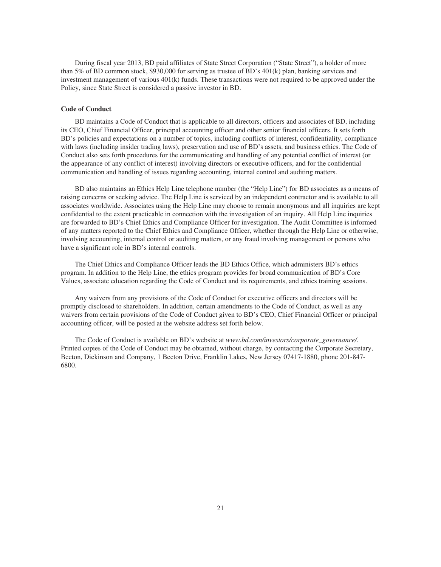During fiscal year 2013, BD paid affiliates of State Street Corporation ("State Street"), a holder of more than 5% of BD common stock, \$930,000 for serving as trustee of BD's 401(k) plan, banking services and investment management of various 401(k) funds. These transactions were not required to be approved under the Policy, since State Street is considered a passive investor in BD.

#### **Code of Conduct**

BD maintains a Code of Conduct that is applicable to all directors, officers and associates of BD, including its CEO, Chief Financial Officer, principal accounting officer and other senior financial officers. It sets forth BD's policies and expectations on a number of topics, including conflicts of interest, confidentiality, compliance with laws (including insider trading laws), preservation and use of BD's assets, and business ethics. The Code of Conduct also sets forth procedures for the communicating and handling of any potential conflict of interest (or the appearance of any conflict of interest) involving directors or executive officers, and for the confidential communication and handling of issues regarding accounting, internal control and auditing matters.

BD also maintains an Ethics Help Line telephone number (the "Help Line") for BD associates as a means of raising concerns or seeking advice. The Help Line is serviced by an independent contractor and is available to all associates worldwide. Associates using the Help Line may choose to remain anonymous and all inquiries are kept confidential to the extent practicable in connection with the investigation of an inquiry. All Help Line inquiries are forwarded to BD's Chief Ethics and Compliance Officer for investigation. The Audit Committee is informed of any matters reported to the Chief Ethics and Compliance Officer, whether through the Help Line or otherwise, involving accounting, internal control or auditing matters, or any fraud involving management or persons who have a significant role in BD's internal controls.

The Chief Ethics and Compliance Officer leads the BD Ethics Office, which administers BD's ethics program. In addition to the Help Line, the ethics program provides for broad communication of BD's Core Values, associate education regarding the Code of Conduct and its requirements, and ethics training sessions.

Any waivers from any provisions of the Code of Conduct for executive officers and directors will be promptly disclosed to shareholders. In addition, certain amendments to the Code of Conduct, as well as any waivers from certain provisions of the Code of Conduct given to BD's CEO, Chief Financial Officer or principal accounting officer, will be posted at the website address set forth below.

The Code of Conduct is available on BD's website at *www.bd.com/investors/corporate\_governance/*. Printed copies of the Code of Conduct may be obtained, without charge, by contacting the Corporate Secretary, Becton, Dickinson and Company, 1 Becton Drive, Franklin Lakes, New Jersey 07417-1880, phone 201-847- 6800.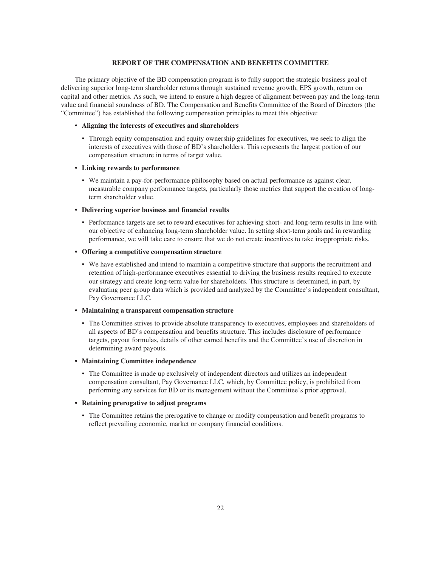### **REPORT OF THE COMPENSATION AND BENEFITS COMMITTEE**

The primary objective of the BD compensation program is to fully support the strategic business goal of delivering superior long-term shareholder returns through sustained revenue growth, EPS growth, return on capital and other metrics. As such, we intend to ensure a high degree of alignment between pay and the long-term value and financial soundness of BD. The Compensation and Benefits Committee of the Board of Directors (the "Committee") has established the following compensation principles to meet this objective:

### **• Aligning the interests of executives and shareholders**

• Through equity compensation and equity ownership guidelines for executives, we seek to align the interests of executives with those of BD's shareholders. This represents the largest portion of our compensation structure in terms of target value.

# **• Linking rewards to performance**

• We maintain a pay-for-performance philosophy based on actual performance as against clear, measurable company performance targets, particularly those metrics that support the creation of longterm shareholder value.

# **• Delivering superior business and financial results**

• Performance targets are set to reward executives for achieving short- and long-term results in line with our objective of enhancing long-term shareholder value. In setting short-term goals and in rewarding performance, we will take care to ensure that we do not create incentives to take inappropriate risks.

# **• Offering a competitive compensation structure**

• We have established and intend to maintain a competitive structure that supports the recruitment and retention of high-performance executives essential to driving the business results required to execute our strategy and create long-term value for shareholders. This structure is determined, in part, by evaluating peer group data which is provided and analyzed by the Committee's independent consultant, Pay Governance LLC.

# **• Maintaining a transparent compensation structure**

• The Committee strives to provide absolute transparency to executives, employees and shareholders of all aspects of BD's compensation and benefits structure. This includes disclosure of performance targets, payout formulas, details of other earned benefits and the Committee's use of discretion in determining award payouts.

# **• Maintaining Committee independence**

• The Committee is made up exclusively of independent directors and utilizes an independent compensation consultant, Pay Governance LLC, which, by Committee policy, is prohibited from performing any services for BD or its management without the Committee's prior approval.

# **• Retaining prerogative to adjust programs**

• The Committee retains the prerogative to change or modify compensation and benefit programs to reflect prevailing economic, market or company financial conditions.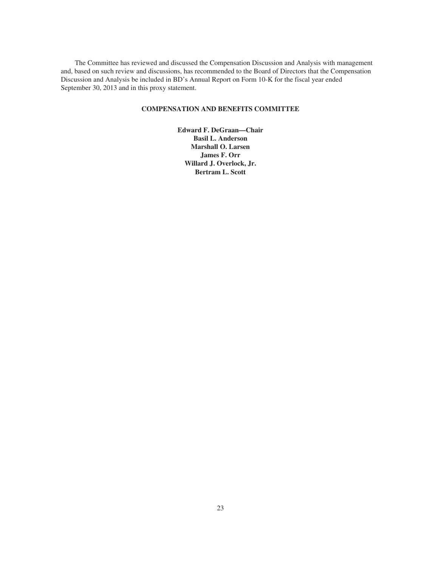The Committee has reviewed and discussed the Compensation Discussion and Analysis with management and, based on such review and discussions, has recommended to the Board of Directors that the Compensation Discussion and Analysis be included in BD's Annual Report on Form 10-K for the fiscal year ended September 30, 2013 and in this proxy statement.

## **COMPENSATION AND BENEFITS COMMITTEE**

**Edward F. DeGraan—Chair Basil L. Anderson Marshall O. Larsen James F. Orr Willard J. Overlock, Jr. Bertram L. Scott**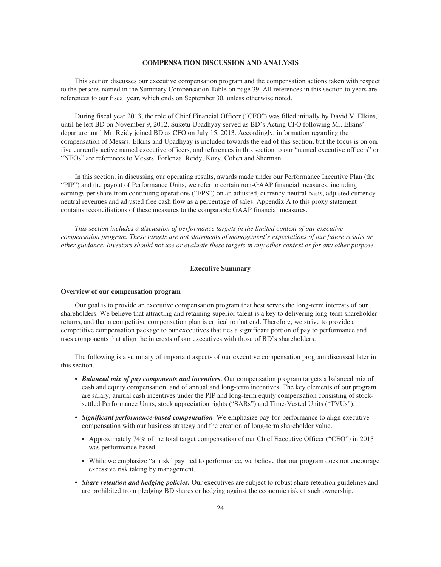### **COMPENSATION DISCUSSION AND ANALYSIS**

This section discusses our executive compensation program and the compensation actions taken with respect to the persons named in the Summary Compensation Table on page 39. All references in this section to years are references to our fiscal year, which ends on September 30, unless otherwise noted.

During fiscal year 2013, the role of Chief Financial Officer ("CFO") was filled initially by David V. Elkins, until he left BD on November 9, 2012. Suketu Upadhyay served as BD's Acting CFO following Mr. Elkins' departure until Mr. Reidy joined BD as CFO on July 15, 2013. Accordingly, information regarding the compensation of Messrs. Elkins and Upadhyay is included towards the end of this section, but the focus is on our five currently active named executive officers, and references in this section to our "named executive officers" or "NEOs" are references to Messrs. Forlenza, Reidy, Kozy, Cohen and Sherman.

In this section, in discussing our operating results, awards made under our Performance Incentive Plan (the "PIP") and the payout of Performance Units, we refer to certain non-GAAP financial measures, including earnings per share from continuing operations ("EPS") on an adjusted, currency-neutral basis, adjusted currencyneutral revenues and adjusted free cash flow as a percentage of sales. Appendix A to this proxy statement contains reconciliations of these measures to the comparable GAAP financial measures.

*This section includes a discussion of performance targets in the limited context of our executive compensation program. These targets are not statements of management's expectations of our future results or other guidance. Investors should not use or evaluate these targets in any other context or for any other purpose.*

### **Executive Summary**

### **Overview of our compensation program**

Our goal is to provide an executive compensation program that best serves the long-term interests of our shareholders. We believe that attracting and retaining superior talent is a key to delivering long-term shareholder returns, and that a competitive compensation plan is critical to that end. Therefore, we strive to provide a competitive compensation package to our executives that ties a significant portion of pay to performance and uses components that align the interests of our executives with those of BD's shareholders.

The following is a summary of important aspects of our executive compensation program discussed later in this section.

- *Balanced mix of pay components and incentives.* Our compensation program targets a balanced mix of cash and equity compensation, and of annual and long-term incentives. The key elements of our program are salary, annual cash incentives under the PIP and long-term equity compensation consisting of stocksettled Performance Units, stock appreciation rights ("SARs") and Time-Vested Units ("TVUs").
- *Significant performance-based compensation*. We emphasize pay-for-performance to align executive compensation with our business strategy and the creation of long-term shareholder value.
	- Approximately 74% of the total target compensation of our Chief Executive Officer ("CEO") in 2013 was performance-based.
	- While we emphasize "at risk" pay tied to performance, we believe that our program does not encourage excessive risk taking by management.
- *Share retention and hedging policies.* Our executives are subject to robust share retention guidelines and are prohibited from pledging BD shares or hedging against the economic risk of such ownership.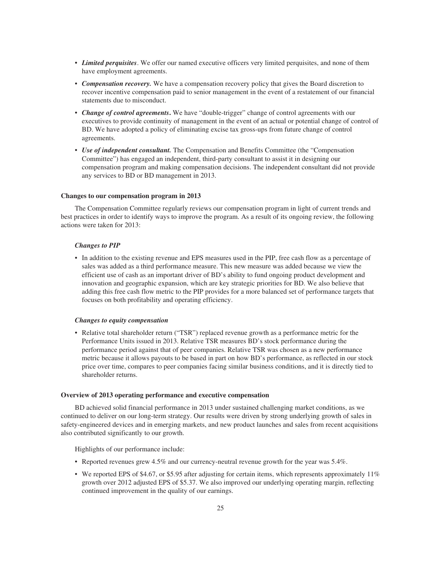- *Limited perquisites*. We offer our named executive officers very limited perquisites, and none of them have employment agreements.
- *Compensation recovery.* We have a compensation recovery policy that gives the Board discretion to recover incentive compensation paid to senior management in the event of a restatement of our financial statements due to misconduct.
- *Change of control agreements***.** We have "double-trigger" change of control agreements with our executives to provide continuity of management in the event of an actual or potential change of control of BD. We have adopted a policy of eliminating excise tax gross-ups from future change of control agreements.
- *Use of independent consultant*. The Compensation and Benefits Committee (the "Compensation" Committee") has engaged an independent, third-party consultant to assist it in designing our compensation program and making compensation decisions. The independent consultant did not provide any services to BD or BD management in 2013.

### **Changes to our compensation program in 2013**

The Compensation Committee regularly reviews our compensation program in light of current trends and best practices in order to identify ways to improve the program. As a result of its ongoing review, the following actions were taken for 2013:

### *Changes to PIP*

• In addition to the existing revenue and EPS measures used in the PIP, free cash flow as a percentage of sales was added as a third performance measure. This new measure was added because we view the efficient use of cash as an important driver of BD's ability to fund ongoing product development and innovation and geographic expansion, which are key strategic priorities for BD. We also believe that adding this free cash flow metric to the PIP provides for a more balanced set of performance targets that focuses on both profitability and operating efficiency.

### *Changes to equity compensation*

• Relative total shareholder return ("TSR") replaced revenue growth as a performance metric for the Performance Units issued in 2013. Relative TSR measures BD's stock performance during the performance period against that of peer companies. Relative TSR was chosen as a new performance metric because it allows payouts to be based in part on how BD's performance, as reflected in our stock price over time, compares to peer companies facing similar business conditions, and it is directly tied to shareholder returns.

#### **Overview of 2013 operating performance and executive compensation**

BD achieved solid financial performance in 2013 under sustained challenging market conditions, as we continued to deliver on our long-term strategy. Our results were driven by strong underlying growth of sales in safety-engineered devices and in emerging markets, and new product launches and sales from recent acquisitions also contributed significantly to our growth.

Highlights of our performance include:

- Reported revenues grew 4.5% and our currency-neutral revenue growth for the year was 5.4%.
- We reported EPS of \$4.67, or \$5.95 after adjusting for certain items, which represents approximately 11% growth over 2012 adjusted EPS of \$5.37. We also improved our underlying operating margin, reflecting continued improvement in the quality of our earnings.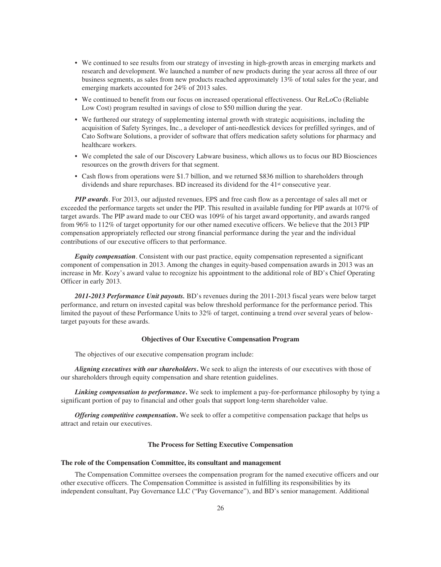- We continued to see results from our strategy of investing in high-growth areas in emerging markets and research and development. We launched a number of new products during the year across all three of our business segments, as sales from new products reached approximately 13% of total sales for the year, and emerging markets accounted for 24% of 2013 sales.
- We continued to benefit from our focus on increased operational effectiveness. Our ReLoCo (Reliable Low Cost) program resulted in savings of close to \$50 million during the year.
- We furthered our strategy of supplementing internal growth with strategic acquisitions, including the acquisition of Safety Syringes, Inc., a developer of anti-needlestick devices for prefilled syringes, and of Cato Software Solutions, a provider of software that offers medication safety solutions for pharmacy and healthcare workers.
- We completed the sale of our Discovery Labware business, which allows us to focus our BD Biosciences resources on the growth drivers for that segment.
- Cash flows from operations were \$1.7 billion, and we returned \$836 million to shareholders through dividends and share repurchases. BD increased its dividend for the 41st consecutive year.

*PIP awards*. For 2013, our adjusted revenues, EPS and free cash flow as a percentage of sales all met or exceeded the performance targets set under the PIP. This resulted in available funding for PIP awards at 107% of target awards. The PIP award made to our CEO was 109% of his target award opportunity, and awards ranged from 96% to 112% of target opportunity for our other named executive officers. We believe that the 2013 PIP compensation appropriately reflected our strong financial performance during the year and the individual contributions of our executive officers to that performance.

*Equity compensation*. Consistent with our past practice, equity compensation represented a significant component of compensation in 2013. Among the changes in equity-based compensation awards in 2013 was an increase in Mr. Kozy's award value to recognize his appointment to the additional role of BD's Chief Operating Officer in early 2013.

*2011-2013 Performance Unit payouts.* BD's revenues during the 2011-2013 fiscal years were below target performance, and return on invested capital was below threshold performance for the performance period. This limited the payout of these Performance Units to 32% of target, continuing a trend over several years of belowtarget payouts for these awards.

### **Objectives of Our Executive Compensation Program**

The objectives of our executive compensation program include:

*Aligning executives with our shareholders***.** We seek to align the interests of our executives with those of our shareholders through equity compensation and share retention guidelines.

*Linking compensation to performance***.** We seek to implement a pay-for-performance philosophy by tying a significant portion of pay to financial and other goals that support long-term shareholder value.

*Offering competitive compensation***.** We seek to offer a competitive compensation package that helps us attract and retain our executives.

## **The Process for Setting Executive Compensation**

#### **The role of the Compensation Committee, its consultant and management**

The Compensation Committee oversees the compensation program for the named executive officers and our other executive officers. The Compensation Committee is assisted in fulfilling its responsibilities by its independent consultant, Pay Governance LLC ("Pay Governance"), and BD's senior management. Additional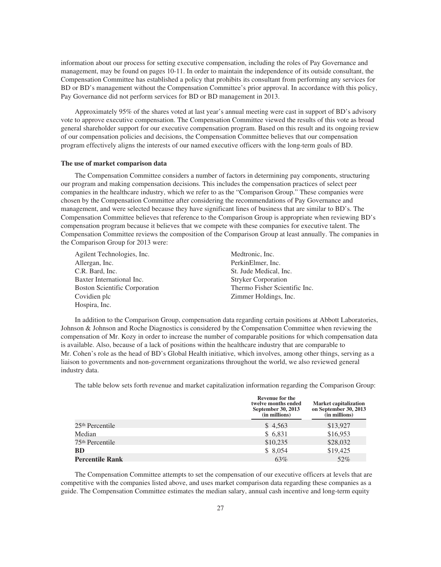information about our process for setting executive compensation, including the roles of Pay Governance and management, may be found on pages 10-11. In order to maintain the independence of its outside consultant, the Compensation Committee has established a policy that prohibits its consultant from performing any services for BD or BD's management without the Compensation Committee's prior approval. In accordance with this policy, Pay Governance did not perform services for BD or BD management in 2013.

Approximately 95% of the shares voted at last year's annual meeting were cast in support of BD's advisory vote to approve executive compensation. The Compensation Committee viewed the results of this vote as broad general shareholder support for our executive compensation program. Based on this result and its ongoing review of our compensation policies and decisions, the Compensation Committee believes that our compensation program effectively aligns the interests of our named executive officers with the long-term goals of BD.

#### **The use of market comparison data**

The Compensation Committee considers a number of factors in determining pay components, structuring our program and making compensation decisions. This includes the compensation practices of select peer companies in the healthcare industry, which we refer to as the "Comparison Group." These companies were chosen by the Compensation Committee after considering the recommendations of Pay Governance and management, and were selected because they have significant lines of business that are similar to BD's. The Compensation Committee believes that reference to the Comparison Group is appropriate when reviewing BD's compensation program because it believes that we compete with these companies for executive talent. The Compensation Committee reviews the composition of the Comparison Group at least annually. The companies in the Comparison Group for 2013 were:

| Agilent Technologies, Inc.           |
|--------------------------------------|
| Allergan, Inc.                       |
| C.R. Bard, Inc.                      |
| Baxter International Inc.            |
| <b>Boston Scientific Corporation</b> |
| Covidien plc                         |
| Hospira, Inc.                        |

Medtronic, Inc. PerkinElmer, Inc. St. Jude Medical, Inc. Stryker Corporation Thermo Fisher Scientific Inc. Zimmer Holdings, Inc.

In addition to the Comparison Group, compensation data regarding certain positions at Abbott Laboratories, Johnson & Johnson and Roche Diagnostics is considered by the Compensation Committee when reviewing the compensation of Mr. Kozy in order to increase the number of comparable positions for which compensation data is available. Also, because of a lack of positions within the healthcare industry that are comparable to Mr. Cohen's role as the head of BD's Global Health initiative, which involves, among other things, serving as a liaison to governments and non-government organizations throughout the world, we also reviewed general industry data.

The table below sets forth revenue and market capitalization information regarding the Comparison Group:

|                             | Revenue for the<br>twelve months ended<br>September 30, 2013<br>(in millions) | <b>Market capitalization</b><br>on September 30, 2013<br>(in millions) |
|-----------------------------|-------------------------------------------------------------------------------|------------------------------------------------------------------------|
| 25 <sup>th</sup> Percentile | \$4,563                                                                       | \$13,927                                                               |
| Median                      | \$6,831                                                                       | \$16,953                                                               |
| 75 <sup>th</sup> Percentile | \$10,235                                                                      | \$28,032                                                               |
| <b>BD</b>                   | \$8,054                                                                       | \$19,425                                                               |
| <b>Percentile Rank</b>      | 63%                                                                           | 52%                                                                    |

The Compensation Committee attempts to set the compensation of our executive officers at levels that are competitive with the companies listed above, and uses market comparison data regarding these companies as a guide. The Compensation Committee estimates the median salary, annual cash incentive and long-term equity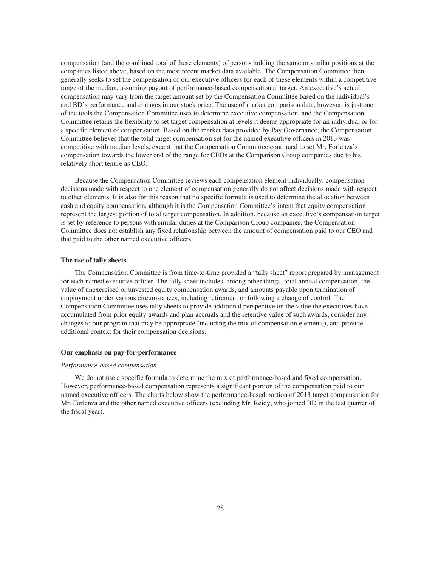compensation (and the combined total of these elements) of persons holding the same or similar positions at the companies listed above, based on the most recent market data available. The Compensation Committee then generally seeks to set the compensation of our executive officers for each of these elements within a competitive range of the median, assuming payout of performance-based compensation at target. An executive's actual compensation may vary from the target amount set by the Compensation Committee based on the individual's and BD's performance and changes in our stock price. The use of market comparison data, however, is just one of the tools the Compensation Committee uses to determine executive compensation, and the Compensation Committee retains the flexibility to set target compensation at levels it deems appropriate for an individual or for a specific element of compensation. Based on the market data provided by Pay Governance, the Compensation Committee believes that the total target compensation set for the named executive officers in 2013 was competitive with median levels, except that the Compensation Committee continued to set Mr. Forlenza's compensation towards the lower end of the range for CEOs at the Comparison Group companies due to his relatively short tenure as CEO.

Because the Compensation Committee reviews each compensation element individually, compensation decisions made with respect to one element of compensation generally do not affect decisions made with respect to other elements. It is also for this reason that no specific formula is used to determine the allocation between cash and equity compensation, although it is the Compensation Committee's intent that equity compensation represent the largest portion of total target compensation. In addition, because an executive's compensation target is set by reference to persons with similar duties at the Comparison Group companies, the Compensation Committee does not establish any fixed relationship between the amount of compensation paid to our CEO and that paid to the other named executive officers.

### **The use of tally sheets**

The Compensation Committee is from time-to-time provided a "tally sheet" report prepared by management for each named executive officer. The tally sheet includes, among other things, total annual compensation, the value of unexercised or unvested equity compensation awards, and amounts payable upon termination of employment under various circumstances, including retirement or following a change of control. The Compensation Committee uses tally sheets to provide additional perspective on the value the executives have accumulated from prior equity awards and plan accruals and the retentive value of such awards, consider any changes to our program that may be appropriate (including the mix of compensation elements), and provide additional context for their compensation decisions.

#### **Our emphasis on pay-for-performance**

### *Performance-based compensation*

We do not use a specific formula to determine the mix of performance-based and fixed compensation. However, performance-based compensation represents a significant portion of the compensation paid to our named executive officers. The charts below show the performance-based portion of 2013 target compensation for Mr. Forlenza and the other named executive officers (excluding Mr. Reidy, who joined BD in the last quarter of the fiscal year).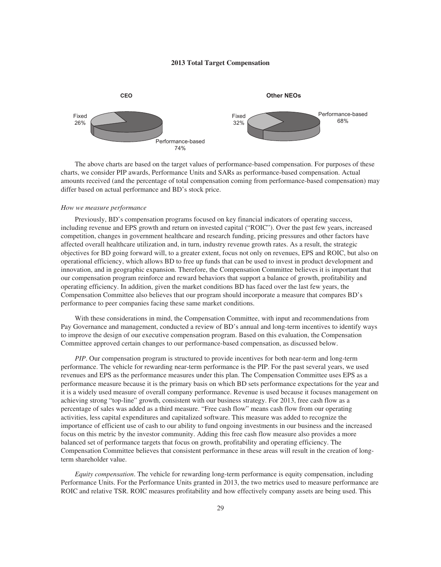#### **2013 Total Target Compensation**



The above charts are based on the target values of performance-based compensation. For purposes of these charts, we consider PIP awards, Performance Units and SARs as performance-based compensation. Actual amounts received (and the percentage of total compensation coming from performance-based compensation) may differ based on actual performance and BD's stock price.

#### *How we measure performance*

Previously, BD's compensation programs focused on key financial indicators of operating success, including revenue and EPS growth and return on invested capital ("ROIC"). Over the past few years, increased competition, changes in government healthcare and research funding, pricing pressures and other factors have affected overall healthcare utilization and, in turn, industry revenue growth rates. As a result, the strategic objectives for BD going forward will, to a greater extent, focus not only on revenues, EPS and ROIC, but also on operational efficiency, which allows BD to free up funds that can be used to invest in product development and innovation, and in geographic expansion. Therefore, the Compensation Committee believes it is important that our compensation program reinforce and reward behaviors that support a balance of growth, profitability and operating efficiency. In addition, given the market conditions BD has faced over the last few years, the Compensation Committee also believes that our program should incorporate a measure that compares BD's performance to peer companies facing these same market conditions.

With these considerations in mind, the Compensation Committee, with input and recommendations from Pay Governance and management, conducted a review of BD's annual and long-term incentives to identify ways to improve the design of our executive compensation program. Based on this evaluation, the Compensation Committee approved certain changes to our performance-based compensation, as discussed below.

*PIP*. Our compensation program is structured to provide incentives for both near-term and long-term performance. The vehicle for rewarding near-term performance is the PIP. For the past several years, we used revenues and EPS as the performance measures under this plan. The Compensation Committee uses EPS as a performance measure because it is the primary basis on which BD sets performance expectations for the year and it is a widely used measure of overall company performance. Revenue is used because it focuses management on achieving strong "top-line" growth, consistent with our business strategy. For 2013, free cash flow as a percentage of sales was added as a third measure. "Free cash flow" means cash flow from our operating activities, less capital expenditures and capitalized software. This measure was added to recognize the importance of efficient use of cash to our ability to fund ongoing investments in our business and the increased focus on this metric by the investor community. Adding this free cash flow measure also provides a more balanced set of performance targets that focus on growth, profitability and operating efficiency. The Compensation Committee believes that consistent performance in these areas will result in the creation of longterm shareholder value.

*Equity compensation*. The vehicle for rewarding long-term performance is equity compensation, including Performance Units. For the Performance Units granted in 2013, the two metrics used to measure performance are ROIC and relative TSR. ROIC measures profitability and how effectively company assets are being used. This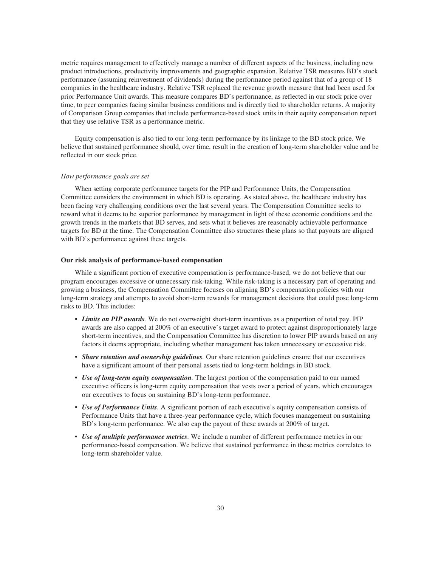metric requires management to effectively manage a number of different aspects of the business, including new product introductions, productivity improvements and geographic expansion. Relative TSR measures BD's stock performance (assuming reinvestment of dividends) during the performance period against that of a group of 18 companies in the healthcare industry. Relative TSR replaced the revenue growth measure that had been used for prior Performance Unit awards. This measure compares BD's performance, as reflected in our stock price over time, to peer companies facing similar business conditions and is directly tied to shareholder returns. A majority of Comparison Group companies that include performance-based stock units in their equity compensation report that they use relative TSR as a performance metric.

Equity compensation is also tied to our long-term performance by its linkage to the BD stock price. We believe that sustained performance should, over time, result in the creation of long-term shareholder value and be reflected in our stock price.

#### *How performance goals are set*

When setting corporate performance targets for the PIP and Performance Units, the Compensation Committee considers the environment in which BD is operating. As stated above, the healthcare industry has been facing very challenging conditions over the last several years. The Compensation Committee seeks to reward what it deems to be superior performance by management in light of these economic conditions and the growth trends in the markets that BD serves, and sets what it believes are reasonably achievable performance targets for BD at the time. The Compensation Committee also structures these plans so that payouts are aligned with BD's performance against these targets.

#### **Our risk analysis of performance-based compensation**

While a significant portion of executive compensation is performance-based, we do not believe that our program encourages excessive or unnecessary risk-taking. While risk-taking is a necessary part of operating and growing a business, the Compensation Committee focuses on aligning BD's compensation policies with our long-term strategy and attempts to avoid short-term rewards for management decisions that could pose long-term risks to BD. This includes:

- *Limits on PIP awards.* We do not overweight short-term incentives as a proportion of total pay. PIP awards are also capped at 200% of an executive's target award to protect against disproportionately large short-term incentives, and the Compensation Committee has discretion to lower PIP awards based on any factors it deems appropriate, including whether management has taken unnecessary or excessive risk.
- *Share retention and ownership guidelines.* Our share retention guidelines ensure that our executives have a significant amount of their personal assets tied to long-term holdings in BD stock.
- *Use of long-term equity compensation.* The largest portion of the compensation paid to our named executive officers is long-term equity compensation that vests over a period of years, which encourages our executives to focus on sustaining BD's long-term performance.
- *Use of Performance Units.* A significant portion of each executive's equity compensation consists of Performance Units that have a three-year performance cycle, which focuses management on sustaining BD's long-term performance. We also cap the payout of these awards at 200% of target.
- *Use of multiple performance metrics.* We include a number of different performance metrics in our performance-based compensation. We believe that sustained performance in these metrics correlates to long-term shareholder value.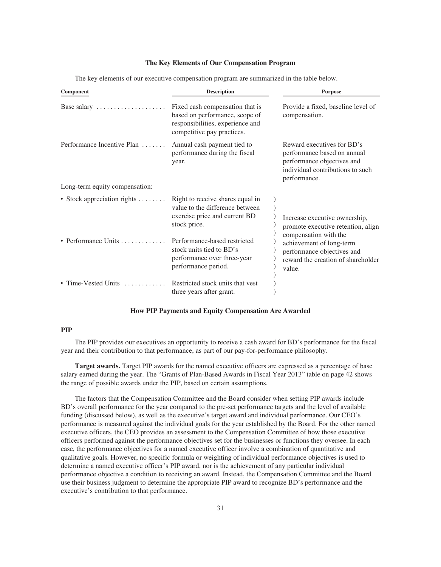### **The Key Elements of Our Compensation Program**

The key elements of our executive compensation program are summarized in the table below.

| Component                                 | <b>Description</b>                                                                                                                                   | <b>Purpose</b>                                                                                                                              |  |
|-------------------------------------------|------------------------------------------------------------------------------------------------------------------------------------------------------|---------------------------------------------------------------------------------------------------------------------------------------------|--|
| Base salary                               | Fixed cash compensation that is<br>based on performance, scope of<br>responsibilities, experience and<br>competitive pay practices.                  | Provide a fixed, baseline level of<br>compensation.                                                                                         |  |
| Performance Incentive Plan                | Annual cash payment tied to<br>performance during the fiscal<br>year.                                                                                | Reward executives for BD's<br>performance based on annual<br>performance objectives and<br>individual contributions to such<br>performance. |  |
| Long-term equity compensation:            |                                                                                                                                                      |                                                                                                                                             |  |
| • Stock appreciation rights $\dots \dots$ | Right to receive shares equal in<br>value to the difference between<br>exercise price and current BD<br>stock price.<br>Performance-based restricted | Increase executive ownership,<br>promote executive retention, align<br>compensation with the<br>achievement of long-term                    |  |
| • Time-Vested Units                       | stock units tied to BD's<br>performance over three-year<br>performance period.<br>Restricted stock units that yest                                   | performance objectives and<br>reward the creation of shareholder<br>value.                                                                  |  |
|                                           | three years after grant.                                                                                                                             |                                                                                                                                             |  |

### **How PIP Payments and Equity Compensation Are Awarded**

### **PIP**

The PIP provides our executives an opportunity to receive a cash award for BD's performance for the fiscal year and their contribution to that performance, as part of our pay-for-performance philosophy.

**Target awards.** Target PIP awards for the named executive officers are expressed as a percentage of base salary earned during the year. The "Grants of Plan-Based Awards in Fiscal Year 2013" table on page 42 shows the range of possible awards under the PIP, based on certain assumptions.

The factors that the Compensation Committee and the Board consider when setting PIP awards include BD's overall performance for the year compared to the pre-set performance targets and the level of available funding (discussed below), as well as the executive's target award and individual performance. Our CEO's performance is measured against the individual goals for the year established by the Board. For the other named executive officers, the CEO provides an assessment to the Compensation Committee of how those executive officers performed against the performance objectives set for the businesses or functions they oversee. In each case, the performance objectives for a named executive officer involve a combination of quantitative and qualitative goals. However, no specific formula or weighting of individual performance objectives is used to determine a named executive officer's PIP award, nor is the achievement of any particular individual performance objective a condition to receiving an award. Instead, the Compensation Committee and the Board use their business judgment to determine the appropriate PIP award to recognize BD's performance and the executive's contribution to that performance.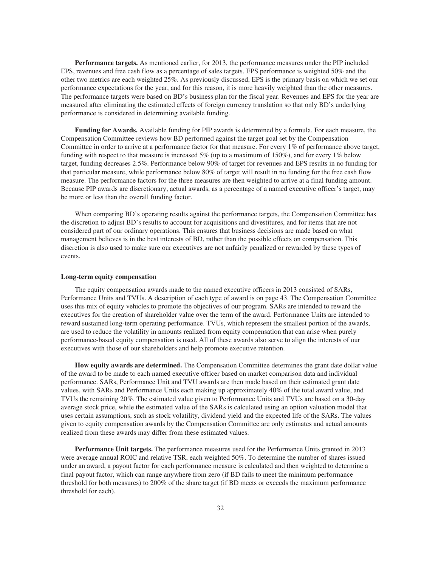**Performance targets.** As mentioned earlier, for 2013, the performance measures under the PIP included EPS, revenues and free cash flow as a percentage of sales targets. EPS performance is weighted 50% and the other two metrics are each weighted 25%. As previously discussed, EPS is the primary basis on which we set our performance expectations for the year, and for this reason, it is more heavily weighted than the other measures. The performance targets were based on BD's business plan for the fiscal year. Revenues and EPS for the year are measured after eliminating the estimated effects of foreign currency translation so that only BD's underlying performance is considered in determining available funding.

**Funding for Awards.** Available funding for PIP awards is determined by a formula. For each measure, the Compensation Committee reviews how BD performed against the target goal set by the Compensation Committee in order to arrive at a performance factor for that measure. For every 1% of performance above target, funding with respect to that measure is increased 5% (up to a maximum of 150%), and for every 1% below target, funding decreases 2.5%. Performance below 90% of target for revenues and EPS results in no funding for that particular measure, while performance below 80% of target will result in no funding for the free cash flow measure. The performance factors for the three measures are then weighted to arrive at a final funding amount. Because PIP awards are discretionary, actual awards, as a percentage of a named executive officer's target, may be more or less than the overall funding factor.

When comparing BD's operating results against the performance targets, the Compensation Committee has the discretion to adjust BD's results to account for acquisitions and divestitures, and for items that are not considered part of our ordinary operations. This ensures that business decisions are made based on what management believes is in the best interests of BD, rather than the possible effects on compensation. This discretion is also used to make sure our executives are not unfairly penalized or rewarded by these types of events.

### **Long-term equity compensation**

The equity compensation awards made to the named executive officers in 2013 consisted of SARs, Performance Units and TVUs. A description of each type of award is on page 43. The Compensation Committee uses this mix of equity vehicles to promote the objectives of our program. SARs are intended to reward the executives for the creation of shareholder value over the term of the award. Performance Units are intended to reward sustained long-term operating performance. TVUs, which represent the smallest portion of the awards, are used to reduce the volatility in amounts realized from equity compensation that can arise when purely performance-based equity compensation is used. All of these awards also serve to align the interests of our executives with those of our shareholders and help promote executive retention.

**How equity awards are determined.** The Compensation Committee determines the grant date dollar value of the award to be made to each named executive officer based on market comparison data and individual performance. SARs, Performance Unit and TVU awards are then made based on their estimated grant date values, with SARs and Performance Units each making up approximately 40% of the total award value, and TVUs the remaining 20%. The estimated value given to Performance Units and TVUs are based on a 30-day average stock price, while the estimated value of the SARs is calculated using an option valuation model that uses certain assumptions, such as stock volatility, dividend yield and the expected life of the SARs. The values given to equity compensation awards by the Compensation Committee are only estimates and actual amounts realized from these awards may differ from these estimated values.

**Performance Unit targets.** The performance measures used for the Performance Units granted in 2013 were average annual ROIC and relative TSR, each weighted 50%. To determine the number of shares issued under an award, a payout factor for each performance measure is calculated and then weighted to determine a final payout factor, which can range anywhere from zero (if BD fails to meet the minimum performance threshold for both measures) to 200% of the share target (if BD meets or exceeds the maximum performance threshold for each).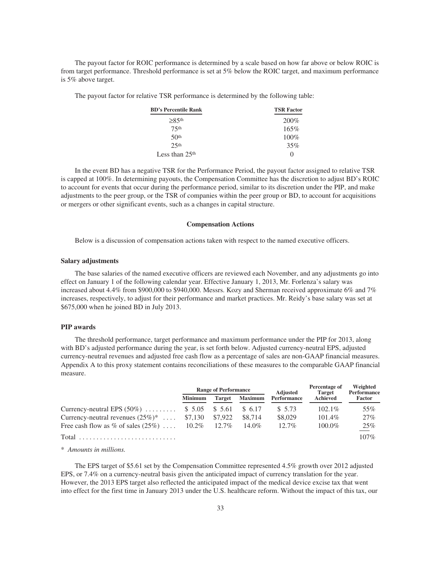The payout factor for ROIC performance is determined by a scale based on how far above or below ROIC is from target performance. Threshold performance is set at 5% below the ROIC target, and maximum performance is 5% above target.

The payout factor for relative TSR performance is determined by the following table:

| <b>BD's Percentile Rank</b> | <b>TSR Factor</b> |  |  |
|-----------------------------|-------------------|--|--|
| $\geq$ 85th                 | 200%              |  |  |
| 75 <sup>th</sup>            | 165%              |  |  |
| 50 <sup>th</sup>            | $100\%$           |  |  |
| 2.5 <sup>th</sup>           | 35%               |  |  |
| Less than $25th$            | $\mathbf{0}$      |  |  |

In the event BD has a negative TSR for the Performance Period, the payout factor assigned to relative TSR is capped at 100%. In determining payouts, the Compensation Committee has the discretion to adjust BD's ROIC to account for events that occur during the performance period, similar to its discretion under the PIP, and make adjustments to the peer group, or the TSR of companies within the peer group or BD, to account for acquisitions or mergers or other significant events, such as a changes in capital structure.

### **Compensation Actions**

Below is a discussion of compensation actions taken with respect to the named executive officers.

### **Salary adjustments**

The base salaries of the named executive officers are reviewed each November, and any adjustments go into effect on January 1 of the following calendar year. Effective January 1, 2013, Mr. Forlenza's salary was increased about 4.4% from \$900,000 to \$940,000. Messrs. Kozy and Sherman received approximate 6% and 7% increases, respectively, to adjust for their performance and market practices. Mr. Reidy's base salary was set at \$675,000 when he joined BD in July 2013.

### **PIP awards**

The threshold performance, target performance and maximum performance under the PIP for 2013, along with BD's adjusted performance during the year, is set forth below. Adjusted currency-neutral EPS, adjusted currency-neutral revenues and adjusted free cash flow as a percentage of sales are non-GAAP financial measures. Appendix A to this proxy statement contains reconciliations of these measures to the comparable GAAP financial measure.

|                                               | <b>Range of Performance</b> |               | <b>Adjusted</b> | Percentage of<br><b>Target</b> | Weighted<br>Performance |        |
|-----------------------------------------------|-----------------------------|---------------|-----------------|--------------------------------|-------------------------|--------|
|                                               | <b>Minimum</b>              | <b>Target</b> | <b>Maximum</b>  | Performance                    | Achieved                | Factor |
| Currency-neutral EPS $(50\%)$ \$ 5.05 \$ 5.61 |                             |               | \$ 6.17         | \$5.73                         | $102.1\%$               | 55%    |
| Currency-neutral revenues $(25\%)^*$ \$7,130  |                             | \$7,922       | \$8.714         | \$8,029                        | $101.4\%$               | 27%    |
| Free cash flow as % of sales $(25\%)$ 10.2%   |                             | $12.7\%$      | $14.0\%$        | $12.7\%$                       | $100.0\%$               | 25%    |
|                                               |                             |               |                 |                                |                         | 107%   |

\* *Amounts in millions.*

The EPS target of \$5.61 set by the Compensation Committee represented 4.5% growth over 2012 adjusted EPS, or 7.4% on a currency-neutral basis given the anticipated impact of currency translation for the year. However, the 2013 EPS target also reflected the anticipated impact of the medical device excise tax that went into effect for the first time in January 2013 under the U.S. healthcare reform. Without the impact of this tax, our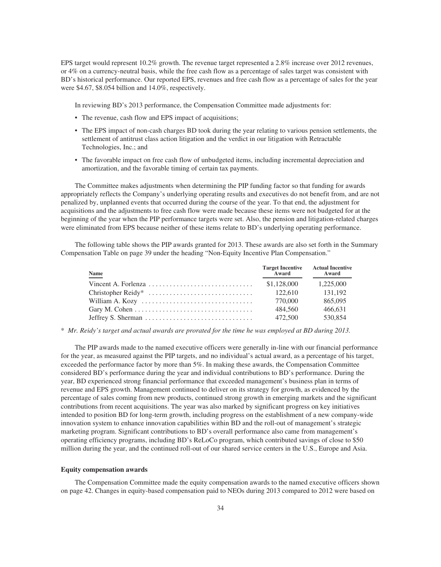EPS target would represent 10.2% growth. The revenue target represented a 2.8% increase over 2012 revenues, or 4% on a currency-neutral basis, while the free cash flow as a percentage of sales target was consistent with BD's historical performance. Our reported EPS, revenues and free cash flow as a percentage of sales for the year were \$4.67, \$8.054 billion and 14.0%, respectively.

In reviewing BD's 2013 performance, the Compensation Committee made adjustments for:

- The revenue, cash flow and EPS impact of acquisitions;
- The EPS impact of non-cash charges BD took during the year relating to various pension settlements, the settlement of antitrust class action litigation and the verdict in our litigation with Retractable Technologies, Inc.; and
- The favorable impact on free cash flow of unbudgeted items, including incremental depreciation and amortization, and the favorable timing of certain tax payments.

The Committee makes adjustments when determining the PIP funding factor so that funding for awards appropriately reflects the Company's underlying operating results and executives do not benefit from, and are not penalized by, unplanned events that occurred during the course of the year. To that end, the adjustment for acquisitions and the adjustments to free cash flow were made because these items were not budgeted for at the beginning of the year when the PIP performance targets were set. Also, the pension and litigation-related charges were eliminated from EPS because neither of these items relate to BD's underlying operating performance.

The following table shows the PIP awards granted for 2013. These awards are also set forth in the Summary Compensation Table on page 39 under the heading "Non-Equity Incentive Plan Compensation."

| Name | Target Incentive Actual Incentive<br>Award | Award     |
|------|--------------------------------------------|-----------|
|      | \$1,128,000                                | 1.225,000 |
|      | 122,610                                    | 131.192   |
|      | 770,000                                    | 865,095   |
|      | 484,560                                    | 466,631   |
|      | 472,500                                    | 530,854   |

\* *Mr. Reidy's target and actual awards are prorated for the time he was employed at BD during 2013.*

The PIP awards made to the named executive officers were generally in-line with our financial performance for the year, as measured against the PIP targets, and no individual's actual award, as a percentage of his target, exceeded the performance factor by more than 5%. In making these awards, the Compensation Committee considered BD's performance during the year and individual contributions to BD's performance. During the year, BD experienced strong financial performance that exceeded management's business plan in terms of revenue and EPS growth. Management continued to deliver on its strategy for growth, as evidenced by the percentage of sales coming from new products, continued strong growth in emerging markets and the significant contributions from recent acquisitions. The year was also marked by significant progress on key initiatives intended to position BD for long-term growth, including progress on the establishment of a new company-wide innovation system to enhance innovation capabilities within BD and the roll-out of management's strategic marketing program. Significant contributions to BD's overall performance also came from management's operating efficiency programs, including BD's ReLoCo program, which contributed savings of close to \$50 million during the year, and the continued roll-out of our shared service centers in the U.S., Europe and Asia.

### **Equity compensation awards**

The Compensation Committee made the equity compensation awards to the named executive officers shown on page 42. Changes in equity-based compensation paid to NEOs during 2013 compared to 2012 were based on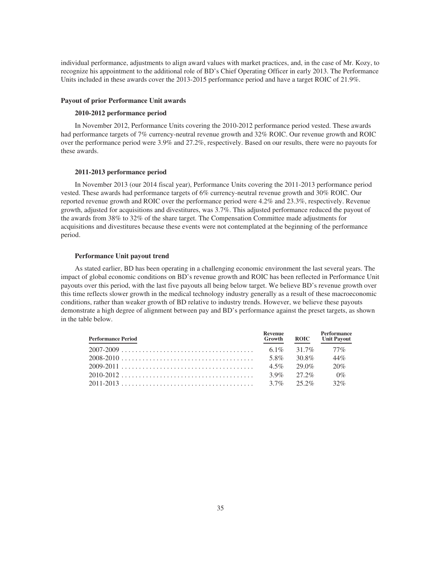individual performance, adjustments to align award values with market practices, and, in the case of Mr. Kozy, to recognize his appointment to the additional role of BD's Chief Operating Officer in early 2013. The Performance Units included in these awards cover the 2013-2015 performance period and have a target ROIC of 21.9%.

### **Payout of prior Performance Unit awards**

## **2010-2012 performance period**

In November 2012, Performance Units covering the 2010-2012 performance period vested. These awards had performance targets of 7% currency-neutral revenue growth and 32% ROIC. Our revenue growth and ROIC over the performance period were 3.9% and 27.2%, respectively. Based on our results, there were no payouts for these awards.

### **2011-2013 performance period**

In November 2013 (our 2014 fiscal year), Performance Units covering the 2011-2013 performance period vested. These awards had performance targets of 6% currency-neutral revenue growth and 30% ROIC. Our reported revenue growth and ROIC over the performance period were 4.2% and 23.3%, respectively. Revenue growth, adjusted for acquisitions and divestitures, was 3.7%. This adjusted performance reduced the payout of the awards from 38% to 32% of the share target. The Compensation Committee made adjustments for acquisitions and divestitures because these events were not contemplated at the beginning of the performance period.

#### **Performance Unit payout trend**

As stated earlier, BD has been operating in a challenging economic environment the last several years. The impact of global economic conditions on BD's revenue growth and ROIC has been reflected in Performance Unit payouts over this period, with the last five payouts all being below target. We believe BD's revenue growth over this time reflects slower growth in the medical technology industry generally as a result of these macroeconomic conditions, rather than weaker growth of BD relative to industry trends. However, we believe these payouts demonstrate a high degree of alignment between pay and BD's performance against the preset targets, as shown in the table below.

| <b>Performance Period</b> | Revenue<br>Growth | <b>ROIC</b> | <b>Performance</b><br><b>Unit Payout</b> |
|---------------------------|-------------------|-------------|------------------------------------------|
|                           |                   |             | $6.1\%$ 31.7\% 77\%                      |
|                           | 5.8%              | 30.8%       | 44%                                      |
|                           | $4.5\%$           | 29.0%       | 20%                                      |
|                           | 3.9%              | $27.2\%$    | $0\%$                                    |
|                           |                   |             | 32%                                      |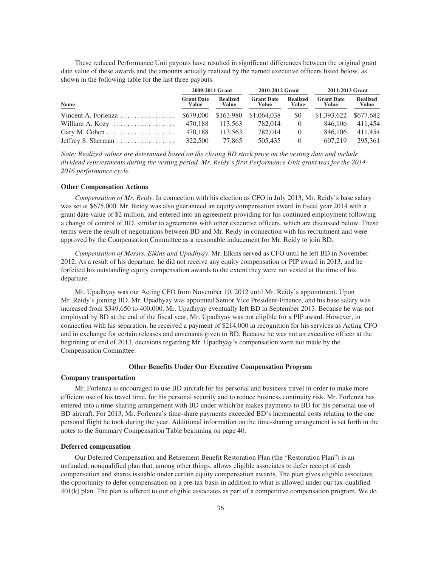These reduced Performance Unit payouts have resulted in significant differences between the original grant date value of these awards and the amounts actually realized by the named executive officers listed below, as shown in the following table for the last three payouts.

|                                                     |                            | 2009-2011 Grant          | 2010-2012 Grant            |                          | 2011-2013 Grant            |                                 |  |
|-----------------------------------------------------|----------------------------|--------------------------|----------------------------|--------------------------|----------------------------|---------------------------------|--|
| Name                                                | <b>Grant Date</b><br>Value | <b>Realized</b><br>Value | <b>Grant Date</b><br>Value | <b>Realized</b><br>Value | <b>Grant Date</b><br>Value | <b>Realized</b><br><b>Value</b> |  |
| Vincent A. Forlenza  \$679,000                      |                            |                          | \$163,980 \$1,064,038      | \$0                      | \$1,393,622 \$677,682      |                                 |  |
| William A. Kozy $\dots\dots\dots\dots\dots$ 470,188 |                            | 113.563                  | 782,014                    | $\theta$                 | 846.106                    | 411,454                         |  |
|                                                     |                            | 113.563                  | 782,014                    | $\theta$                 | 846.106                    | 411,454                         |  |
| Jeffrey S. Sherman $\dots \dots \dots \dots \dots$  | 322,500                    | 77.865                   | 505,435                    | $\theta$                 | 607.219                    | 295.361                         |  |

*Note: Realized values are determined based on the closing BD stock price on the vesting date and include dividend reinvestments during the vesting period. Mr. Reidy's first Performance Unit grant was for the 2014- 2016 performance cycle.*

### **Other Compensation Actions**

*Compensation of Mr. Reidy*. In connection with his election as CFO in July 2013, Mr. Reidy's base salary was set at \$675,000. Mr. Reidy was also guaranteed an equity compensation award in fiscal year 2014 with a grant date value of \$2 million, and entered into an agreement providing for his continued employment following a change of control of BD, similar to agreements with other executive officers, which are discussed below. These terms were the result of negotiations between BD and Mr. Reidy in connection with his recruitment and were approved by the Compensation Committee as a reasonable inducement for Mr. Reidy to join BD.

*Compensation of Messrs. Elkins and Upadhyay*. Mr. Elkins served as CFO until he left BD in November 2012. As a result of his departure, he did not receive any equity compensation or PIP award in 2013, and he forfeited his outstanding equity compensation awards to the extent they were not vested at the time of his departure.

Mr. Upadhyay was our Acting CFO from November 10, 2012 until Mr. Reidy's appointment. Upon Mr. Reidy's joining BD, Mr. Upadhyay was appointed Senior Vice President-Finance, and his base salary was increased from \$349,650 to 400,000. Mr. Upadhyay eventually left BD in September 2013. Because he was not employed by BD at the end of the fiscal year, Mr. Upadhyay was not eligible for a PIP award. However, in connection with his separation, he received a payment of \$214,000 in recognition for his services as Acting CFO and in exchange for certain releases and covenants given to BD. Because he was not an executive officer at the beginning or end of 2013, decisions regarding Mr. Upadhyay's compensation were not made by the Compensation Committee.

### **Other Benefits Under Our Executive Compensation Program**

## **Company transportation**

Mr. Forlenza is encouraged to use BD aircraft for his personal and business travel in order to make more efficient use of his travel time, for his personal security and to reduce business continuity risk. Mr. Forlenza has entered into a time-sharing arrangement with BD under which he makes payments to BD for his personal use of BD aircraft. For 2013, Mr. Forlenza's time-share payments exceeded BD's incremental costs relating to the one personal flight he took during the year. Additional information on the time-sharing arrangement is set forth in the notes to the Summary Compensation Table beginning on page 40.

#### **Deferred compensation**

Our Deferred Compensation and Retirement Benefit Restoration Plan (the "Restoration Plan") is an unfunded, nonqualified plan that, among other things, allows eligible associates to defer receipt of cash compensation and shares issuable under certain equity compensation awards. The plan gives eligible associates the opportunity to defer compensation on a pre-tax basis in addition to what is allowed under our tax-qualified 401(k) plan. The plan is offered to our eligible associates as part of a competitive compensation program. We do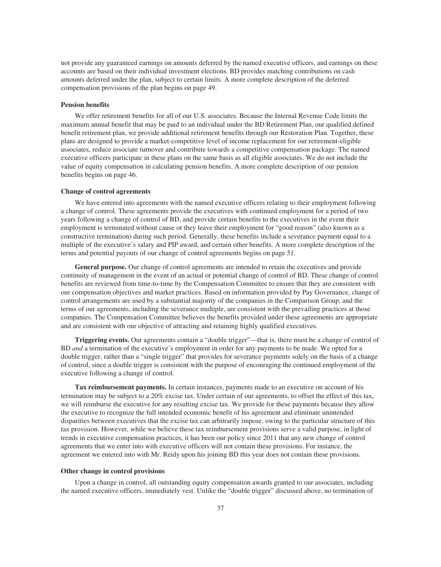not provide any guaranteed earnings on amounts deferred by the named executive officers, and earnings on these accounts are based on their individual investment elections. BD provides matching contributions on cash amounts deferred under the plan, subject to certain limits. A more complete description of the deferred compensation provisions of the plan begins on page 49.

### **Pension benefits**

We offer retirement benefits for all of our U.S. associates. Because the Internal Revenue Code limits the maximum annual benefit that may be paid to an individual under the BD Retirement Plan, our qualified defined benefit retirement plan, we provide additional retirement benefits through our Restoration Plan. Together, these plans are designed to provide a market-competitive level of income replacement for our retirement-eligible associates, reduce associate turnover and contribute towards a competitive compensation package. The named executive officers participate in these plans on the same basis as all eligible associates. We do not include the value of equity compensation in calculating pension benefits. A more complete description of our pension benefits begins on page 46.

### **Change of control agreements**

We have entered into agreements with the named executive officers relating to their employment following a change of control. These agreements provide the executives with continued employment for a period of two years following a change of control of BD, and provide certain benefits to the executives in the event their employment is terminated without cause or they leave their employment for "good reason" (also known as a constructive termination) during such period. Generally, these benefits include a severance payment equal to a multiple of the executive's salary and PIP award, and certain other benefits. A more complete description of the terms and potential payouts of our change of control agreements begins on page 51.

**General purpose.** Our change of control agreements are intended to retain the executives and provide continuity of management in the event of an actual or potential change of control of BD. These change of control benefits are reviewed from time-to-time by the Compensation Committee to ensure that they are consistent with our compensation objectives and market practices. Based on information provided by Pay Governance, change of control arrangements are used by a substantial majority of the companies in the Comparison Group, and the terms of our agreements, including the severance multiple, are consistent with the prevailing practices at those companies. The Compensation Committee believes the benefits provided under these agreements are appropriate and are consistent with our objective of attracting and retaining highly qualified executives.

**Triggering events.** Our agreements contain a "double trigger"—that is, there must be a change of control of BD *and* a termination of the executive's employment in order for any payments to be made. We opted for a double trigger, rather than a "single trigger" that provides for severance payments solely on the basis of a change of control, since a double trigger is consistent with the purpose of encouraging the continued employment of the executive following a change of control.

**Tax reimbursement payments.** In certain instances, payments made to an executive on account of his termination may be subject to a 20% excise tax. Under certain of our agreements, to offset the effect of this tax, we will reimburse the executive for any resulting excise tax. We provide for these payments because they allow the executive to recognize the full intended economic benefit of his agreement and eliminate unintended disparities between executives that the excise tax can arbitrarily impose, owing to the particular structure of this tax provision. However, while we believe these tax reimbursement provisions serve a valid purpose, in light of trends in executive compensation practices, it has been our policy since 2011 that any new change of control agreements that we enter into with executive officers will not contain these provisions. For instance, the agreement we entered into with Mr. Reidy upon his joining BD this year does not contain these provisions.

### **Other change in control provisions**

Upon a change in control, all outstanding equity compensation awards granted to our associates, including the named executive officers, immediately vest. Unlike the "double trigger" discussed above, no termination of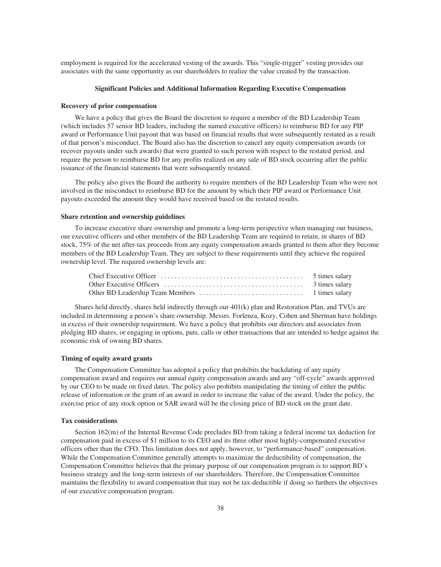employment is required for the accelerated vesting of the awards. This "single-trigger" vesting provides our associates with the same opportunity as our shareholders to realize the value created by the transaction.

## **Significant Policies and Additional Information Regarding Executive Compensation**

## **Recovery of prior compensation**

We have a policy that gives the Board the discretion to require a member of the BD Leadership Team (which includes 57 senior BD leaders, including the named executive officers) to reimburse BD for any PIP award or Performance Unit payout that was based on financial results that were subsequently restated as a result of that person's misconduct. The Board also has the discretion to cancel any equity compensation awards (or recover payouts under such awards) that were granted to such person with respect to the restated period, and require the person to reimburse BD for any profits realized on any sale of BD stock occurring after the public issuance of the financial statements that were subsequently restated.

The policy also gives the Board the authority to require members of the BD Leadership Team who were not involved in the misconduct to reimburse BD for the amount by which their PIP award or Performance Unit payouts exceeded the amount they would have received based on the restated results.

### **Share retention and ownership guidelines**

To increase executive share ownership and promote a long-term perspective when managing our business, our executive officers and other members of the BD Leadership Team are required to retain, in shares of BD stock, 75% of the net after-tax proceeds from any equity compensation awards granted to them after they become members of the BD Leadership Team. They are subject to these requirements until they achieve the required ownership level. The required ownership levels are:

Shares held directly, shares held indirectly through our 401(k) plan and Restoration Plan, and TVUs are included in determining a person's share ownership. Messrs. Forlenza, Kozy, Cohen and Sherman have holdings in excess of their ownership requirement. We have a policy that prohibits our directors and associates from pledging BD shares, or engaging in options, puts, calls or other transactions that are intended to hedge against the economic risk of owning BD shares.

## **Timing of equity award grants**

The Compensation Committee has adopted a policy that prohibits the backdating of any equity compensation award and requires our annual equity compensation awards and any "off-cycle" awards approved by our CEO to be made on fixed dates. The policy also prohibits manipulating the timing of either the public release of information or the grant of an award in order to increase the value of the award. Under the policy, the exercise price of any stock option or SAR award will be the closing price of BD stock on the grant date.

### **Tax considerations**

Section 162(m) of the Internal Revenue Code precludes BD from taking a federal income tax deduction for compensation paid in excess of \$1 million to its CEO and its three other most highly-compensated executive officers other than the CFO. This limitation does not apply, however, to "performance-based" compensation. While the Compensation Committee generally attempts to maximize the deductibility of compensation, the Compensation Committee believes that the primary purpose of our compensation program is to support BD's business strategy and the long-term interests of our shareholders. Therefore, the Compensation Committee maintains the flexibility to award compensation that may not be tax-deductible if doing so furthers the objectives of our executive compensation program.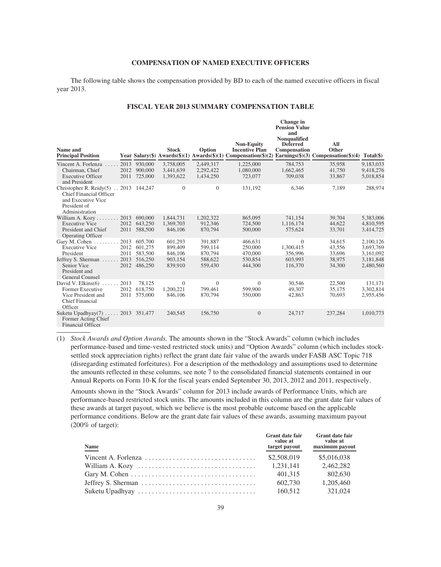## **COMPENSATION OF NAMED EXECUTIVE OFFICERS**

The following table shows the compensation provided by BD to each of the named executive officers in fiscal year 2013.

## **FISCAL YEAR 2013 SUMMARY COMPENSATION TABLE**

**Change in**

| Name and<br><b>Principal Position</b>                                                                                  |                      |                               | <b>Stock</b>                        | Option                              | <b>Non-Equity</b><br><b>Incentive Plan</b><br>Year Salary(\$) Awards(\$)(1) Awards(\$)(1) Compensation(\$)(2) | Спанде пі<br><b>Pension Value</b><br>and<br><b>Nonqualified</b><br><b>Deferred</b><br>Compensation | All<br>Other<br>Earnings $(\frac{6}{3})$ Compensation( $\frac{6}{3}$ )(4) | Total(\$)                           |
|------------------------------------------------------------------------------------------------------------------------|----------------------|-------------------------------|-------------------------------------|-------------------------------------|---------------------------------------------------------------------------------------------------------------|----------------------------------------------------------------------------------------------------|---------------------------------------------------------------------------|-------------------------------------|
| Vincent A. Forlenza<br>Chairman, Chief<br><b>Executive Officer</b><br>and President                                    | 2013<br>2012<br>2011 | 930,000<br>900,000<br>725,000 | 3,758,005<br>3,441,639<br>1,393,622 | 2,449,317<br>2,292,422<br>1,434,250 | 1,225,000<br>1,080,000<br>723,077                                                                             | 784,753<br>1,662,465<br>709,038                                                                    | 35,958<br>41,750<br>33,867                                                | 9,183,033<br>9,418,276<br>5,018,854 |
| Christopher R. Reidy $(5)$ .<br><b>Chief Financial Officer</b><br>and Executive Vice<br>President of<br>Administration | 2013                 | 144,247                       | $\overline{0}$                      | $\mathbf{0}$                        | 131,192                                                                                                       | 6,346                                                                                              | 7,189                                                                     | 288,974                             |
| William A. Kozy<br><b>Executive Vice</b><br>President and Chief<br><b>Operating Officer</b>                            | 2013<br>2012<br>2011 | 690,000<br>643,250<br>588,500 | 1,844,731<br>1,369,703<br>846,106   | 1,202,322<br>912,346<br>870,794     | 865,095<br>724,500<br>500,000                                                                                 | 741.154<br>1,116,174<br>575,624                                                                    | 39,704<br>44,622<br>33,701                                                | 5,383,006<br>4,810,595<br>3,414,725 |
| Gary M. Cohen $\dots$ .<br><b>Executive Vice</b><br>President                                                          | 2013<br>2012<br>2011 | 605,700<br>601,275<br>583,500 | 601,293<br>899,409<br>846,106       | 391.887<br>599,114<br>870,794       | 466.631<br>250,000<br>470,000                                                                                 | $\mathbf{0}$<br>1,300,415<br>356,996                                                               | 34,615<br>43,556<br>33.696                                                | 2,100,126<br>3,693,769<br>3,161,092 |
| Jeffrey S. Sherman<br>Senior Vice<br>President and<br><b>General Counsel</b>                                           | 2013<br>2012         | 516,250<br>486,250            | 903,154<br>839,910                  | 588,622<br>559,430                  | 530,854<br>444,300                                                                                            | 603.993<br>116,370                                                                                 | 38.975<br>34,300                                                          | 3,181,848<br>2,480,560              |
| David V. Elkins(6).<br>Former Executive<br>Vice President and<br><b>Chief Financial</b><br>Officer                     | 2013<br>2012<br>2011 | 78,125<br>618,750<br>575,000  | $\Omega$<br>1,200,221<br>846,106    | $\Omega$<br>799,461<br>870,794      | $\theta$<br>599,900<br>550,000                                                                                | 30,546<br>49,307<br>42,863                                                                         | 22,500<br>35,175<br>70,693                                                | 131,171<br>3,302,814<br>2,955,456   |
| Suketu Upadhyay(7)<br>$\cdots$<br>Former Acting Chief<br><b>Financial Officer</b>                                      |                      | 2013 351,477                  | 240,545                             | 156,750                             | $\overline{0}$                                                                                                | 24,717                                                                                             | 237,284                                                                   | 1,010,773                           |

(1) *Stock Awards and Option Awards.* The amounts shown in the "Stock Awards" column (which includes performance-based and time-vested restricted stock units) and "Option Awards" column (which includes stocksettled stock appreciation rights) reflect the grant date fair value of the awards under FASB ASC Topic 718 (disregarding estimated forfeitures). For a description of the methodology and assumptions used to determine the amounts reflected in these columns, see note 7 to the consolidated financial statements contained in our Annual Reports on Form 10-K for the fiscal years ended September 30, 2013, 2012 and 2011, respectively.

Amounts shown in the "Stock Awards" column for 2013 include awards of Performance Units, which are performance-based restricted stock units. The amounts included in this column are the grant date fair values of these awards at target payout, which we believe is the most probable outcome based on the applicable performance conditions. Below are the grant date fair values of these awards, assuming maximum payout (200% of target):

| <b>Name</b>                                                                             | <b>Grant date fair</b><br>value at<br>target payout | <b>Grant date fair</b><br>value at<br>maximum payout |
|-----------------------------------------------------------------------------------------|-----------------------------------------------------|------------------------------------------------------|
| Vincent A. Forlenza $\ldots, \ldots, \ldots, \ldots, \ldots, \ldots, \ldots, \ldots$    | \$2,508,019                                         | \$5,016,038                                          |
|                                                                                         | 1.231.141                                           | 2.462.282                                            |
| Gary M. Cohen $\dots \dots \dots \dots \dots \dots \dots \dots \dots \dots \dots \dots$ | 401.315                                             | 802.630                                              |
|                                                                                         | 602.730                                             | 1.205.460                                            |
|                                                                                         | 160,512                                             | 321,024                                              |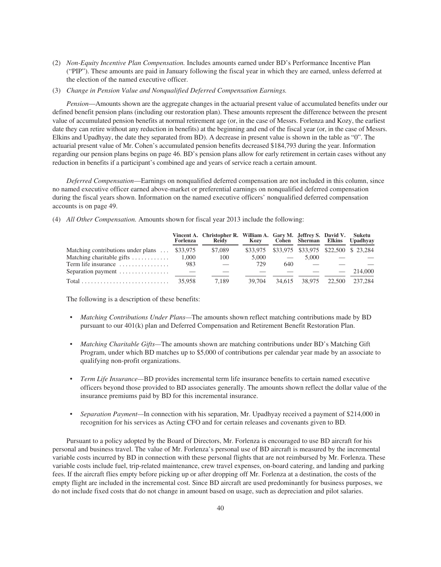- (2) *Non-Equity Incentive Plan Compensation.* Includes amounts earned under BD's Performance Incentive Plan ("PIP"). These amounts are paid in January following the fiscal year in which they are earned, unless deferred at the election of the named executive officer.
- (3) *Change in Pension Value and Nonqualified Deferred Compensation Earnings.*

*Pension*—Amounts shown are the aggregate changes in the actuarial present value of accumulated benefits under our defined benefit pension plans (including our restoration plan). These amounts represent the difference between the present value of accumulated pension benefits at normal retirement age (or, in the case of Messrs. Forlenza and Kozy, the earliest date they can retire without any reduction in benefits) at the beginning and end of the fiscal year (or, in the case of Messrs. Elkins and Upadhyay, the date they separated from BD). A decrease in present value is shown in the table as "0". The actuarial present value of Mr. Cohen's accumulated pension benefits decreased \$184,793 during the year. Information regarding our pension plans begins on page 46. BD's pension plans allow for early retirement in certain cases without any reduction in benefits if a participant's combined age and years of service reach a certain amount.

*Deferred Compensation*—Earnings on nonqualified deferred compensation are not included in this column, since no named executive officer earned above-market or preferential earnings on nonqualified deferred compensation during the fiscal years shown. Information on the named executive officers' nonqualified deferred compensation accounts is on page 49.

(4) *All Other Compensation.* Amounts shown for fiscal year 2013 include the following:

|                                                                     | Forlenza | Vincent A. Christopher R. William A. Gary M. Jeffrey S. David V.<br><b>Reidy</b> | Kozy     |           |                      | Suketu<br>Cohen Sherman Elkins Upadhyay |
|---------------------------------------------------------------------|----------|----------------------------------------------------------------------------------|----------|-----------|----------------------|-----------------------------------------|
| Matching contributions under plans  \$33,975                        |          | \$7,089                                                                          | \$33,975 |           |                      | \$33,975 \$33,975 \$22,500 \$23,284     |
| Matching charitable gifts                                           | 1,000    | 100                                                                              |          | $5.000 -$ | 5,000                |                                         |
| Term life insurance                                                 | 983      |                                                                                  | 729      | 640       |                      |                                         |
| Separation payment $\dots\dots\dots\dots\dots$                      |          |                                                                                  |          |           |                      | 214,000                                 |
| $Total \dots \dots \dots \dots \dots \dots \dots \dots \dots \dots$ | 35,958   | 7.189                                                                            | 39.704   |           | 34,615 38,975 22,500 | 237.284                                 |

The following is a description of these benefits:

- *Matching Contributions Under Plans—*The amounts shown reflect matching contributions made by BD pursuant to our 401(k) plan and Deferred Compensation and Retirement Benefit Restoration Plan.
- *Matching Charitable Gifts—*The amounts shown are matching contributions under BD's Matching Gift Program, under which BD matches up to \$5,000 of contributions per calendar year made by an associate to qualifying non-profit organizations.
- *Term Life Insurance—*BD provides incremental term life insurance benefits to certain named executive officers beyond those provided to BD associates generally. The amounts shown reflect the dollar value of the insurance premiums paid by BD for this incremental insurance.
- *Separation Payment—*In connection with his separation, Mr. Upadhyay received a payment of \$214,000 in recognition for his services as Acting CFO and for certain releases and covenants given to BD*.*

Pursuant to a policy adopted by the Board of Directors, Mr. Forlenza is encouraged to use BD aircraft for his personal and business travel. The value of Mr. Forlenza's personal use of BD aircraft is measured by the incremental variable costs incurred by BD in connection with these personal flights that are not reimbursed by Mr. Forlenza. These variable costs include fuel, trip-related maintenance, crew travel expenses, on-board catering, and landing and parking fees. If the aircraft flies empty before picking up or after dropping off Mr. Forlenza at a destination, the costs of the empty flight are included in the incremental cost. Since BD aircraft are used predominantly for business purposes, we do not include fixed costs that do not change in amount based on usage, such as depreciation and pilot salaries.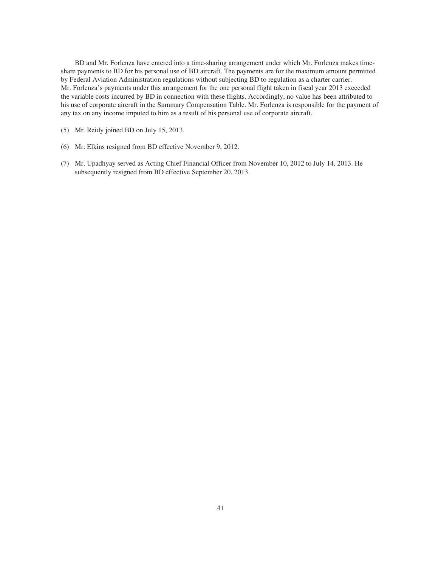BD and Mr. Forlenza have entered into a time-sharing arrangement under which Mr. Forlenza makes timeshare payments to BD for his personal use of BD aircraft. The payments are for the maximum amount permitted by Federal Aviation Administration regulations without subjecting BD to regulation as a charter carrier. Mr. Forlenza's payments under this arrangement for the one personal flight taken in fiscal year 2013 exceeded the variable costs incurred by BD in connection with these flights. Accordingly, no value has been attributed to his use of corporate aircraft in the Summary Compensation Table. Mr. Forlenza is responsible for the payment of any tax on any income imputed to him as a result of his personal use of corporate aircraft.

- (5) Mr. Reidy joined BD on July 15, 2013.
- (6) Mr. Elkins resigned from BD effective November 9, 2012.
- (7) Mr. Upadhyay served as Acting Chief Financial Officer from November 10, 2012 to July 14, 2013. He subsequently resigned from BD effective September 20, 2013.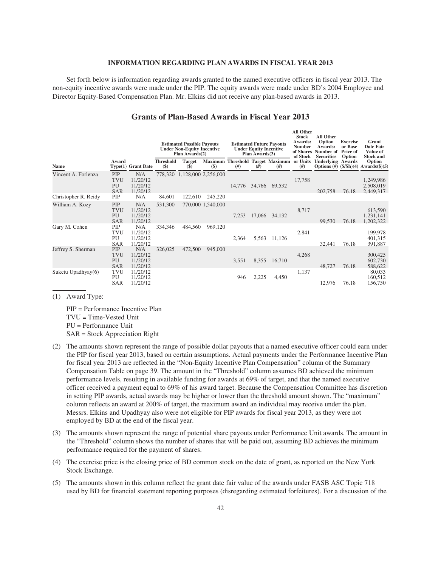## **INFORMATION REGARDING PLAN AWARDS IN FISCAL YEAR 2013**

Set forth below is information regarding awards granted to the named executive officers in fiscal year 2013. The non-equity incentive awards were made under the PIP. The equity awards were made under BD's 2004 Employee and Director Equity-Based Compensation Plan. Mr. Elkins did not receive any plan-based awards in 2013.

# **Grants of Plan-Based Awards in Fiscal Year 2013**

**All Other**

|                      |                                       | <b>Estimated Possible Payouts</b><br><b>Under Non-Equity Incentive</b><br>Plan Awards(2) |                           |                         | <b>Estimated Future Payouts</b><br><b>Under Equity Incentive</b><br>Plan Awards(3) |               |        | <i>An Ounce</i><br><b>Stock</b><br>Awards:<br><b>Number</b><br>of Shares<br>of Stock | <b>All Other</b><br>Option<br>Awards:<br>Number of<br><b>Securities</b> | <b>Exercise</b><br>or Base<br><b>Price of</b><br>Option | Grant<br><b>Date Fair</b><br>Value of<br><b>Stock and</b> |                                                   |
|----------------------|---------------------------------------|------------------------------------------------------------------------------------------|---------------------------|-------------------------|------------------------------------------------------------------------------------|---------------|--------|--------------------------------------------------------------------------------------|-------------------------------------------------------------------------|---------------------------------------------------------|-----------------------------------------------------------|---------------------------------------------------|
| Name                 | Award                                 | Type(1) Grant Date                                                                       | <b>Threshold</b><br>$($)$ | <b>Target</b><br>$(\$)$ | $(\$)$                                                                             | #)            | #)     | Maximum Threshold Target Maximum<br>#)                                               | or Units<br>#)                                                          | Underlying                                              | Awards                                                    | Option<br>Options $(\#)$ (\$/Sh)(4) Awards(\$)(5) |
| Vincent A. Forlenza  | PIP<br>TVU<br>PU<br><b>SAR</b>        | N/A<br>11/20/12<br>11/20/12<br>11/20/12                                                  |                           |                         | 778,320 1,128,000 2,256,000                                                        | 14,776 34,766 |        | 69,532                                                                               | 17,758                                                                  | 202,758                                                 | 76.18                                                     | 1,249,986<br>2,508,019<br>2,449,317               |
| Christopher R. Reidy | PIP                                   | N/A                                                                                      | 84,601                    | 122,610                 | 245,220                                                                            |               |        |                                                                                      |                                                                         |                                                         |                                                           |                                                   |
| William A. Kozy      | PIP<br><b>TVU</b><br>PU<br><b>SAR</b> | N/A<br>11/20/12<br>11/20/12<br>11/20/12                                                  | 531,300                   |                         | 770,000 1,540,000                                                                  | 7,253         | 17,066 | 34,132                                                                               | 8,717                                                                   | 99,530                                                  | 76.18                                                     | 613,590<br>1,231,141<br>1,202,322                 |
| Gary M. Cohen        | PIP<br>TVU<br>PU<br><b>SAR</b>        | N/A<br>11/20/12<br>11/20/12<br>11/20/12                                                  | 334,346                   | 484,560                 | 969,120                                                                            | 2,364         | 5,563  | 11,126                                                                               | 2,841                                                                   | 32,441                                                  | 76.18                                                     | 199,978<br>401,315<br>391,887                     |
| Jeffrey S. Sherman   | PIP<br><b>TVU</b><br>PU<br><b>SAR</b> | N/A<br>11/20/12<br>11/20/12<br>11/20/12                                                  | 326,025                   | 472,500                 | 945,000                                                                            | 3,551         | 8,355  | 16,710                                                                               | 4,268                                                                   | 48,727                                                  | 76.18                                                     | 300,425<br>602,730<br>588,622                     |
| Suketu Upadhyay(6)   | TVU<br>PU<br><b>SAR</b>               | 11/20/12<br>11/20/12<br>11/20/12                                                         |                           |                         |                                                                                    | 946           | 2,225  | 4,450                                                                                | 1,137                                                                   | 12,976                                                  | 76.18                                                     | 80,033<br>160,512<br>156,750                      |

(1) Award Type:

PIP = Performance Incentive Plan TVU = Time-Vested Unit PU = Performance Unit SAR = Stock Appreciation Right

- (2) The amounts shown represent the range of possible dollar payouts that a named executive officer could earn under the PIP for fiscal year 2013, based on certain assumptions. Actual payments under the Performance Incentive Plan for fiscal year 2013 are reflected in the "Non-Equity Incentive Plan Compensation" column of the Summary Compensation Table on page 39. The amount in the "Threshold" column assumes BD achieved the minimum performance levels, resulting in available funding for awards at 69% of target, and that the named executive officer received a payment equal to 69% of his award target. Because the Compensation Committee has discretion in setting PIP awards, actual awards may be higher or lower than the threshold amount shown. The "maximum" column reflects an award at 200% of target, the maximum award an individual may receive under the plan. Messrs. Elkins and Upadhyay also were not eligible for PIP awards for fiscal year 2013, as they were not employed by BD at the end of the fiscal year.
- (3) The amounts shown represent the range of potential share payouts under Performance Unit awards. The amount in the "Threshold" column shows the number of shares that will be paid out, assuming BD achieves the minimum performance required for the payment of shares.
- (4) The exercise price is the closing price of BD common stock on the date of grant, as reported on the New York Stock Exchange.
- (5) The amounts shown in this column reflect the grant date fair value of the awards under FASB ASC Topic 718 used by BD for financial statement reporting purposes (disregarding estimated forfeitures). For a discussion of the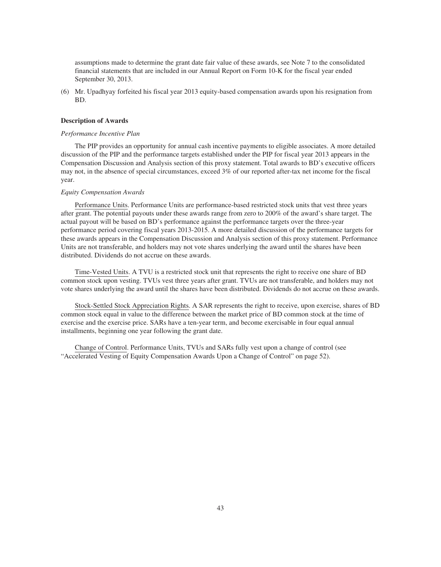assumptions made to determine the grant date fair value of these awards, see Note 7 to the consolidated financial statements that are included in our Annual Report on Form 10-K for the fiscal year ended September 30, 2013.

(6) Mr. Upadhyay forfeited his fiscal year 2013 equity-based compensation awards upon his resignation from BD.

## **Description of Awards**

## *Performance Incentive Plan*

The PIP provides an opportunity for annual cash incentive payments to eligible associates. A more detailed discussion of the PIP and the performance targets established under the PIP for fiscal year 2013 appears in the Compensation Discussion and Analysis section of this proxy statement. Total awards to BD's executive officers may not, in the absence of special circumstances, exceed 3% of our reported after-tax net income for the fiscal year.

## *Equity Compensation Awards*

Performance Units. Performance Units are performance-based restricted stock units that vest three years after grant. The potential payouts under these awards range from zero to 200% of the award's share target. The actual payout will be based on BD's performance against the performance targets over the three-year performance period covering fiscal years 2013-2015. A more detailed discussion of the performance targets for these awards appears in the Compensation Discussion and Analysis section of this proxy statement. Performance Units are not transferable, and holders may not vote shares underlying the award until the shares have been distributed. Dividends do not accrue on these awards.

Time-Vested Units. A TVU is a restricted stock unit that represents the right to receive one share of BD common stock upon vesting. TVUs vest three years after grant. TVUs are not transferable, and holders may not vote shares underlying the award until the shares have been distributed. Dividends do not accrue on these awards.

Stock-Settled Stock Appreciation Rights. A SAR represents the right to receive, upon exercise, shares of BD common stock equal in value to the difference between the market price of BD common stock at the time of exercise and the exercise price. SARs have a ten-year term, and become exercisable in four equal annual installments, beginning one year following the grant date.

Change of Control. Performance Units, TVUs and SARs fully vest upon a change of control (see "Accelerated Vesting of Equity Compensation Awards Upon a Change of Control" on page 52).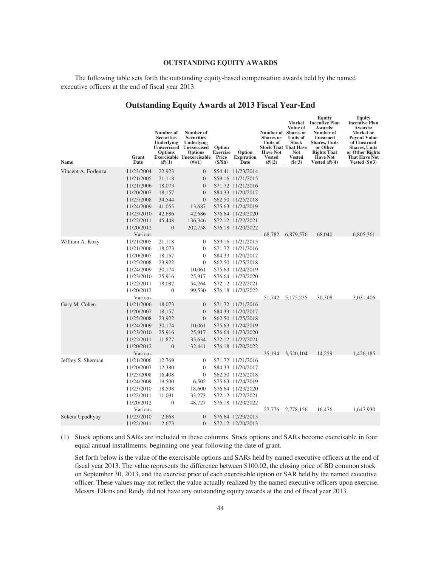## **OUTSTANDING EQUITY AWARDS**

The following table sets forth the outstanding equity-based compensation awards held by the named executive officers at the end of fiscal year 2013.

# **Outstanding Equity Awards at 2013 Fiscal Year-End**

| Name                | Grant<br>Date | Number of<br><b>Securities</b><br>Underlying<br><b>Unexercised</b><br><b>Options</b><br>(H)(1) | Number of<br><b>Securities</b><br>Underlying<br>Unexercised<br><b>Options</b><br><b>Exercisable Unexercisable</b><br>(H)(1) | Option<br><b>Exercise</b><br>Price<br>$(\$/Sh)$ | Option<br><b>Expiration</b><br>Date | <b>Number of Shares or</b><br><b>Shares</b> or<br><b>Units</b> of<br><b>Stock That That Have</b><br><b>Have Not</b><br><b>Vested</b><br>(H)(2) | <b>Market</b><br>Value of<br>Units of<br><b>Stock</b><br><b>Not</b><br><b>Vested</b><br>$(\$)(3)$ | <b>Equity</b><br><b>Incentive Plan</b><br>Awards:<br>Number of<br><b>Unearned</b><br><b>Shares</b> , Units<br>or Other<br><b>Rights That</b><br><b>Have Not</b><br>Vested $(H)(4)$ | <b>Equity</b><br><b>Incentive Plan</b><br>Awards:<br>Market or<br><b>Payout Value</b><br>of Unearned<br><b>Shares</b> , Units<br>or Other Rights<br><b>That Have Not</b><br>Vested $(\text{$}5)(3)$ |
|---------------------|---------------|------------------------------------------------------------------------------------------------|-----------------------------------------------------------------------------------------------------------------------------|-------------------------------------------------|-------------------------------------|------------------------------------------------------------------------------------------------------------------------------------------------|---------------------------------------------------------------------------------------------------|------------------------------------------------------------------------------------------------------------------------------------------------------------------------------------|-----------------------------------------------------------------------------------------------------------------------------------------------------------------------------------------------------|
| Vincent A. Forlenza | 11/23/2004    | 22,923                                                                                         | $\mathbf{0}$                                                                                                                |                                                 | \$54.41 11/23/2014                  |                                                                                                                                                |                                                                                                   |                                                                                                                                                                                    |                                                                                                                                                                                                     |
|                     | 11/21/2005    | 21,118                                                                                         | $\mathbf{0}$                                                                                                                |                                                 | \$59.16 11/21/2015                  |                                                                                                                                                |                                                                                                   |                                                                                                                                                                                    |                                                                                                                                                                                                     |
|                     | 11/21/2006    | 18,073                                                                                         | $\mathbf{0}$                                                                                                                |                                                 | \$71.72 11/21/2016                  |                                                                                                                                                |                                                                                                   |                                                                                                                                                                                    |                                                                                                                                                                                                     |
|                     | 11/20/2007    | 18,157                                                                                         | $\overline{0}$                                                                                                              |                                                 | \$84.33 11/20/2017                  |                                                                                                                                                |                                                                                                   |                                                                                                                                                                                    |                                                                                                                                                                                                     |
|                     | 11/25/2008    | 34,544                                                                                         | $\overline{0}$                                                                                                              |                                                 | \$62.50 11/25/2018                  |                                                                                                                                                |                                                                                                   |                                                                                                                                                                                    |                                                                                                                                                                                                     |
|                     | 11/24/2009    | 41,055                                                                                         | 13,687                                                                                                                      |                                                 | \$75.63 11/24/2019                  |                                                                                                                                                |                                                                                                   |                                                                                                                                                                                    |                                                                                                                                                                                                     |
|                     | 11/23/2010    | 42,686                                                                                         | 42,686                                                                                                                      |                                                 | \$76.64 11/23/2020                  |                                                                                                                                                |                                                                                                   |                                                                                                                                                                                    |                                                                                                                                                                                                     |
|                     | 11/22/2011    | 45,448                                                                                         | 136,346                                                                                                                     |                                                 | \$72.12 11/22/2021                  |                                                                                                                                                |                                                                                                   |                                                                                                                                                                                    |                                                                                                                                                                                                     |
|                     | 11/20/2012    | $\theta$                                                                                       | 202,758                                                                                                                     |                                                 | \$76.18 11/20/2022                  |                                                                                                                                                |                                                                                                   |                                                                                                                                                                                    |                                                                                                                                                                                                     |
|                     | Various       |                                                                                                |                                                                                                                             |                                                 |                                     | 68,782                                                                                                                                         | 6,879,576                                                                                         | 68,040                                                                                                                                                                             | 6,805,361                                                                                                                                                                                           |
| William A. Kozy     | 11/21/2005    | 21,118                                                                                         | $\boldsymbol{0}$                                                                                                            |                                                 | \$59.16 11/21/2015                  |                                                                                                                                                |                                                                                                   |                                                                                                                                                                                    |                                                                                                                                                                                                     |
|                     | 11/21/2006    | 18,073                                                                                         | $\boldsymbol{0}$                                                                                                            |                                                 | \$71.72 11/21/2016                  |                                                                                                                                                |                                                                                                   |                                                                                                                                                                                    |                                                                                                                                                                                                     |
|                     | 11/20/2007    | 18,157                                                                                         | $\boldsymbol{0}$                                                                                                            |                                                 | \$84.33 11/20/2017                  |                                                                                                                                                |                                                                                                   |                                                                                                                                                                                    |                                                                                                                                                                                                     |
|                     | 11/25/2008    | 23,922                                                                                         | $\overline{0}$                                                                                                              |                                                 | \$62.50 11/25/2018                  |                                                                                                                                                |                                                                                                   |                                                                                                                                                                                    |                                                                                                                                                                                                     |
|                     | 11/24/2009    | 30,174                                                                                         | 10,061                                                                                                                      |                                                 | \$75.63 11/24/2019                  |                                                                                                                                                |                                                                                                   |                                                                                                                                                                                    |                                                                                                                                                                                                     |
|                     | 11/23/2010    | 25,916                                                                                         | 25,917                                                                                                                      |                                                 | \$76.64 11/23/2020                  |                                                                                                                                                |                                                                                                   |                                                                                                                                                                                    |                                                                                                                                                                                                     |
|                     | 11/22/2011    | 18,087                                                                                         | 54,264                                                                                                                      |                                                 | \$72.12 11/22/2021                  |                                                                                                                                                |                                                                                                   |                                                                                                                                                                                    |                                                                                                                                                                                                     |
|                     | 11/20/2012    | $\mathbf{0}$                                                                                   | 99,530                                                                                                                      |                                                 | \$76.18 11/20/2022                  |                                                                                                                                                |                                                                                                   |                                                                                                                                                                                    |                                                                                                                                                                                                     |
|                     | Various       |                                                                                                |                                                                                                                             |                                                 |                                     | 51,742                                                                                                                                         | 5,175,235                                                                                         | 30,308                                                                                                                                                                             | 3,031,406                                                                                                                                                                                           |
| Gary M. Cohen       | 11/21/2006    | 18,073                                                                                         | $\mathbf{0}$                                                                                                                |                                                 | \$71.72 11/21/2016                  |                                                                                                                                                |                                                                                                   |                                                                                                                                                                                    |                                                                                                                                                                                                     |
|                     | 11/20/2007    | 18,157                                                                                         | $\overline{0}$                                                                                                              |                                                 | \$84.33 11/20/2017                  |                                                                                                                                                |                                                                                                   |                                                                                                                                                                                    |                                                                                                                                                                                                     |
|                     | 11/25/2008    | 23,922                                                                                         | $\overline{0}$                                                                                                              |                                                 | \$62.50 11/25/2018                  |                                                                                                                                                |                                                                                                   |                                                                                                                                                                                    |                                                                                                                                                                                                     |
|                     | 11/24/2009    | 30,174                                                                                         | 10,061                                                                                                                      |                                                 | \$75.63 11/24/2019                  |                                                                                                                                                |                                                                                                   |                                                                                                                                                                                    |                                                                                                                                                                                                     |
|                     | 11/23/2010    | 25,916                                                                                         | 25,917                                                                                                                      |                                                 | \$76.64 11/23/2020                  |                                                                                                                                                |                                                                                                   |                                                                                                                                                                                    |                                                                                                                                                                                                     |
|                     | 11/22/2011    | 11,877                                                                                         | 35,634                                                                                                                      |                                                 | \$72.12 11/22/2021                  |                                                                                                                                                |                                                                                                   |                                                                                                                                                                                    |                                                                                                                                                                                                     |
|                     | 11/20/2012    | $\overline{0}$                                                                                 | 32,441                                                                                                                      |                                                 | \$76.18 11/20/2022                  |                                                                                                                                                |                                                                                                   |                                                                                                                                                                                    |                                                                                                                                                                                                     |
|                     | Various       |                                                                                                |                                                                                                                             |                                                 |                                     |                                                                                                                                                | 35,194 3,520,104                                                                                  | 14,259                                                                                                                                                                             | 1,426,185                                                                                                                                                                                           |
| Jeffrey S. Sherman  | 11/21/2006    | 12,769                                                                                         | $\boldsymbol{0}$                                                                                                            |                                                 | \$71.72 11/21/2016                  |                                                                                                                                                |                                                                                                   |                                                                                                                                                                                    |                                                                                                                                                                                                     |
|                     | 11/20/2007    | 12,380                                                                                         | $\boldsymbol{0}$                                                                                                            |                                                 | \$84.33 11/20/2017                  |                                                                                                                                                |                                                                                                   |                                                                                                                                                                                    |                                                                                                                                                                                                     |
|                     | 11/25/2008    | 16,408                                                                                         | $\overline{0}$                                                                                                              |                                                 | \$62.50 11/25/2018                  |                                                                                                                                                |                                                                                                   |                                                                                                                                                                                    |                                                                                                                                                                                                     |
|                     | 11/24/2009    | 19,500                                                                                         | 6,502                                                                                                                       |                                                 | \$75.63 11/24/2019                  |                                                                                                                                                |                                                                                                   |                                                                                                                                                                                    |                                                                                                                                                                                                     |
|                     | 11/23/2010    | 18,598                                                                                         | 18,600                                                                                                                      |                                                 | \$76.64 11/23/2020                  |                                                                                                                                                |                                                                                                   |                                                                                                                                                                                    |                                                                                                                                                                                                     |
|                     | 11/22/2011    | 11,091                                                                                         | 33,273                                                                                                                      |                                                 | \$72.12 11/22/2021                  |                                                                                                                                                |                                                                                                   |                                                                                                                                                                                    |                                                                                                                                                                                                     |
|                     | 11/20/2012    | $\mathbf{0}$                                                                                   | 48,727                                                                                                                      |                                                 | \$76.18 11/20/2022                  |                                                                                                                                                |                                                                                                   |                                                                                                                                                                                    |                                                                                                                                                                                                     |
|                     | Various       |                                                                                                |                                                                                                                             |                                                 |                                     | 27,776                                                                                                                                         | 2,778,156                                                                                         | 16,476                                                                                                                                                                             | 1,647,930                                                                                                                                                                                           |
| Suketu Upadhyay     | 11/23/2010    | 2,668                                                                                          | $\boldsymbol{0}$                                                                                                            |                                                 | \$76.64 12/20/2013                  |                                                                                                                                                |                                                                                                   |                                                                                                                                                                                    |                                                                                                                                                                                                     |
|                     | 11/22/2011    | 2,673                                                                                          | $\overline{0}$                                                                                                              |                                                 | \$72.12 12/20/2013                  |                                                                                                                                                |                                                                                                   |                                                                                                                                                                                    |                                                                                                                                                                                                     |

(1) Stock options and SARs are included in these columns. Stock options and SARs become exercisable in four equal annual installments, beginning one year following the date of grant.

Set forth below is the value of the exercisable options and SARs held by named executive officers at the end of fiscal year 2013. The value represents the difference between \$100.02, the closing price of BD common stock on September 30, 2013, and the exercise price of each exercisable option or SAR held by the named executive officer. These values may not reflect the value actually realized by the named executive officers upon exercise. Messrs. Elkins and Reidy did not have any outstanding equity awards at the end of fiscal year 2013.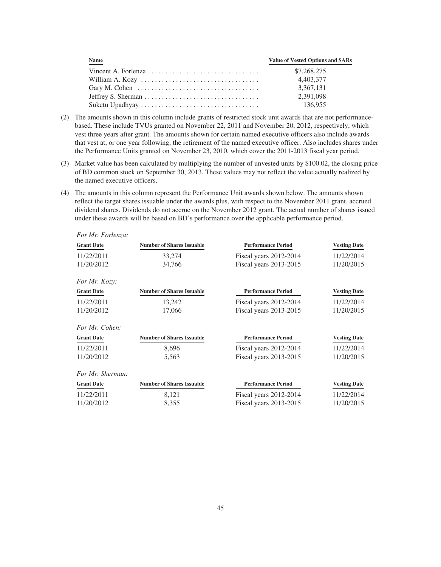| <b>Name</b>                                                                           | <b>Value of Vested Options and SARs</b> |
|---------------------------------------------------------------------------------------|-----------------------------------------|
|                                                                                       | \$7,268,275                             |
|                                                                                       | 4.403.377                               |
| Gary M. Cohen $\ldots \ldots \ldots \ldots \ldots \ldots \ldots \ldots \ldots \ldots$ | 3.367.131                               |
|                                                                                       | 2.391.098                               |
|                                                                                       | 136,955                                 |

- (2) The amounts shown in this column include grants of restricted stock unit awards that are not performancebased. These include TVUs granted on November 22, 2011 and November 20, 2012, respectively, which vest three years after grant. The amounts shown for certain named executive officers also include awards that vest at, or one year following, the retirement of the named executive officer. Also includes shares under the Performance Units granted on November 23, 2010, which cover the 2011-2013 fiscal year period.
- (3) Market value has been calculated by multiplying the number of unvested units by \$100.02, the closing price of BD common stock on September 30, 2013. These values may not reflect the value actually realized by the named executive officers.
- (4) The amounts in this column represent the Performance Unit awards shown below. The amounts shown reflect the target shares issuable under the awards plus, with respect to the November 2011 grant, accrued dividend shares. Dividends do not accrue on the November 2012 grant. The actual number of shares issued under these awards will be based on BD's performance over the applicable performance period.

| For Mr. Forlenza: |                                  |                           |                     |
|-------------------|----------------------------------|---------------------------|---------------------|
| <b>Grant Date</b> | <b>Number of Shares Issuable</b> | <b>Performance Period</b> | <b>Vesting Date</b> |
| 11/22/2011        | 33,274                           | Fiscal years $2012-2014$  | 11/22/2014          |
| 11/20/2012        | 34,766                           | Fiscal years 2013-2015    | 11/20/2015          |
| For Mr. Kozy:     |                                  |                           |                     |
| <b>Grant Date</b> | <b>Number of Shares Issuable</b> | <b>Performance Period</b> | <b>Vesting Date</b> |
| 11/22/2011        | 13,242                           | Fiscal years $2012-2014$  | 11/22/2014          |
| 11/20/2012        | 17,066                           | Fiscal years 2013-2015    | 11/20/2015          |
| For Mr. Cohen:    |                                  |                           |                     |
| <b>Grant Date</b> | <b>Number of Shares Issuable</b> | <b>Performance Period</b> | <b>Vesting Date</b> |
| 11/22/2011        | 8,696                            | Fiscal years $2012-2014$  | 11/22/2014          |
| 11/20/2012        | 5,563                            | Fiscal years 2013-2015    | 11/20/2015          |
| For Mr. Sherman:  |                                  |                           |                     |
| <b>Grant Date</b> | <b>Number of Shares Issuable</b> | <b>Performance Period</b> | <b>Vesting Date</b> |
| 11/22/2011        | 8,121                            | Fiscal years 2012-2014    | 11/22/2014          |
| 11/20/2012        | 8,355                            | Fiscal years 2013-2015    | 11/20/2015          |
|                   |                                  |                           |                     |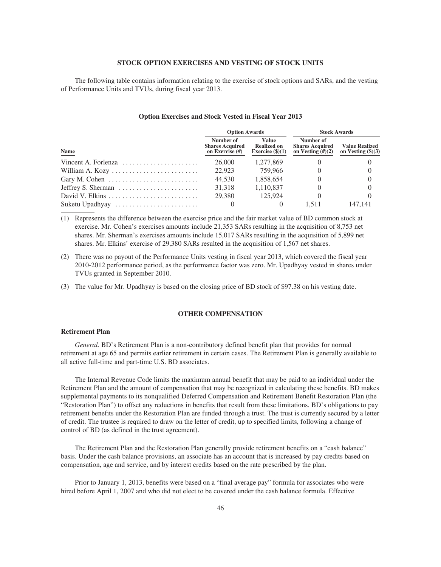## **STOCK OPTION EXERCISES AND VESTING OF STOCK UNITS**

The following table contains information relating to the exercise of stock options and SARs, and the vesting of Performance Units and TVUs, during fiscal year 2013.

|                                                           | <b>Option Awards</b>                                     |                                                          | <b>Stock Awards</b>                                        |                                                      |  |
|-----------------------------------------------------------|----------------------------------------------------------|----------------------------------------------------------|------------------------------------------------------------|------------------------------------------------------|--|
| Name                                                      | Number of<br><b>Shares Acquired</b><br>on Exercise $(H)$ | <b>Value</b><br><b>Realized on</b><br>Exercise $(\$)(1)$ | Number of<br><b>Shares Acquired</b><br>on Vesting $(H)(2)$ | <b>Value Realized</b><br>on Vesting $(\text{$}5)(3)$ |  |
| Vincent A. Forlenza $\dots\dots\dots\dots\dots\dots\dots$ | 26,000                                                   | 1,277,869                                                |                                                            |                                                      |  |
|                                                           | 22,923                                                   | 759,966                                                  |                                                            |                                                      |  |
|                                                           | 44,530                                                   | 1,858,654                                                |                                                            |                                                      |  |
| Jeffrey S. Sherman                                        | 31,318                                                   | 1,110,837                                                |                                                            |                                                      |  |
|                                                           | 29.380                                                   | 125,924                                                  |                                                            |                                                      |  |
| Suketu Upadhyay                                           |                                                          |                                                          | 1.511                                                      | 147.141                                              |  |

## **Option Exercises and Stock Vested in Fiscal Year 2013**

(1) Represents the difference between the exercise price and the fair market value of BD common stock at exercise. Mr. Cohen's exercises amounts include 21,353 SARs resulting in the acquisition of 8,753 net shares. Mr. Sherman's exercises amounts include 15,017 SARs resulting in the acquisition of 5,899 net shares. Mr. Elkins' exercise of 29,380 SARs resulted in the acquisition of 1,567 net shares.

- (2) There was no payout of the Performance Units vesting in fiscal year 2013, which covered the fiscal year 2010-2012 performance period, as the performance factor was zero. Mr. Upadhyay vested in shares under TVUs granted in September 2010.
- (3) The value for Mr. Upadhyay is based on the closing price of BD stock of \$97.38 on his vesting date.

## **OTHER COMPENSATION**

## **Retirement Plan**

*General.* BD's Retirement Plan is a non-contributory defined benefit plan that provides for normal retirement at age 65 and permits earlier retirement in certain cases. The Retirement Plan is generally available to all active full-time and part-time U.S. BD associates.

The Internal Revenue Code limits the maximum annual benefit that may be paid to an individual under the Retirement Plan and the amount of compensation that may be recognized in calculating these benefits. BD makes supplemental payments to its nonqualified Deferred Compensation and Retirement Benefit Restoration Plan (the "Restoration Plan") to offset any reductions in benefits that result from these limitations. BD's obligations to pay retirement benefits under the Restoration Plan are funded through a trust. The trust is currently secured by a letter of credit. The trustee is required to draw on the letter of credit, up to specified limits, following a change of control of BD (as defined in the trust agreement).

The Retirement Plan and the Restoration Plan generally provide retirement benefits on a "cash balance" basis. Under the cash balance provisions, an associate has an account that is increased by pay credits based on compensation, age and service, and by interest credits based on the rate prescribed by the plan.

Prior to January 1, 2013, benefits were based on a "final average pay" formula for associates who were hired before April 1, 2007 and who did not elect to be covered under the cash balance formula. Effective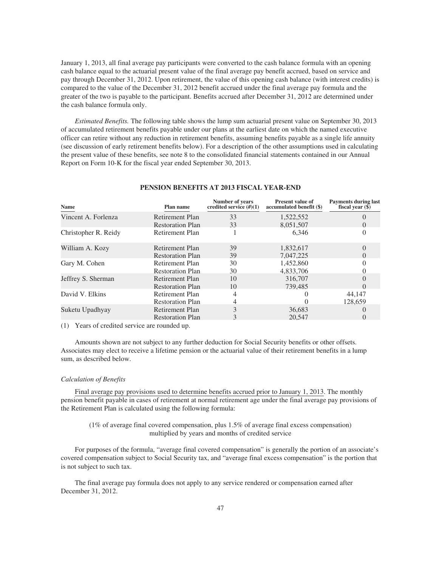January 1, 2013, all final average pay participants were converted to the cash balance formula with an opening cash balance equal to the actuarial present value of the final average pay benefit accrued, based on service and pay through December 31, 2012. Upon retirement, the value of this opening cash balance (with interest credits) is compared to the value of the December 31, 2012 benefit accrued under the final average pay formula and the greater of the two is payable to the participant. Benefits accrued after December 31, 2012 are determined under the cash balance formula only.

*Estimated Benefits.* The following table shows the lump sum actuarial present value on September 30, 2013 of accumulated retirement benefits payable under our plans at the earliest date on which the named executive officer can retire without any reduction in retirement benefits, assuming benefits payable as a single life annuity (see discussion of early retirement benefits below). For a description of the other assumptions used in calculating the present value of these benefits, see note 8 to the consolidated financial statements contained in our Annual Report on Form 10-K for the fiscal year ended September 30, 2013.

| Name                 | Plan name               | <b>Number of years</b><br>credited service $(\#)(1)$ | <b>Present value of</b><br>accumulated benefit (\$) | <b>Payments during last</b><br>fiscal year $(\$)$ |
|----------------------|-------------------------|------------------------------------------------------|-----------------------------------------------------|---------------------------------------------------|
| Vincent A. Forlenza  | Retirement Plan         | 33                                                   | 1,522,552                                           |                                                   |
|                      | <b>Restoration Plan</b> | 33                                                   | 8,051,507                                           |                                                   |
| Christopher R. Reidy | Retirement Plan         |                                                      | 6.346                                               |                                                   |
| William A. Kozy      | Retirement Plan         | 39                                                   | 1,832,617                                           | $\Omega$                                          |
|                      | <b>Restoration Plan</b> | 39                                                   | 7.047.225                                           |                                                   |
| Gary M. Cohen        | Retirement Plan         | 30                                                   | 1,452,860                                           |                                                   |
|                      | <b>Restoration Plan</b> | 30                                                   | 4,833,706                                           |                                                   |
| Jeffrey S. Sherman   | Retirement Plan         | 10                                                   | 316,707                                             |                                                   |
|                      | <b>Restoration Plan</b> | 10                                                   | 739.485                                             |                                                   |
| David V. Elkins      | Retirement Plan         | 4                                                    |                                                     | 44,147                                            |
|                      | <b>Restoration Plan</b> | 4                                                    |                                                     | 128,659                                           |
| Suketu Upadhyay      | Retirement Plan         | 3                                                    | 36,683                                              |                                                   |
|                      | <b>Restoration Plan</b> |                                                      | 20.547                                              |                                                   |

### **PENSION BENEFITS AT 2013 FISCAL YEAR-END**

(1) Years of credited service are rounded up.

Amounts shown are not subject to any further deduction for Social Security benefits or other offsets. Associates may elect to receive a lifetime pension or the actuarial value of their retirement benefits in a lump sum, as described below.

### *Calculation of Benefits*

Final average pay provisions used to determine benefits accrued prior to January 1, 2013. The monthly pension benefit payable in cases of retirement at normal retirement age under the final average pay provisions of the Retirement Plan is calculated using the following formula:

(1% of average final covered compensation, plus 1.5% of average final excess compensation) multiplied by years and months of credited service

For purposes of the formula, "average final covered compensation" is generally the portion of an associate's covered compensation subject to Social Security tax, and "average final excess compensation" is the portion that is not subject to such tax.

The final average pay formula does not apply to any service rendered or compensation earned after December 31, 2012.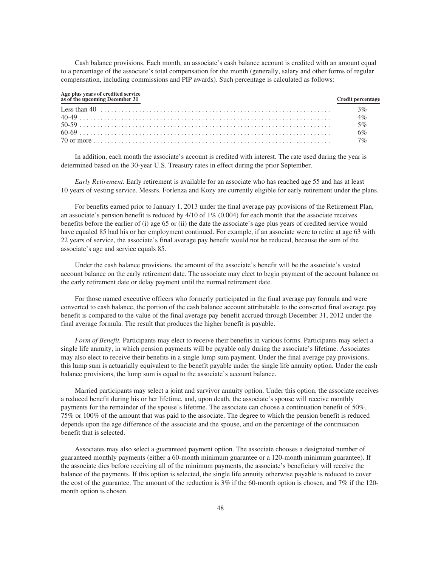Cash balance provisions. Each month, an associate's cash balance account is credited with an amount equal to a percentage of the associate's total compensation for the month (generally, salary and other forms of regular compensation, including commissions and PIP awards). Such percentage is calculated as follows:

| Age plus vears of credited service<br>as of the upcoming December 31 | Credit percentage |
|----------------------------------------------------------------------|-------------------|
|                                                                      | $3\%$             |
|                                                                      | 4%                |
|                                                                      | 5%                |
|                                                                      | 6%                |
|                                                                      | 7%                |

In addition, each month the associate's account is credited with interest. The rate used during the year is determined based on the 30-year U.S. Treasury rates in effect during the prior September.

*Early Retirement.* Early retirement is available for an associate who has reached age 55 and has at least 10 years of vesting service. Messrs. Forlenza and Kozy are currently eligible for early retirement under the plans.

For benefits earned prior to January 1, 2013 under the final average pay provisions of the Retirement Plan, an associate's pension benefit is reduced by  $4/10$  of  $1\%$  (0.004) for each month that the associate receives benefits before the earlier of (i) age 65 or (ii) the date the associate's age plus years of credited service would have equaled 85 had his or her employment continued. For example, if an associate were to retire at age 63 with 22 years of service, the associate's final average pay benefit would not be reduced, because the sum of the associate's age and service equals 85.

Under the cash balance provisions, the amount of the associate's benefit will be the associate's vested account balance on the early retirement date. The associate may elect to begin payment of the account balance on the early retirement date or delay payment until the normal retirement date.

For those named executive officers who formerly participated in the final average pay formula and were converted to cash balance, the portion of the cash balance account attributable to the converted final average pay benefit is compared to the value of the final average pay benefit accrued through December 31, 2012 under the final average formula. The result that produces the higher benefit is payable.

*Form of Benefit.* Participants may elect to receive their benefits in various forms. Participants may select a single life annuity, in which pension payments will be payable only during the associate's lifetime. Associates may also elect to receive their benefits in a single lump sum payment. Under the final average pay provisions, this lump sum is actuarially equivalent to the benefit payable under the single life annuity option. Under the cash balance provisions, the lump sum is equal to the associate's account balance.

Married participants may select a joint and survivor annuity option. Under this option, the associate receives a reduced benefit during his or her lifetime, and, upon death, the associate's spouse will receive monthly payments for the remainder of the spouse's lifetime. The associate can choose a continuation benefit of 50%, 75% or 100% of the amount that was paid to the associate. The degree to which the pension benefit is reduced depends upon the age difference of the associate and the spouse, and on the percentage of the continuation benefit that is selected.

Associates may also select a guaranteed payment option. The associate chooses a designated number of guaranteed monthly payments (either a 60-month minimum guarantee or a 120-month minimum guarantee). If the associate dies before receiving all of the minimum payments, the associate's beneficiary will receive the balance of the payments. If this option is selected, the single life annuity otherwise payable is reduced to cover the cost of the guarantee. The amount of the reduction is 3% if the 60-month option is chosen, and 7% if the 120month option is chosen.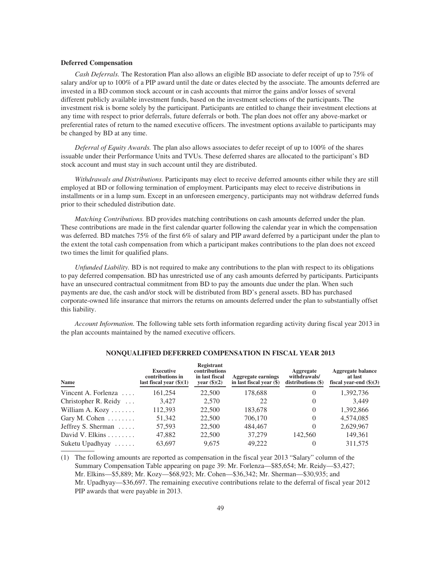## **Deferred Compensation**

*Cash Deferrals.* The Restoration Plan also allows an eligible BD associate to defer receipt of up to 75% of salary and/or up to 100% of a PIP award until the date or dates elected by the associate. The amounts deferred are invested in a BD common stock account or in cash accounts that mirror the gains and/or losses of several different publicly available investment funds, based on the investment selections of the participants. The investment risk is borne solely by the participant. Participants are entitled to change their investment elections at any time with respect to prior deferrals, future deferrals or both. The plan does not offer any above-market or preferential rates of return to the named executive officers. The investment options available to participants may be changed by BD at any time.

*Deferral of Equity Awards.* The plan also allows associates to defer receipt of up to 100% of the shares issuable under their Performance Units and TVUs. These deferred shares are allocated to the participant's BD stock account and must stay in such account until they are distributed.

*Withdrawals and Distributions.* Participants may elect to receive deferred amounts either while they are still employed at BD or following termination of employment. Participants may elect to receive distributions in installments or in a lump sum. Except in an unforeseen emergency, participants may not withdraw deferred funds prior to their scheduled distribution date.

*Matching Contributions.* BD provides matching contributions on cash amounts deferred under the plan. These contributions are made in the first calendar quarter following the calendar year in which the compensation was deferred. BD matches 75% of the first 6% of salary and PIP award deferred by a participant under the plan to the extent the total cash compensation from which a participant makes contributions to the plan does not exceed two times the limit for qualified plans.

*Unfunded Liability.* BD is not required to make any contributions to the plan with respect to its obligations to pay deferred compensation. BD has unrestricted use of any cash amounts deferred by participants. Participants have an unsecured contractual commitment from BD to pay the amounts due under the plan. When such payments are due, the cash and/or stock will be distributed from BD's general assets. BD has purchased corporate-owned life insurance that mirrors the returns on amounts deferred under the plan to substantially offset this liability.

*Account Information.* The following table sets forth information regarding activity during fiscal year 2013 in the plan accounts maintained by the named executive officers.

| Name                        | <b>Executive</b><br>contributions in<br>last fiscal year $(\text{$}0)(1)$ | Registrant<br>contributions<br>in last fiscal<br>year $(\$)(2)$ | <b>Aggregate earnings</b><br>in last fiscal year (\$) | Aggregate<br>withdrawals/<br>distributions <sub>(</sub> ) | <b>Aggregate balance</b><br>at last<br>fiscal year-end $(\text{$}^{\circ})$ $(3)$ |
|-----------------------------|---------------------------------------------------------------------------|-----------------------------------------------------------------|-------------------------------------------------------|-----------------------------------------------------------|-----------------------------------------------------------------------------------|
| Vincent A. Forlenza $\dots$ | 161,254                                                                   | 22,500                                                          | 178,688                                               |                                                           | 1,392,736                                                                         |
| Christopher R. Reidy        | 3.427                                                                     | 2,570                                                           | 22                                                    |                                                           | 3.449                                                                             |
| William A. Kozy $\dots$ .   | 112,393                                                                   | 22,500                                                          | 183,678                                               |                                                           | 1,392,866                                                                         |
| Gary M. Cohen $\dots \dots$ | 51,342                                                                    | 22,500                                                          | 706,170                                               |                                                           | 4,574,085                                                                         |
| Jeffrey S. Sherman $\dots$  | 57,593                                                                    | 22,500                                                          | 484,467                                               |                                                           | 2,629,967                                                                         |
| David V. Elkins $\ldots$    | 47,882                                                                    | 22,500                                                          | 37,279                                                | 142,560                                                   | 149.361                                                                           |
| Suketu Upadhyay             | 63,697                                                                    | 9.675                                                           | 49,222                                                |                                                           | 311.575                                                                           |

### **NONQUALIFIED DEFERRED COMPENSATION IN FISCAL YEAR 2013**

**Registrant**

(1) The following amounts are reported as compensation in the fiscal year 2013 "Salary" column of the Summary Compensation Table appearing on page 39: Mr. Forlenza—\$85,654; Mr. Reidy—\$3,427; Mr. Elkins—\$5,889; Mr. Kozy—\$68,923; Mr. Cohen—\$36,342; Mr. Sherman—\$30,935; and Mr. Upadhyay—\$36,697. The remaining executive contributions relate to the deferral of fiscal year 2012 PIP awards that were payable in 2013.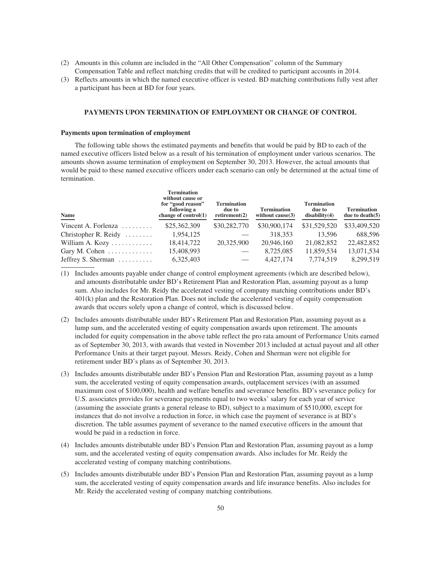- (2) Amounts in this column are included in the "All Other Compensation" column of the Summary Compensation Table and reflect matching credits that will be credited to participant accounts in 2014.
- (3) Reflects amounts in which the named executive officer is vested. BD matching contributions fully vest after a participant has been at BD for four years.

## **PAYMENTS UPON TERMINATION OF EMPLOYMENT OR CHANGE OF CONTROL**

## **Payments upon termination of employment**

The following table shows the estimated payments and benefits that would be paid by BD to each of the named executive officers listed below as a result of his termination of employment under various scenarios. The amounts shown assume termination of employment on September 30, 2013. However, the actual amounts that would be paid to these named executive officers under each scenario can only be determined at the actual time of termination.

| Name                                  | <b>Termination</b><br>without cause or<br>for "good reason"<br>following a<br>change of $control(1)$ | <b>Termination</b><br>due to<br>retirement(2) | <b>Termination</b><br>without $cause(3)$ | <b>Termination</b><br>due to<br>disability(4) | <b>Termination</b><br>due to $death(5)$ |
|---------------------------------------|------------------------------------------------------------------------------------------------------|-----------------------------------------------|------------------------------------------|-----------------------------------------------|-----------------------------------------|
| Vincent A. Forlenza $\dots\dots\dots$ | \$25,362,309                                                                                         | \$30,282,770                                  | \$30,900,174                             | \$31,529,520                                  | \$33,409,520                            |
| Christopher R. Reidy $\dots \dots$    | 1,954,125                                                                                            |                                               | 318.353                                  | 13.596                                        | 688,596                                 |
| William A. Kozy $\dots \dots \dots$   | 18,414,722                                                                                           | 20,325,900                                    | 20.946.160                               | 21,082,852                                    | 22,482,852                              |
| Gary M. Cohen $\dots\dots\dots\dots$  | 15,408,993                                                                                           |                                               | 8,725,085                                | 11,859,534                                    | 13,071,534                              |
| Jeffrey S. Sherman $\dots \dots$      | 6,325,403                                                                                            |                                               | 4.427.174                                | 7.774.519                                     | 8.299.519                               |

- (1) Includes amounts payable under change of control employment agreements (which are described below), and amounts distributable under BD's Retirement Plan and Restoration Plan, assuming payout as a lump sum. Also includes for Mr. Reidy the accelerated vesting of company matching contributions under BD's 401(k) plan and the Restoration Plan. Does not include the accelerated vesting of equity compensation awards that occurs solely upon a change of control, which is discussed below.
- (2) Includes amounts distributable under BD's Retirement Plan and Restoration Plan, assuming payout as a lump sum, and the accelerated vesting of equity compensation awards upon retirement. The amounts included for equity compensation in the above table reflect the pro rata amount of Performance Units earned as of September 30, 2013, with awards that vested in November 2013 included at actual payout and all other Performance Units at their target payout. Messrs. Reidy, Cohen and Sherman were not eligible for retirement under BD's plans as of September 30, 2013.
- (3) Includes amounts distributable under BD's Pension Plan and Restoration Plan, assuming payout as a lump sum, the accelerated vesting of equity compensation awards, outplacement services (with an assumed maximum cost of \$100,000), health and welfare benefits and severance benefits. BD's severance policy for U.S. associates provides for severance payments equal to two weeks' salary for each year of service (assuming the associate grants a general release to BD), subject to a maximum of \$510,000, except for instances that do not involve a reduction in force, in which case the payment of severance is at BD's discretion. The table assumes payment of severance to the named executive officers in the amount that would be paid in a reduction in force.
- (4) Includes amounts distributable under BD's Pension Plan and Restoration Plan, assuming payout as a lump sum, and the accelerated vesting of equity compensation awards. Also includes for Mr. Reidy the accelerated vesting of company matching contributions.
- (5) Includes amounts distributable under BD's Pension Plan and Restoration Plan, assuming payout as a lump sum, the accelerated vesting of equity compensation awards and life insurance benefits. Also includes for Mr. Reidy the accelerated vesting of company matching contributions.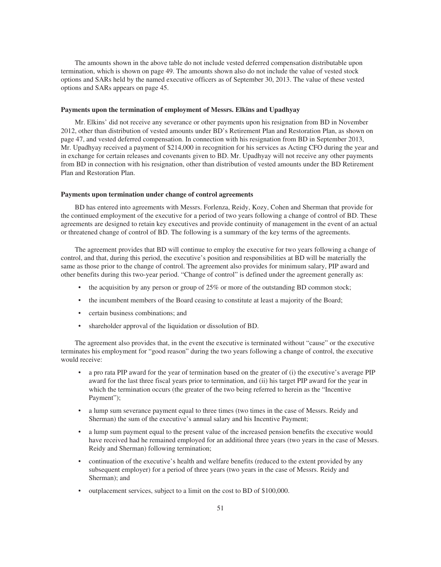The amounts shown in the above table do not include vested deferred compensation distributable upon termination, which is shown on page 49. The amounts shown also do not include the value of vested stock options and SARs held by the named executive officers as of September 30, 2013. The value of these vested options and SARs appears on page 45.

### **Payments upon the termination of employment of Messrs. Elkins and Upadhyay**

Mr. Elkins' did not receive any severance or other payments upon his resignation from BD in November 2012, other than distribution of vested amounts under BD's Retirement Plan and Restoration Plan, as shown on page 47, and vested deferred compensation. In connection with his resignation from BD in September 2013, Mr. Upadhyay received a payment of \$214,000 in recognition for his services as Acting CFO during the year and in exchange for certain releases and covenants given to BD. Mr. Upadhyay will not receive any other payments from BD in connection with his resignation, other than distribution of vested amounts under the BD Retirement Plan and Restoration Plan.

### **Payments upon termination under change of control agreements**

BD has entered into agreements with Messrs. Forlenza, Reidy, Kozy, Cohen and Sherman that provide for the continued employment of the executive for a period of two years following a change of control of BD. These agreements are designed to retain key executives and provide continuity of management in the event of an actual or threatened change of control of BD. The following is a summary of the key terms of the agreements.

The agreement provides that BD will continue to employ the executive for two years following a change of control, and that, during this period, the executive's position and responsibilities at BD will be materially the same as those prior to the change of control. The agreement also provides for minimum salary, PIP award and other benefits during this two-year period. "Change of control" is defined under the agreement generally as:

- the acquisition by any person or group of 25% or more of the outstanding BD common stock;
- the incumbent members of the Board ceasing to constitute at least a majority of the Board;
- certain business combinations; and
- shareholder approval of the liquidation or dissolution of BD.

The agreement also provides that, in the event the executive is terminated without "cause" or the executive terminates his employment for "good reason" during the two years following a change of control, the executive would receive:

- a pro rata PIP award for the year of termination based on the greater of (i) the executive's average PIP award for the last three fiscal years prior to termination, and (ii) his target PIP award for the year in which the termination occurs (the greater of the two being referred to herein as the "Incentive Payment");
- a lump sum severance payment equal to three times (two times in the case of Messrs. Reidy and Sherman) the sum of the executive's annual salary and his Incentive Payment;
- a lump sum payment equal to the present value of the increased pension benefits the executive would have received had he remained employed for an additional three years (two years in the case of Messrs. Reidy and Sherman) following termination;
- continuation of the executive's health and welfare benefits (reduced to the extent provided by any subsequent employer) for a period of three years (two years in the case of Messrs. Reidy and Sherman); and
- outplacement services, subject to a limit on the cost to BD of \$100,000.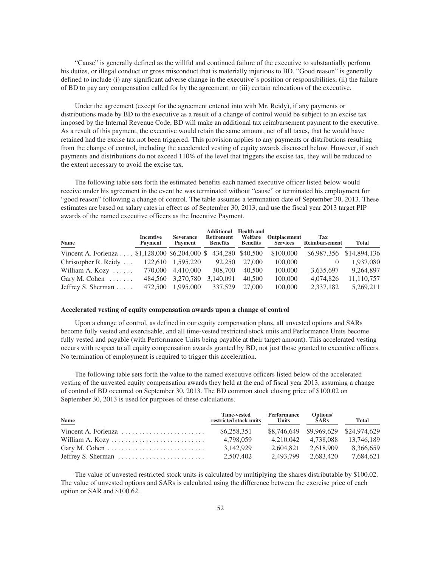"Cause" is generally defined as the willful and continued failure of the executive to substantially perform his duties, or illegal conduct or gross misconduct that is materially injurious to BD. "Good reason" is generally defined to include (i) any significant adverse change in the executive's position or responsibilities, (ii) the failure of BD to pay any compensation called for by the agreement, or (iii) certain relocations of the executive.

Under the agreement (except for the agreement entered into with Mr. Reidy), if any payments or distributions made by BD to the executive as a result of a change of control would be subject to an excise tax imposed by the Internal Revenue Code, BD will make an additional tax reimbursement payment to the executive. As a result of this payment, the executive would retain the same amount, net of all taxes, that he would have retained had the excise tax not been triggered. This provision applies to any payments or distributions resulting from the change of control, including the accelerated vesting of equity awards discussed below. However, if such payments and distributions do not exceed 110% of the level that triggers the excise tax, they will be reduced to the extent necessary to avoid the excise tax.

The following table sets forth the estimated benefits each named executive officer listed below would receive under his agreement in the event he was terminated without "cause" or terminated his employment for "good reason" following a change of control. The table assumes a termination date of September 30, 2013. These estimates are based on salary rates in effect as of September 30, 2013, and use the fiscal year 2013 target PIP awards of the named executive officers as the Incentive Payment.

| Name                                            | <b>Incentive</b><br>Payment | <b>Severance</b><br>Payment | <b>Additional</b><br><b>Retirement</b><br><b>Benefits</b> | <b>Health and</b><br>Welfare<br><b>Benefits</b> | Outplacement<br><b>Services</b> | <b>Tax</b><br>Reimbursement | <b>Total</b> |
|-------------------------------------------------|-----------------------------|-----------------------------|-----------------------------------------------------------|-------------------------------------------------|---------------------------------|-----------------------------|--------------|
| Vincent A. Forlenza $$1,128,000$ \$6,204,000 \$ |                             |                             |                                                           | 434,280 \$40,500                                | \$100,000                       | \$6,987,356 \$14,894,136    |              |
| Christopher R. Reidy $\dots$                    | 122.610                     | 1.595.220                   | 92,250                                                    | 27,000                                          | 100,000                         |                             | 1,937,080    |
| William A. Kozy $\dots$ .                       | 770,000                     | 4,410,000                   | 308,700                                                   | 40,500                                          | 100,000                         | 3,635,697                   | 9,264,897    |
| Gary M. Cohen $\dots \dots$                     | 484.560                     | 3,270,780                   | 3.140.091                                                 | 40,500                                          | 100,000                         | 4,074,826                   | 11,110,757   |
| Jeffrey S. Sherman $\ldots$ .                   | 472,500                     | 1,995,000                   | 337,529                                                   | 27,000                                          | 100,000                         | 2,337,182                   | 5,269,211    |

## **Accelerated vesting of equity compensation awards upon a change of control**

Upon a change of control, as defined in our equity compensation plans, all unvested options and SARs become fully vested and exercisable, and all time-vested restricted stock units and Performance Units become fully vested and payable (with Performance Units being payable at their target amount). This accelerated vesting occurs with respect to all equity compensation awards granted by BD, not just those granted to executive officers. No termination of employment is required to trigger this acceleration.

The following table sets forth the value to the named executive officers listed below of the accelerated vesting of the unvested equity compensation awards they held at the end of fiscal year 2013, assuming a change of control of BD occurred on September 30, 2013. The BD common stock closing price of \$100.02 on September 30, 2013 is used for purposes of these calculations.

| <b>Name</b>                                                           | <b>Time-vested</b><br>restricted stock units | Performance<br><b>Units</b> | Options/<br>SARs                     | <b>Total</b>                   |
|-----------------------------------------------------------------------|----------------------------------------------|-----------------------------|--------------------------------------|--------------------------------|
| Vincent A. Forlenza                                                   | \$6,258,351                                  |                             | \$8,746,649 \$9,969,629 \$24,974,629 |                                |
|                                                                       | 4.798.059                                    |                             |                                      | 4.210.042 4.738.088 13.746.189 |
| Gary M. Cohen $\dots \dots \dots \dots \dots \dots \dots \dots \dots$ | 3.142.929                                    |                             | 2.604.821 2.618.909                  | 8,366,659                      |
|                                                                       | 2.507.402                                    |                             | 2.493.799 2.683.420                  | 7.684.621                      |

The value of unvested restricted stock units is calculated by multiplying the shares distributable by \$100.02. The value of unvested options and SARs is calculated using the difference between the exercise price of each option or SAR and \$100.62.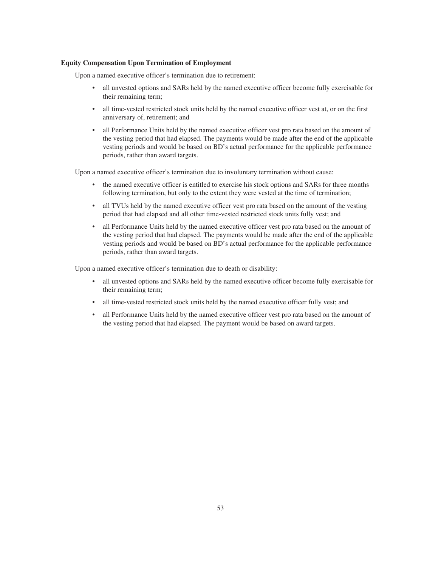## **Equity Compensation Upon Termination of Employment**

Upon a named executive officer's termination due to retirement:

- all unvested options and SARs held by the named executive officer become fully exercisable for their remaining term;
- all time-vested restricted stock units held by the named executive officer vest at, or on the first anniversary of, retirement; and
- all Performance Units held by the named executive officer vest pro rata based on the amount of the vesting period that had elapsed. The payments would be made after the end of the applicable vesting periods and would be based on BD's actual performance for the applicable performance periods, rather than award targets.

Upon a named executive officer's termination due to involuntary termination without cause:

- the named executive officer is entitled to exercise his stock options and SARs for three months following termination, but only to the extent they were vested at the time of termination;
- all TVUs held by the named executive officer vest pro rata based on the amount of the vesting period that had elapsed and all other time-vested restricted stock units fully vest; and
- all Performance Units held by the named executive officer vest pro rata based on the amount of the vesting period that had elapsed. The payments would be made after the end of the applicable vesting periods and would be based on BD's actual performance for the applicable performance periods, rather than award targets.

Upon a named executive officer's termination due to death or disability:

- all unvested options and SARs held by the named executive officer become fully exercisable for their remaining term;
- all time-vested restricted stock units held by the named executive officer fully vest; and
- all Performance Units held by the named executive officer vest pro rata based on the amount of the vesting period that had elapsed. The payment would be based on award targets.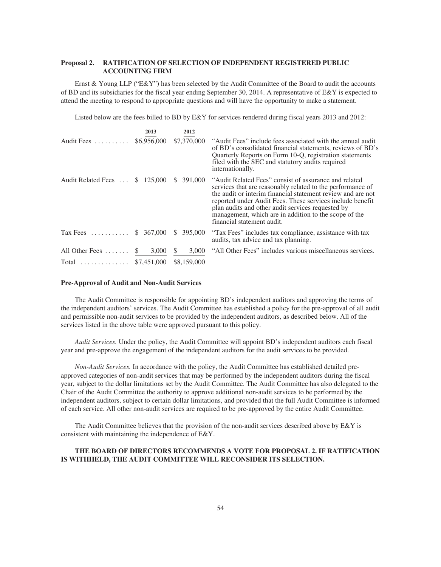## **Proposal 2. RATIFICATION OF SELECTION OF INDEPENDENT REGISTERED PUBLIC ACCOUNTING FIRM**

Ernst & Young LLP ("E&Y") has been selected by the Audit Committee of the Board to audit the accounts of BD and its subsidiaries for the fiscal year ending September 30, 2014. A representative of  $E\&Y$  is expected to attend the meeting to respond to appropriate questions and will have the opportunity to make a statement.

Listed below are the fees billed to BD by E&Y for services rendered during fiscal years 2013 and 2012:

|                                 | 2013                  | 2012        |                                                                                                                                                                                                                                                                                                                                                                                             |
|---------------------------------|-----------------------|-------------|---------------------------------------------------------------------------------------------------------------------------------------------------------------------------------------------------------------------------------------------------------------------------------------------------------------------------------------------------------------------------------------------|
| Audit Fees                      | \$6,956,000           | \$7,370,000 | "Audit Fees" include fees associated with the annual audit<br>of BD's consolidated financial statements, reviews of BD's<br>Quarterly Reports on Form 10-Q, registration statements<br>filed with the SEC and statutory audits required<br>internationally.                                                                                                                                 |
| Audit Related Fees              | \$125,000             | \$ 391,000  | "Audit Related Fees" consist of assurance and related<br>services that are reasonably related to the performance of<br>the audit or interim financial statement review and are not<br>reported under Audit Fees. These services include benefit<br>plan audits and other audit services requested by<br>management, which are in addition to the scope of the<br>financial statement audit. |
| Tax Fees  \$ 367,000            |                       | \$ 395,000  | "Tax Fees" includes tax compliance, assistance with tax<br>audits, tax advice and tax planning.                                                                                                                                                                                                                                                                                             |
| All Other Fees                  | <sup>S</sup><br>3,000 | S.<br>3,000 | "All Other Fees" includes various miscellaneous services.                                                                                                                                                                                                                                                                                                                                   |
| Total $$7,451,000$ $$8,159,000$ |                       |             |                                                                                                                                                                                                                                                                                                                                                                                             |

## **Pre-Approval of Audit and Non-Audit Services**

The Audit Committee is responsible for appointing BD's independent auditors and approving the terms of the independent auditors' services. The Audit Committee has established a policy for the pre-approval of all audit and permissible non-audit services to be provided by the independent auditors, as described below. All of the services listed in the above table were approved pursuant to this policy.

*Audit Services.* Under the policy, the Audit Committee will appoint BD's independent auditors each fiscal year and pre-approve the engagement of the independent auditors for the audit services to be provided.

*Non-Audit Services.* In accordance with the policy, the Audit Committee has established detailed preapproved categories of non-audit services that may be performed by the independent auditors during the fiscal year, subject to the dollar limitations set by the Audit Committee. The Audit Committee has also delegated to the Chair of the Audit Committee the authority to approve additional non-audit services to be performed by the independent auditors, subject to certain dollar limitations, and provided that the full Audit Committee is informed of each service. All other non-audit services are required to be pre-approved by the entire Audit Committee.

The Audit Committee believes that the provision of the non-audit services described above by  $E\&Y$  is consistent with maintaining the independence of E&Y.

## **THE BOARD OF DIRECTORS RECOMMENDS A VOTE FOR PROPOSAL 2. IF RATIFICATION IS WITHHELD, THE AUDIT COMMITTEE WILL RECONSIDER ITS SELECTION.**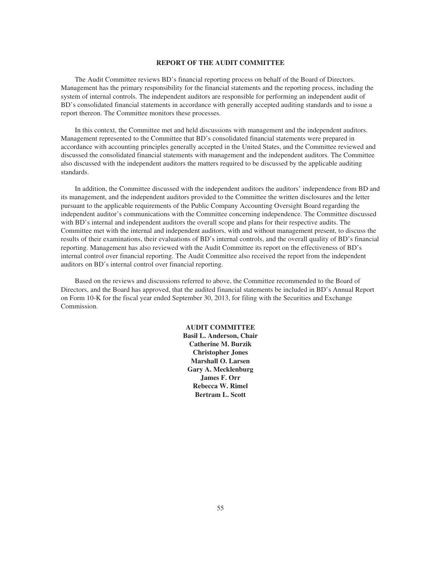## **REPORT OF THE AUDIT COMMITTEE**

The Audit Committee reviews BD's financial reporting process on behalf of the Board of Directors. Management has the primary responsibility for the financial statements and the reporting process, including the system of internal controls. The independent auditors are responsible for performing an independent audit of BD's consolidated financial statements in accordance with generally accepted auditing standards and to issue a report thereon. The Committee monitors these processes.

In this context, the Committee met and held discussions with management and the independent auditors. Management represented to the Committee that BD's consolidated financial statements were prepared in accordance with accounting principles generally accepted in the United States, and the Committee reviewed and discussed the consolidated financial statements with management and the independent auditors. The Committee also discussed with the independent auditors the matters required to be discussed by the applicable auditing standards.

In addition, the Committee discussed with the independent auditors the auditors' independence from BD and its management, and the independent auditors provided to the Committee the written disclosures and the letter pursuant to the applicable requirements of the Public Company Accounting Oversight Board regarding the independent auditor's communications with the Committee concerning independence. The Committee discussed with BD's internal and independent auditors the overall scope and plans for their respective audits. The Committee met with the internal and independent auditors, with and without management present, to discuss the results of their examinations, their evaluations of BD's internal controls, and the overall quality of BD's financial reporting. Management has also reviewed with the Audit Committee its report on the effectiveness of BD's internal control over financial reporting. The Audit Committee also received the report from the independent auditors on BD's internal control over financial reporting.

Based on the reviews and discussions referred to above, the Committee recommended to the Board of Directors, and the Board has approved, that the audited financial statements be included in BD's Annual Report on Form 10-K for the fiscal year ended September 30, 2013, for filing with the Securities and Exchange Commission.

> **AUDIT COMMITTEE Basil L. Anderson, Chair Catherine M. Burzik Christopher Jones Marshall O. Larsen Gary A. Mecklenburg James F. Orr Rebecca W. Rimel Bertram L. Scott**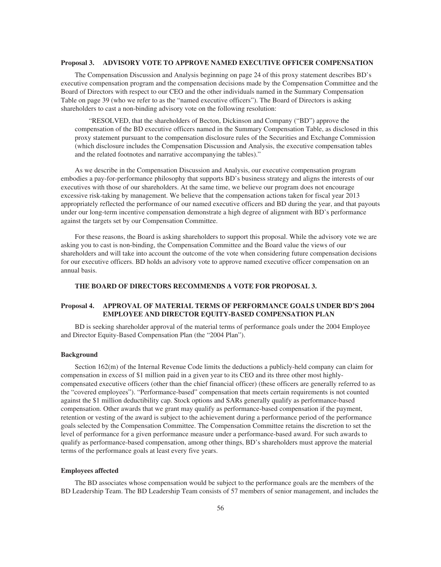### **Proposal 3. ADVISORY VOTE TO APPROVE NAMED EXECUTIVE OFFICER COMPENSATION**

The Compensation Discussion and Analysis beginning on page 24 of this proxy statement describes BD's executive compensation program and the compensation decisions made by the Compensation Committee and the Board of Directors with respect to our CEO and the other individuals named in the Summary Compensation Table on page 39 (who we refer to as the "named executive officers"). The Board of Directors is asking shareholders to cast a non-binding advisory vote on the following resolution:

"RESOLVED, that the shareholders of Becton, Dickinson and Company ("BD") approve the compensation of the BD executive officers named in the Summary Compensation Table, as disclosed in this proxy statement pursuant to the compensation disclosure rules of the Securities and Exchange Commission (which disclosure includes the Compensation Discussion and Analysis, the executive compensation tables and the related footnotes and narrative accompanying the tables)."

As we describe in the Compensation Discussion and Analysis, our executive compensation program embodies a pay-for-performance philosophy that supports BD's business strategy and aligns the interests of our executives with those of our shareholders. At the same time, we believe our program does not encourage excessive risk-taking by management. We believe that the compensation actions taken for fiscal year 2013 appropriately reflected the performance of our named executive officers and BD during the year, and that payouts under our long-term incentive compensation demonstrate a high degree of alignment with BD's performance against the targets set by our Compensation Committee.

For these reasons, the Board is asking shareholders to support this proposal. While the advisory vote we are asking you to cast is non-binding, the Compensation Committee and the Board value the views of our shareholders and will take into account the outcome of the vote when considering future compensation decisions for our executive officers. BD holds an advisory vote to approve named executive officer compensation on an annual basis.

## **THE BOARD OF DIRECTORS RECOMMENDS A VOTE FOR PROPOSAL 3.**

## **Proposal 4. APPROVAL OF MATERIAL TERMS OF PERFORMANCE GOALS UNDER BD'S 2004 EMPLOYEE AND DIRECTOR EQUITY-BASED COMPENSATION PLAN**

BD is seeking shareholder approval of the material terms of performance goals under the 2004 Employee and Director Equity-Based Compensation Plan (the "2004 Plan").

## **Background**

Section 162(m) of the Internal Revenue Code limits the deductions a publicly-held company can claim for compensation in excess of \$1 million paid in a given year to its CEO and its three other most highlycompensated executive officers (other than the chief financial officer) (these officers are generally referred to as the "covered employees"). "Performance-based" compensation that meets certain requirements is not counted against the \$1 million deductibility cap. Stock options and SARs generally qualify as performance-based compensation. Other awards that we grant may qualify as performance-based compensation if the payment, retention or vesting of the award is subject to the achievement during a performance period of the performance goals selected by the Compensation Committee. The Compensation Committee retains the discretion to set the level of performance for a given performance measure under a performance-based award. For such awards to qualify as performance-based compensation, among other things, BD's shareholders must approve the material terms of the performance goals at least every five years.

### **Employees affected**

The BD associates whose compensation would be subject to the performance goals are the members of the BD Leadership Team. The BD Leadership Team consists of 57 members of senior management, and includes the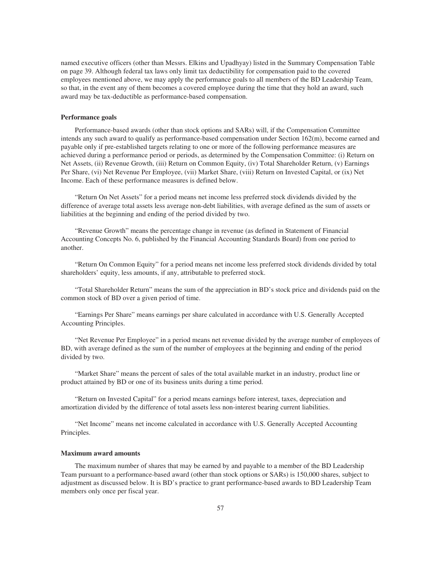named executive officers (other than Messrs. Elkins and Upadhyay) listed in the Summary Compensation Table on page 39. Although federal tax laws only limit tax deductibility for compensation paid to the covered employees mentioned above, we may apply the performance goals to all members of the BD Leadership Team, so that, in the event any of them becomes a covered employee during the time that they hold an award, such award may be tax-deductible as performance-based compensation.

## **Performance goals**

Performance-based awards (other than stock options and SARs) will, if the Compensation Committee intends any such award to qualify as performance-based compensation under Section 162(m), become earned and payable only if pre-established targets relating to one or more of the following performance measures are achieved during a performance period or periods, as determined by the Compensation Committee: (i) Return on Net Assets, (ii) Revenue Growth, (iii) Return on Common Equity, (iv) Total Shareholder Return, (v) Earnings Per Share, (vi) Net Revenue Per Employee, (vii) Market Share, (viii) Return on Invested Capital, or (ix) Net Income. Each of these performance measures is defined below.

"Return On Net Assets" for a period means net income less preferred stock dividends divided by the difference of average total assets less average non-debt liabilities, with average defined as the sum of assets or liabilities at the beginning and ending of the period divided by two.

"Revenue Growth" means the percentage change in revenue (as defined in Statement of Financial Accounting Concepts No. 6, published by the Financial Accounting Standards Board) from one period to another.

"Return On Common Equity" for a period means net income less preferred stock dividends divided by total shareholders' equity, less amounts, if any, attributable to preferred stock.

"Total Shareholder Return" means the sum of the appreciation in BD's stock price and dividends paid on the common stock of BD over a given period of time.

"Earnings Per Share" means earnings per share calculated in accordance with U.S. Generally Accepted Accounting Principles.

"Net Revenue Per Employee" in a period means net revenue divided by the average number of employees of BD, with average defined as the sum of the number of employees at the beginning and ending of the period divided by two.

"Market Share" means the percent of sales of the total available market in an industry, product line or product attained by BD or one of its business units during a time period.

"Return on Invested Capital" for a period means earnings before interest, taxes, depreciation and amortization divided by the difference of total assets less non-interest bearing current liabilities.

"Net Income" means net income calculated in accordance with U.S. Generally Accepted Accounting Principles.

## **Maximum award amounts**

The maximum number of shares that may be earned by and payable to a member of the BD Leadership Team pursuant to a performance-based award (other than stock options or SARs) is 150,000 shares, subject to adjustment as discussed below. It is BD's practice to grant performance-based awards to BD Leadership Team members only once per fiscal year.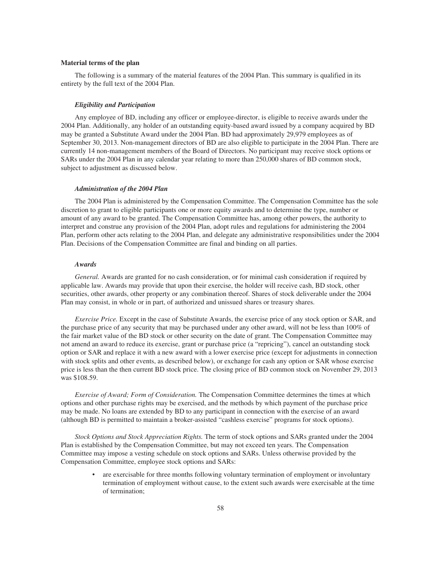#### **Material terms of the plan**

The following is a summary of the material features of the 2004 Plan. This summary is qualified in its entirety by the full text of the 2004 Plan.

### *Eligibility and Participation*

Any employee of BD, including any officer or employee-director, is eligible to receive awards under the 2004 Plan. Additionally, any holder of an outstanding equity-based award issued by a company acquired by BD may be granted a Substitute Award under the 2004 Plan. BD had approximately 29,979 employees as of September 30, 2013. Non-management directors of BD are also eligible to participate in the 2004 Plan. There are currently 14 non-management members of the Board of Directors. No participant may receive stock options or SARs under the 2004 Plan in any calendar year relating to more than 250,000 shares of BD common stock, subject to adjustment as discussed below.

### *Administration of the 2004 Plan*

The 2004 Plan is administered by the Compensation Committee. The Compensation Committee has the sole discretion to grant to eligible participants one or more equity awards and to determine the type, number or amount of any award to be granted. The Compensation Committee has, among other powers, the authority to interpret and construe any provision of the 2004 Plan, adopt rules and regulations for administering the 2004 Plan, perform other acts relating to the 2004 Plan, and delegate any administrative responsibilities under the 2004 Plan. Decisions of the Compensation Committee are final and binding on all parties.

## *Awards*

*General.* Awards are granted for no cash consideration, or for minimal cash consideration if required by applicable law. Awards may provide that upon their exercise, the holder will receive cash, BD stock, other securities, other awards, other property or any combination thereof. Shares of stock deliverable under the 2004 Plan may consist, in whole or in part, of authorized and unissued shares or treasury shares.

*Exercise Price.* Except in the case of Substitute Awards, the exercise price of any stock option or SAR, and the purchase price of any security that may be purchased under any other award, will not be less than 100% of the fair market value of the BD stock or other security on the date of grant. The Compensation Committee may not amend an award to reduce its exercise, grant or purchase price (a "repricing"), cancel an outstanding stock option or SAR and replace it with a new award with a lower exercise price (except for adjustments in connection with stock splits and other events, as described below), or exchange for cash any option or SAR whose exercise price is less than the then current BD stock price. The closing price of BD common stock on November 29, 2013 was \$108.59.

*Exercise of Award; Form of Consideration.* The Compensation Committee determines the times at which options and other purchase rights may be exercised, and the methods by which payment of the purchase price may be made. No loans are extended by BD to any participant in connection with the exercise of an award (although BD is permitted to maintain a broker-assisted "cashless exercise" programs for stock options).

*Stock Options and Stock Appreciation Rights.* The term of stock options and SARs granted under the 2004 Plan is established by the Compensation Committee, but may not exceed ten years. The Compensation Committee may impose a vesting schedule on stock options and SARs. Unless otherwise provided by the Compensation Committee, employee stock options and SARs:

> • are exercisable for three months following voluntary termination of employment or involuntary termination of employment without cause, to the extent such awards were exercisable at the time of termination;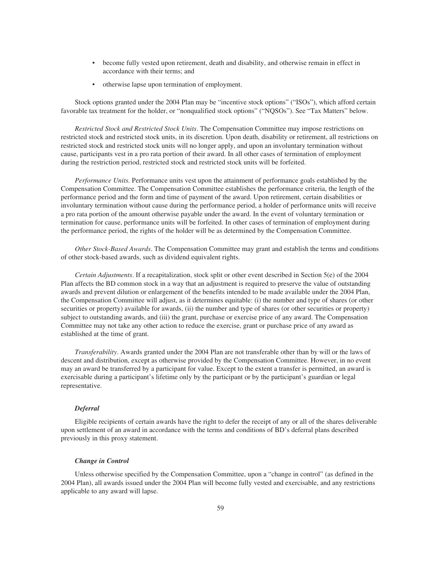- become fully vested upon retirement, death and disability, and otherwise remain in effect in accordance with their terms; and
- otherwise lapse upon termination of employment.

Stock options granted under the 2004 Plan may be "incentive stock options" ("ISOs"), which afford certain favorable tax treatment for the holder, or "nonqualified stock options" ("NQSOs"). See "Tax Matters" below.

*Restricted Stock and Restricted Stock Units*. The Compensation Committee may impose restrictions on restricted stock and restricted stock units, in its discretion. Upon death, disability or retirement, all restrictions on restricted stock and restricted stock units will no longer apply, and upon an involuntary termination without cause, participants vest in a pro rata portion of their award. In all other cases of termination of employment during the restriction period, restricted stock and restricted stock units will be forfeited.

*Performance Units.* Performance units vest upon the attainment of performance goals established by the Compensation Committee. The Compensation Committee establishes the performance criteria, the length of the performance period and the form and time of payment of the award. Upon retirement, certain disabilities or involuntary termination without cause during the performance period, a holder of performance units will receive a pro rata portion of the amount otherwise payable under the award. In the event of voluntary termination or termination for cause, performance units will be forfeited. In other cases of termination of employment during the performance period, the rights of the holder will be as determined by the Compensation Committee.

*Other Stock-Based Awards*. The Compensation Committee may grant and establish the terms and conditions of other stock-based awards, such as dividend equivalent rights.

*Certain Adjustments*. If a recapitalization, stock split or other event described in Section 5(e) of the 2004 Plan affects the BD common stock in a way that an adjustment is required to preserve the value of outstanding awards and prevent dilution or enlargement of the benefits intended to be made available under the 2004 Plan, the Compensation Committee will adjust, as it determines equitable: (i) the number and type of shares (or other securities or property) available for awards, (ii) the number and type of shares (or other securities or property) subject to outstanding awards, and (iii) the grant, purchase or exercise price of any award. The Compensation Committee may not take any other action to reduce the exercise, grant or purchase price of any award as established at the time of grant.

*Transferability*. Awards granted under the 2004 Plan are not transferable other than by will or the laws of descent and distribution, except as otherwise provided by the Compensation Committee. However, in no event may an award be transferred by a participant for value. Except to the extent a transfer is permitted, an award is exercisable during a participant's lifetime only by the participant or by the participant's guardian or legal representative.

### *Deferral*

Eligible recipients of certain awards have the right to defer the receipt of any or all of the shares deliverable upon settlement of an award in accordance with the terms and conditions of BD's deferral plans described previously in this proxy statement.

## *Change in Control*

Unless otherwise specified by the Compensation Committee, upon a "change in control" (as defined in the 2004 Plan), all awards issued under the 2004 Plan will become fully vested and exercisable, and any restrictions applicable to any award will lapse.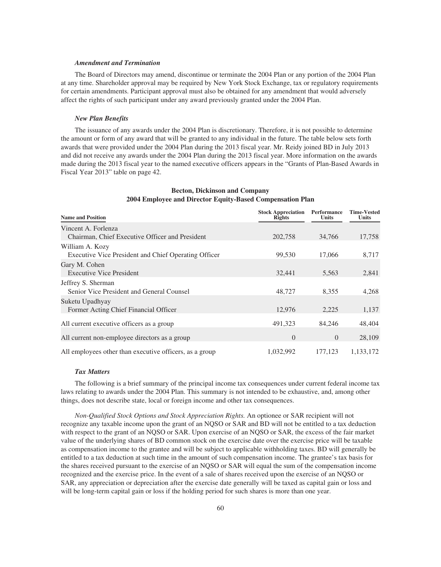## *Amendment and Termination*

The Board of Directors may amend, discontinue or terminate the 2004 Plan or any portion of the 2004 Plan at any time. Shareholder approval may be required by New York Stock Exchange, tax or regulatory requirements for certain amendments. Participant approval must also be obtained for any amendment that would adversely affect the rights of such participant under any award previously granted under the 2004 Plan.

### *New Plan Benefits*

The issuance of any awards under the 2004 Plan is discretionary. Therefore, it is not possible to determine the amount or form of any award that will be granted to any individual in the future. The table below sets forth awards that were provided under the 2004 Plan during the 2013 fiscal year. Mr. Reidy joined BD in July 2013 and did not receive any awards under the 2004 Plan during the 2013 fiscal year. More information on the awards made during the 2013 fiscal year to the named executive officers appears in the "Grants of Plan-Based Awards in Fiscal Year 2013" table on page 42.

| <b>Name and Position</b>                                | <b>Stock Appreciation</b><br><b>Rights</b> | <b>Performance</b><br>Units | <b>Time-Vested</b><br>Units |
|---------------------------------------------------------|--------------------------------------------|-----------------------------|-----------------------------|
| Vincent A. Forlenza                                     |                                            |                             |                             |
| Chairman, Chief Executive Officer and President         | 202,758                                    | 34.766                      | 17,758                      |
| William A. Kozy                                         |                                            |                             |                             |
| Executive Vice President and Chief Operating Officer    | 99,530                                     | 17,066                      | 8,717                       |
| Gary M. Cohen                                           |                                            |                             |                             |
| <b>Executive Vice President</b>                         | 32,441                                     | 5,563                       | 2,841                       |
| Jeffrey S. Sherman                                      |                                            |                             |                             |
| Senior Vice President and General Counsel               | 48,727                                     | 8,355                       | 4,268                       |
| Suketu Upadhyay                                         |                                            |                             |                             |
| Former Acting Chief Financial Officer                   | 12,976                                     | 2,225                       | 1,137                       |
| All current executive officers as a group               | 491,323                                    | 84.246                      | 48,404                      |
| All current non-employee directors as a group           | $\overline{0}$                             | $\overline{0}$              | 28,109                      |
| All employees other than executive officers, as a group | 1,032,992                                  | 177,123                     | 1,133,172                   |

## **Becton, Dickinson and Company 2004 Employee and Director Equity-Based Compensation Plan**

## *Tax Matters*

The following is a brief summary of the principal income tax consequences under current federal income tax laws relating to awards under the 2004 Plan. This summary is not intended to be exhaustive, and, among other things, does not describe state, local or foreign income and other tax consequences.

*Non-Qualified Stock Options and Stock Appreciation Rights.* An optionee or SAR recipient will not recognize any taxable income upon the grant of an NQSO or SAR and BD will not be entitled to a tax deduction with respect to the grant of an NQSO or SAR. Upon exercise of an NQSO or SAR, the excess of the fair market value of the underlying shares of BD common stock on the exercise date over the exercise price will be taxable as compensation income to the grantee and will be subject to applicable withholding taxes. BD will generally be entitled to a tax deduction at such time in the amount of such compensation income. The grantee's tax basis for the shares received pursuant to the exercise of an NQSO or SAR will equal the sum of the compensation income recognized and the exercise price. In the event of a sale of shares received upon the exercise of an NQSO or SAR, any appreciation or depreciation after the exercise date generally will be taxed as capital gain or loss and will be long-term capital gain or loss if the holding period for such shares is more than one year.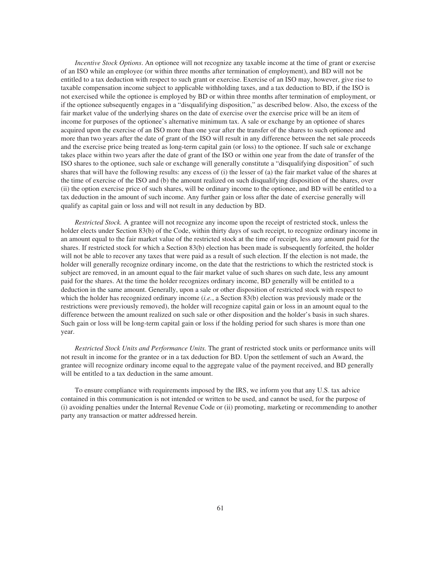*Incentive Stock Options*. An optionee will not recognize any taxable income at the time of grant or exercise of an ISO while an employee (or within three months after termination of employment), and BD will not be entitled to a tax deduction with respect to such grant or exercise. Exercise of an ISO may, however, give rise to taxable compensation income subject to applicable withholding taxes, and a tax deduction to BD, if the ISO is not exercised while the optionee is employed by BD or within three months after termination of employment, or if the optionee subsequently engages in a "disqualifying disposition," as described below. Also, the excess of the fair market value of the underlying shares on the date of exercise over the exercise price will be an item of income for purposes of the optionee's alternative minimum tax. A sale or exchange by an optionee of shares acquired upon the exercise of an ISO more than one year after the transfer of the shares to such optionee and more than two years after the date of grant of the ISO will result in any difference between the net sale proceeds and the exercise price being treated as long-term capital gain (or loss) to the optionee. If such sale or exchange takes place within two years after the date of grant of the ISO or within one year from the date of transfer of the ISO shares to the optionee, such sale or exchange will generally constitute a "disqualifying disposition" of such shares that will have the following results: any excess of (i) the lesser of (a) the fair market value of the shares at the time of exercise of the ISO and (b) the amount realized on such disqualifying disposition of the shares, over (ii) the option exercise price of such shares, will be ordinary income to the optionee, and BD will be entitled to a tax deduction in the amount of such income. Any further gain or loss after the date of exercise generally will qualify as capital gain or loss and will not result in any deduction by BD.

*Restricted Stock.* A grantee will not recognize any income upon the receipt of restricted stock, unless the holder elects under Section 83(b) of the Code, within thirty days of such receipt, to recognize ordinary income in an amount equal to the fair market value of the restricted stock at the time of receipt, less any amount paid for the shares. If restricted stock for which a Section 83(b) election has been made is subsequently forfeited, the holder will not be able to recover any taxes that were paid as a result of such election. If the election is not made, the holder will generally recognize ordinary income, on the date that the restrictions to which the restricted stock is subject are removed, in an amount equal to the fair market value of such shares on such date, less any amount paid for the shares. At the time the holder recognizes ordinary income, BD generally will be entitled to a deduction in the same amount. Generally, upon a sale or other disposition of restricted stock with respect to which the holder has recognized ordinary income (*i.e.*, a Section 83(b) election was previously made or the restrictions were previously removed), the holder will recognize capital gain or loss in an amount equal to the difference between the amount realized on such sale or other disposition and the holder's basis in such shares. Such gain or loss will be long-term capital gain or loss if the holding period for such shares is more than one year.

*Restricted Stock Units and Performance Units.* The grant of restricted stock units or performance units will not result in income for the grantee or in a tax deduction for BD. Upon the settlement of such an Award, the grantee will recognize ordinary income equal to the aggregate value of the payment received, and BD generally will be entitled to a tax deduction in the same amount.

To ensure compliance with requirements imposed by the IRS, we inform you that any U.S. tax advice contained in this communication is not intended or written to be used, and cannot be used, for the purpose of (i) avoiding penalties under the Internal Revenue Code or (ii) promoting, marketing or recommending to another party any transaction or matter addressed herein.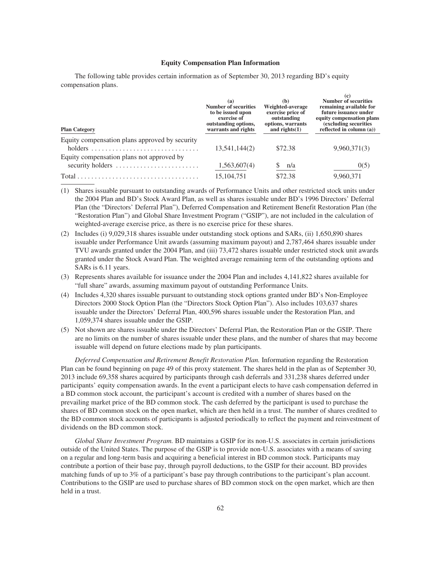#### **Equity Compensation Plan Information**

 $(a)$ 

The following table provides certain information as of September 30, 2013 regarding BD's equity compensation plans.

| <b>Plan Category</b>                                                                                      | (a)<br><b>Number of securities</b><br>to be issued upon<br>exercise of<br>outstanding options,<br>warrants and rights | (b)<br>Weighted-average<br>exercise price of<br>outstanding<br>options, warrants<br>and rights $(1)$ | <b>Number of securities</b><br>remaining available for<br>future issuance under<br>equity compensation plans<br>(excluding securities)<br>reflected in column $(a)$ ) |
|-----------------------------------------------------------------------------------------------------------|-----------------------------------------------------------------------------------------------------------------------|------------------------------------------------------------------------------------------------------|-----------------------------------------------------------------------------------------------------------------------------------------------------------------------|
| Equity compensation plans approved by security                                                            | 13,541,144(2)                                                                                                         | \$72.38                                                                                              | 9,960,371(3)                                                                                                                                                          |
| Equity compensation plans not approved by<br>security holders $\dots \dots \dots \dots \dots \dots \dots$ | 1,563,607(4)                                                                                                          | n/a                                                                                                  | 0(5)                                                                                                                                                                  |
| $Total \dots \dots \dots \dots \dots \dots \dots \dots \dots \dots \dots \dots \dots$                     | 15, 104, 751                                                                                                          | \$72.38                                                                                              | 9,960,371                                                                                                                                                             |

(1) Shares issuable pursuant to outstanding awards of Performance Units and other restricted stock units under the 2004 Plan and BD's Stock Award Plan, as well as shares issuable under BD's 1996 Directors' Deferral Plan (the "Directors' Deferral Plan"), Deferred Compensation and Retirement Benefit Restoration Plan (the "Restoration Plan") and Global Share Investment Program ("GSIP"), are not included in the calculation of weighted-average exercise price, as there is no exercise price for these shares.

- (2) Includes (i) 9,029,318 shares issuable under outstanding stock options and SARs, (ii) 1,650,890 shares issuable under Performance Unit awards (assuming maximum payout) and 2,787,464 shares issuable under TVU awards granted under the 2004 Plan, and (iii) 73,472 shares issuable under restricted stock unit awards granted under the Stock Award Plan. The weighted average remaining term of the outstanding options and SARs is 6.11 years.
- (3) Represents shares available for issuance under the 2004 Plan and includes 4,141,822 shares available for "full share" awards, assuming maximum payout of outstanding Performance Units.
- (4) Includes 4,320 shares issuable pursuant to outstanding stock options granted under BD's Non-Employee Directors 2000 Stock Option Plan (the "Directors Stock Option Plan"). Also includes 103,637 shares issuable under the Directors' Deferral Plan, 400,596 shares issuable under the Restoration Plan, and 1,059,374 shares issuable under the GSIP.
- (5) Not shown are shares issuable under the Directors' Deferral Plan, the Restoration Plan or the GSIP. There are no limits on the number of shares issuable under these plans, and the number of shares that may become issuable will depend on future elections made by plan participants.

*Deferred Compensation and Retirement Benefit Restoration Plan.* Information regarding the Restoration Plan can be found beginning on page 49 of this proxy statement. The shares held in the plan as of September 30, 2013 include 69,358 shares acquired by participants through cash deferrals and 331,238 shares deferred under participants' equity compensation awards. In the event a participant elects to have cash compensation deferred in a BD common stock account, the participant's account is credited with a number of shares based on the prevailing market price of the BD common stock. The cash deferred by the participant is used to purchase the shares of BD common stock on the open market, which are then held in a trust. The number of shares credited to the BD common stock accounts of participants is adjusted periodically to reflect the payment and reinvestment of dividends on the BD common stock.

*Global Share Investment Program.* BD maintains a GSIP for its non-U.S. associates in certain jurisdictions outside of the United States. The purpose of the GSIP is to provide non-U.S. associates with a means of saving on a regular and long-term basis and acquiring a beneficial interest in BD common stock. Participants may contribute a portion of their base pay, through payroll deductions, to the GSIP for their account. BD provides matching funds of up to 3% of a participant's base pay through contributions to the participant's plan account. Contributions to the GSIP are used to purchase shares of BD common stock on the open market, which are then held in a trust.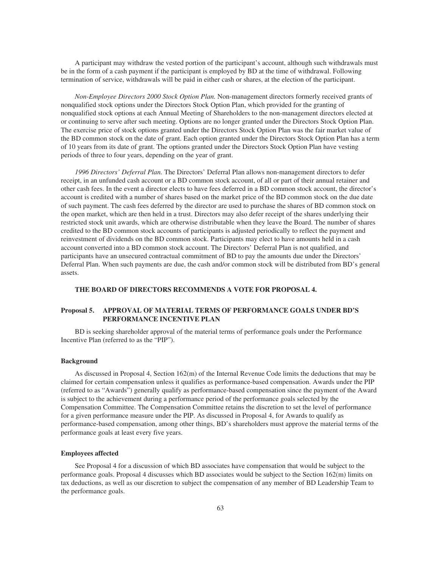A participant may withdraw the vested portion of the participant's account, although such withdrawals must be in the form of a cash payment if the participant is employed by BD at the time of withdrawal. Following termination of service, withdrawals will be paid in either cash or shares, at the election of the participant.

*Non-Employee Directors 2000 Stock Option Plan.* Non-management directors formerly received grants of nonqualified stock options under the Directors Stock Option Plan, which provided for the granting of nonqualified stock options at each Annual Meeting of Shareholders to the non-management directors elected at or continuing to serve after such meeting. Options are no longer granted under the Directors Stock Option Plan. The exercise price of stock options granted under the Directors Stock Option Plan was the fair market value of the BD common stock on the date of grant. Each option granted under the Directors Stock Option Plan has a term of 10 years from its date of grant. The options granted under the Directors Stock Option Plan have vesting periods of three to four years, depending on the year of grant.

*1996 Directors' Deferral Plan.* The Directors' Deferral Plan allows non-management directors to defer receipt, in an unfunded cash account or a BD common stock account, of all or part of their annual retainer and other cash fees. In the event a director elects to have fees deferred in a BD common stock account, the director's account is credited with a number of shares based on the market price of the BD common stock on the due date of such payment. The cash fees deferred by the director are used to purchase the shares of BD common stock on the open market, which are then held in a trust. Directors may also defer receipt of the shares underlying their restricted stock unit awards, which are otherwise distributable when they leave the Board. The number of shares credited to the BD common stock accounts of participants is adjusted periodically to reflect the payment and reinvestment of dividends on the BD common stock. Participants may elect to have amounts held in a cash account converted into a BD common stock account. The Directors' Deferral Plan is not qualified, and participants have an unsecured contractual commitment of BD to pay the amounts due under the Directors' Deferral Plan. When such payments are due, the cash and/or common stock will be distributed from BD's general assets.

## **THE BOARD OF DIRECTORS RECOMMENDS A VOTE FOR PROPOSAL 4.**

## **Proposal 5. APPROVAL OF MATERIAL TERMS OF PERFORMANCE GOALS UNDER BD'S PERFORMANCE INCENTIVE PLAN**

BD is seeking shareholder approval of the material terms of performance goals under the Performance Incentive Plan (referred to as the "PIP").

## **Background**

As discussed in Proposal 4, Section 162(m) of the Internal Revenue Code limits the deductions that may be claimed for certain compensation unless it qualifies as performance-based compensation. Awards under the PIP (referred to as "Awards") generally qualify as performance-based compensation since the payment of the Award is subject to the achievement during a performance period of the performance goals selected by the Compensation Committee. The Compensation Committee retains the discretion to set the level of performance for a given performance measure under the PIP. As discussed in Proposal 4, for Awards to qualify as performance-based compensation, among other things, BD's shareholders must approve the material terms of the performance goals at least every five years.

## **Employees affected**

See Proposal 4 for a discussion of which BD associates have compensation that would be subject to the performance goals. Proposal 4 discusses which BD associates would be subject to the Section 162(m) limits on tax deductions, as well as our discretion to subject the compensation of any member of BD Leadership Team to the performance goals.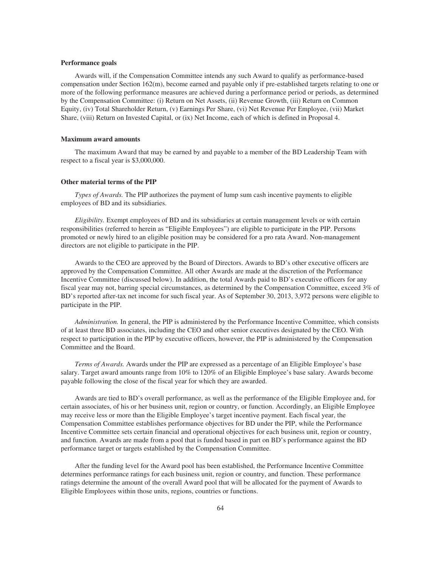#### **Performance goals**

Awards will, if the Compensation Committee intends any such Award to qualify as performance-based compensation under Section 162(m), become earned and payable only if pre-established targets relating to one or more of the following performance measures are achieved during a performance period or periods, as determined by the Compensation Committee: (i) Return on Net Assets, (ii) Revenue Growth, (iii) Return on Common Equity, (iv) Total Shareholder Return, (v) Earnings Per Share, (vi) Net Revenue Per Employee, (vii) Market Share, (viii) Return on Invested Capital, or (ix) Net Income, each of which is defined in Proposal 4.

### **Maximum award amounts**

The maximum Award that may be earned by and payable to a member of the BD Leadership Team with respect to a fiscal year is \$3,000,000.

#### **Other material terms of the PIP**

*Types of Awards.* The PIP authorizes the payment of lump sum cash incentive payments to eligible employees of BD and its subsidiaries.

*Eligibility.* Exempt employees of BD and its subsidiaries at certain management levels or with certain responsibilities (referred to herein as "Eligible Employees") are eligible to participate in the PIP. Persons promoted or newly hired to an eligible position may be considered for a pro rata Award. Non-management directors are not eligible to participate in the PIP.

Awards to the CEO are approved by the Board of Directors. Awards to BD's other executive officers are approved by the Compensation Committee. All other Awards are made at the discretion of the Performance Incentive Committee (discussed below). In addition, the total Awards paid to BD's executive officers for any fiscal year may not, barring special circumstances, as determined by the Compensation Committee, exceed 3% of BD's reported after-tax net income for such fiscal year. As of September 30, 2013, 3,972 persons were eligible to participate in the PIP.

*Administration.* In general, the PIP is administered by the Performance Incentive Committee, which consists of at least three BD associates, including the CEO and other senior executives designated by the CEO. With respect to participation in the PIP by executive officers, however, the PIP is administered by the Compensation Committee and the Board.

*Terms of Awards.* Awards under the PIP are expressed as a percentage of an Eligible Employee's base salary. Target award amounts range from 10% to 120% of an Eligible Employee's base salary. Awards become payable following the close of the fiscal year for which they are awarded.

Awards are tied to BD's overall performance, as well as the performance of the Eligible Employee and, for certain associates, of his or her business unit, region or country, or function. Accordingly, an Eligible Employee may receive less or more than the Eligible Employee's target incentive payment. Each fiscal year, the Compensation Committee establishes performance objectives for BD under the PIP, while the Performance Incentive Committee sets certain financial and operational objectives for each business unit, region or country, and function. Awards are made from a pool that is funded based in part on BD's performance against the BD performance target or targets established by the Compensation Committee.

After the funding level for the Award pool has been established, the Performance Incentive Committee determines performance ratings for each business unit, region or country, and function. These performance ratings determine the amount of the overall Award pool that will be allocated for the payment of Awards to Eligible Employees within those units, regions, countries or functions.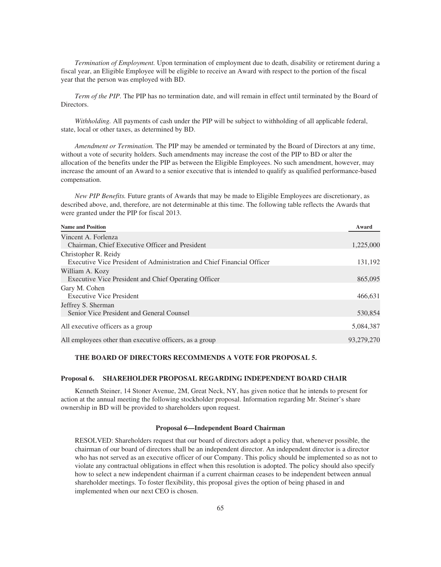*Termination of Employment.* Upon termination of employment due to death, disability or retirement during a fiscal year, an Eligible Employee will be eligible to receive an Award with respect to the portion of the fiscal year that the person was employed with BD.

*Term of the PIP.* The PIP has no termination date, and will remain in effect until terminated by the Board of Directors.

*Withholding.* All payments of cash under the PIP will be subject to withholding of all applicable federal, state, local or other taxes, as determined by BD.

*Amendment or Termination.* The PIP may be amended or terminated by the Board of Directors at any time, without a vote of security holders. Such amendments may increase the cost of the PIP to BD or alter the allocation of the benefits under the PIP as between the Eligible Employees. No such amendment, however, may increase the amount of an Award to a senior executive that is intended to qualify as qualified performance-based compensation.

*New PIP Benefits.* Future grants of Awards that may be made to Eligible Employees are discretionary, as described above, and, therefore, are not determinable at this time. The following table reflects the Awards that were granted under the PIP for fiscal 2013.

| <b>Name and Position</b>                                                                       | Award      |
|------------------------------------------------------------------------------------------------|------------|
| Vincent A. Forlenza<br>Chairman, Chief Executive Officer and President                         | 1,225,000  |
| Christopher R. Reidy<br>Executive Vice President of Administration and Chief Financial Officer | 131,192    |
| William A. Kozy<br>Executive Vice President and Chief Operating Officer                        | 865,095    |
| Gary M. Cohen<br><b>Executive Vice President</b>                                               | 466,631    |
| Jeffrey S. Sherman<br>Senior Vice President and General Counsel                                | 530,854    |
| All executive officers as a group                                                              | 5,084,387  |
| All employees other than executive officers, as a group                                        | 93,279,270 |

## **THE BOARD OF DIRECTORS RECOMMENDS A VOTE FOR PROPOSAL 5.**

## **Proposal 6. SHAREHOLDER PROPOSAL REGARDING INDEPENDENT BOARD CHAIR**

Kenneth Steiner, 14 Stoner Avenue, 2M, Great Neck, NY, has given notice that he intends to present for action at the annual meeting the following stockholder proposal. Information regarding Mr. Steiner's share ownership in BD will be provided to shareholders upon request.

## **Proposal 6—Independent Board Chairman**

RESOLVED: Shareholders request that our board of directors adopt a policy that, whenever possible, the chairman of our board of directors shall be an independent director. An independent director is a director who has not served as an executive officer of our Company. This policy should be implemented so as not to violate any contractual obligations in effect when this resolution is adopted. The policy should also specify how to select a new independent chairman if a current chairman ceases to be independent between annual shareholder meetings. To foster flexibility, this proposal gives the option of being phased in and implemented when our next CEO is chosen.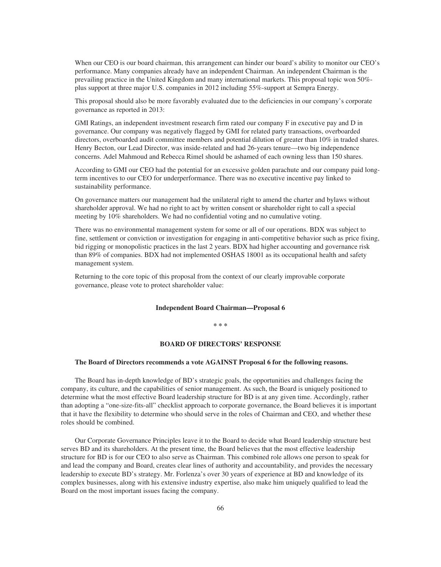When our CEO is our board chairman, this arrangement can hinder our board's ability to monitor our CEO's performance. Many companies already have an independent Chairman. An independent Chairman is the prevailing practice in the United Kingdom and many international markets. This proposal topic won 50% plus support at three major U.S. companies in 2012 including 55%-support at Sempra Energy.

This proposal should also be more favorably evaluated due to the deficiencies in our company's corporate governance as reported in 2013:

GMI Ratings, an independent investment research firm rated our company F in executive pay and D in governance. Our company was negatively flagged by GMI for related party transactions, overboarded directors, overboarded audit committee members and potential dilution of greater than 10% in traded shares. Henry Becton, our Lead Director, was inside-related and had 26-years tenure—two big independence concerns. Adel Mahmoud and Rebecca Rimel should be ashamed of each owning less than 150 shares.

According to GMI our CEO had the potential for an excessive golden parachute and our company paid longterm incentives to our CEO for underperformance. There was no executive incentive pay linked to sustainability performance.

On governance matters our management had the unilateral right to amend the charter and bylaws without shareholder approval. We had no right to act by written consent or shareholder right to call a special meeting by 10% shareholders. We had no confidential voting and no cumulative voting.

There was no environmental management system for some or all of our operations. BDX was subject to fine, settlement or conviction or investigation for engaging in anti-competitive behavior such as price fixing, bid rigging or monopolistic practices in the last 2 years. BDX had higher accounting and governance risk than 89% of companies. BDX had not implemented OSHAS 18001 as its occupational health and safety management system.

Returning to the core topic of this proposal from the context of our clearly improvable corporate governance, please vote to protect shareholder value:

#### **Independent Board Chairman—Proposal 6**

**\*\*\***

## **BOARD OF DIRECTORS' RESPONSE**

### **The Board of Directors recommends a vote AGAINST Proposal 6 for the following reasons.**

The Board has in-depth knowledge of BD's strategic goals, the opportunities and challenges facing the company, its culture, and the capabilities of senior management. As such, the Board is uniquely positioned to determine what the most effective Board leadership structure for BD is at any given time. Accordingly, rather than adopting a "one-size-fits-all" checklist approach to corporate governance, the Board believes it is important that it have the flexibility to determine who should serve in the roles of Chairman and CEO, and whether these roles should be combined.

Our Corporate Governance Principles leave it to the Board to decide what Board leadership structure best serves BD and its shareholders. At the present time, the Board believes that the most effective leadership structure for BD is for our CEO to also serve as Chairman. This combined role allows one person to speak for and lead the company and Board, creates clear lines of authority and accountability, and provides the necessary leadership to execute BD's strategy. Mr. Forlenza's over 30 years of experience at BD and knowledge of its complex businesses, along with his extensive industry expertise, also make him uniquely qualified to lead the Board on the most important issues facing the company.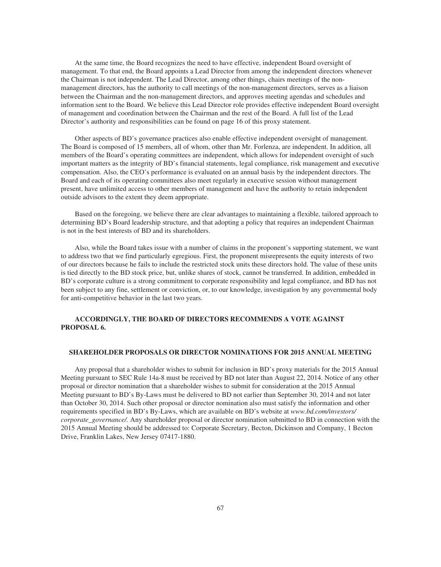At the same time, the Board recognizes the need to have effective, independent Board oversight of management. To that end, the Board appoints a Lead Director from among the independent directors whenever the Chairman is not independent. The Lead Director, among other things, chairs meetings of the nonmanagement directors, has the authority to call meetings of the non-management directors, serves as a liaison between the Chairman and the non-management directors, and approves meeting agendas and schedules and information sent to the Board. We believe this Lead Director role provides effective independent Board oversight of management and coordination between the Chairman and the rest of the Board. A full list of the Lead Director's authority and responsibilities can be found on page 16 of this proxy statement.

Other aspects of BD's governance practices also enable effective independent oversight of management. The Board is composed of 15 members, all of whom, other than Mr. Forlenza, are independent. In addition, all members of the Board's operating committees are independent, which allows for independent oversight of such important matters as the integrity of BD's financial statements, legal compliance, risk management and executive compensation. Also, the CEO's performance is evaluated on an annual basis by the independent directors. The Board and each of its operating committees also meet regularly in executive session without management present, have unlimited access to other members of management and have the authority to retain independent outside advisors to the extent they deem appropriate.

Based on the foregoing, we believe there are clear advantages to maintaining a flexible, tailored approach to determining BD's Board leadership structure, and that adopting a policy that requires an independent Chairman is not in the best interests of BD and its shareholders.

Also, while the Board takes issue with a number of claims in the proponent's supporting statement, we want to address two that we find particularly egregious. First, the proponent misrepresents the equity interests of two of our directors because he fails to include the restricted stock units these directors hold. The value of these units is tied directly to the BD stock price, but, unlike shares of stock, cannot be transferred. In addition, embedded in BD's corporate culture is a strong commitment to corporate responsibility and legal compliance, and BD has not been subject to any fine, settlement or conviction, or, to our knowledge, investigation by any governmental body for anti-competitive behavior in the last two years.

# **ACCORDINGLY, THE BOARD OF DIRECTORS RECOMMENDS A VOTE AGAINST PROPOSAL 6.**

### **SHAREHOLDER PROPOSALS OR DIRECTOR NOMINATIONS FOR 2015 ANNUAL MEETING**

Any proposal that a shareholder wishes to submit for inclusion in BD's proxy materials for the 2015 Annual Meeting pursuant to SEC Rule 14a-8 must be received by BD not later than August 22, 2014. Notice of any other proposal or director nomination that a shareholder wishes to submit for consideration at the 2015 Annual Meeting pursuant to BD's By-Laws must be delivered to BD not earlier than September 30, 2014 and not later than October 30, 2014. Such other proposal or director nomination also must satisfy the information and other requirements specified in BD's By-Laws, which are available on BD's website at *www.bd.com/investors/ corporate\_governance/.* Any shareholder proposal or director nomination submitted to BD in connection with the 2015 Annual Meeting should be addressed to: Corporate Secretary, Becton, Dickinson and Company, 1 Becton Drive, Franklin Lakes, New Jersey 07417-1880.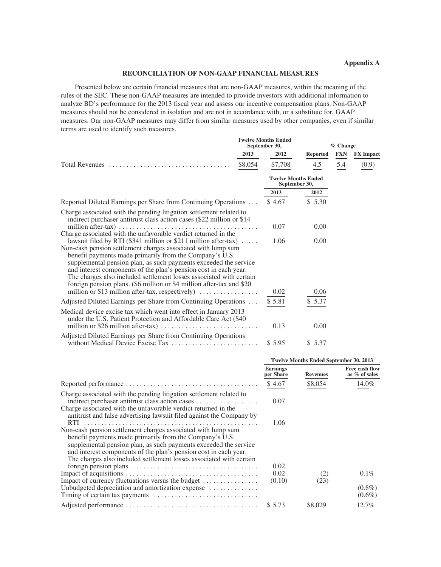## **RECONCILIATION OF NON-GAAP FINANCIAL MEASURES**

Presented below are certain financial measures that are non-GAAP measures, within the meaning of the rules of the SEC. These non-GAAP measures are intended to provide investors with additional information to analyze BD's performance for the 2013 fiscal year and assess our incentive compensation plans. Non-GAAP measures should not be considered in isolation and are not in accordance with, or a substitute for, GAAP measures. Our non-GAAP measures may differ from similar measures used by other companies, even if similar terms are used to identify such measures.

|                                                                                                                                                                                                                                                                                                                                                                                                                                                                                                  | <b>Twelve Months Ended</b><br>September 30, |                                             | % Change        |            |                  |
|--------------------------------------------------------------------------------------------------------------------------------------------------------------------------------------------------------------------------------------------------------------------------------------------------------------------------------------------------------------------------------------------------------------------------------------------------------------------------------------------------|---------------------------------------------|---------------------------------------------|-----------------|------------|------------------|
|                                                                                                                                                                                                                                                                                                                                                                                                                                                                                                  | 2013                                        | 2012                                        | <b>Reported</b> | <b>FXN</b> | <b>FX</b> Impact |
|                                                                                                                                                                                                                                                                                                                                                                                                                                                                                                  | \$8,054                                     | \$7,708                                     | 4.5             | 5.4        | (0.9)            |
|                                                                                                                                                                                                                                                                                                                                                                                                                                                                                                  |                                             | <b>Twelve Months Ended</b><br>September 30, |                 |            |                  |
|                                                                                                                                                                                                                                                                                                                                                                                                                                                                                                  |                                             | 2013                                        | 2012            |            |                  |
| Reported Diluted Earnings per Share from Continuing Operations                                                                                                                                                                                                                                                                                                                                                                                                                                   |                                             | \$4.67                                      | \$5.30          |            |                  |
| Charge associated with the pending litigation settlement related to<br>indirect purchaser antitrust class action cases (\$22 million or \$14                                                                                                                                                                                                                                                                                                                                                     |                                             |                                             |                 |            |                  |
|                                                                                                                                                                                                                                                                                                                                                                                                                                                                                                  |                                             | 0.07                                        | 0.00            |            |                  |
| Charge associated with the unfavorable verdict returned in the<br>lawsuit filed by RTI (\$341 million or \$211 million after-tax) $\dots$ .                                                                                                                                                                                                                                                                                                                                                      |                                             | 1.06                                        | 0.00            |            |                  |
| Non-cash pension settlement charges associated with lump sum<br>benefit payments made primarily from the Company's U.S.<br>supplemental pension plan, as such payments exceeded the service<br>and interest components of the plan's pension cost in each year.<br>The charges also included settlement losses associated with certain<br>foreign pension plans. (\$6 million or \$4 million after-tax and \$20)<br>million or \$13 million after-tax, respectively) $\dots\dots\dots\dots\dots$ |                                             | 0.02                                        | 0.06            |            |                  |
|                                                                                                                                                                                                                                                                                                                                                                                                                                                                                                  |                                             |                                             |                 |            |                  |
| Adjusted Diluted Earnings per Share from Continuing Operations                                                                                                                                                                                                                                                                                                                                                                                                                                   |                                             | \$5.81                                      | \$5.37          |            |                  |
| Medical device excise tax which went into effect in January 2013<br>under the U.S. Patient Protection and Affordable Care Act (\$40)<br>million or \$26 million after-tax) $\dots \dots \dots \dots \dots \dots \dots \dots \dots$                                                                                                                                                                                                                                                               |                                             | 0.13                                        | 0.00            |            |                  |
| Adjusted Diluted Earnings per Share from Continuing Operations<br>without Medical Device Excise Tax                                                                                                                                                                                                                                                                                                                                                                                              |                                             | \$5.95                                      | \$5.37          |            |                  |

|                                                                                                                                                                                                                                                                                                                                        |                              | <b>Twelve Months Ended September 30, 2013</b> |                                        |
|----------------------------------------------------------------------------------------------------------------------------------------------------------------------------------------------------------------------------------------------------------------------------------------------------------------------------------------|------------------------------|-----------------------------------------------|----------------------------------------|
|                                                                                                                                                                                                                                                                                                                                        | <b>Earnings</b><br>per Share | <b>Revenues</b>                               | <b>Free cash flow</b><br>as % of sales |
|                                                                                                                                                                                                                                                                                                                                        | \$4.67                       | \$8,054                                       | 14.0%                                  |
| Charge associated with the pending litigation settlement related to<br>indirect purchaser antitrust class action cases<br>Charge associated with the unfavorable verdict returned in the                                                                                                                                               | 0.07                         |                                               |                                        |
| antitrust and false advertising lawsuit filed against the Company by                                                                                                                                                                                                                                                                   | 1.06                         |                                               |                                        |
| Non-cash pension settlement charges associated with lump sum<br>benefit payments made primarily from the Company's U.S.<br>supplemental pension plan, as such payments exceeded the service<br>and interest components of the plan's pension cost in each year.<br>The charges also included settlement losses associated with certain |                              |                                               |                                        |
|                                                                                                                                                                                                                                                                                                                                        | 0.02                         |                                               |                                        |
|                                                                                                                                                                                                                                                                                                                                        | 0.02                         | (2)                                           | $0.1\%$                                |
| Impact of currency fluctuations versus the budget                                                                                                                                                                                                                                                                                      | (0.10)                       | (23)                                          |                                        |
| Unbudgeted depreciation and amortization expense                                                                                                                                                                                                                                                                                       |                              |                                               | $(0.8\%)$<br>$(0.6\%)$                 |
|                                                                                                                                                                                                                                                                                                                                        | \$5.73                       | \$8,029                                       | $12.7\%$                               |